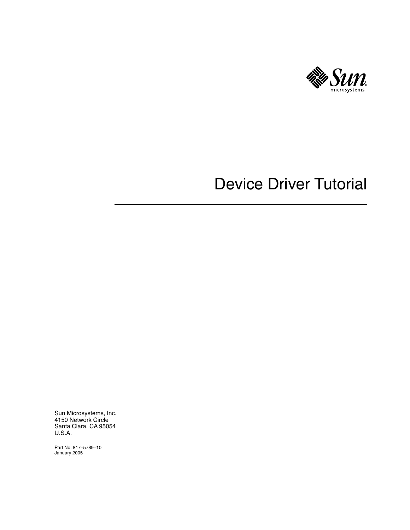

# Device Driver Tutorial

Sun Microsystems, Inc. 4150 Network Circle Santa Clara, CA 95054 U.S.A.

Part No: 817–5789–10 January 2005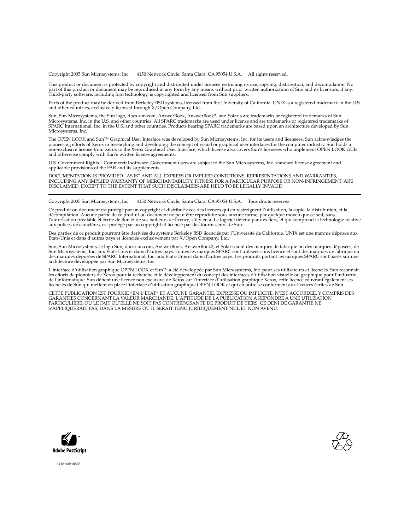Copyright 2005 Sun Microsystems, Inc. 4150 Network Circle, Santa Clara, CA 95054 U.S.A. All rights reserved.

This product or document is protected by copyright and distributed under licenses restricting its use, copying, distribution, and decompilation. No part of this product or document may be reproduced in any form by any means without prior written authorization of Sun and its licensors, if any.<br>Third-party software, including font technology, is copyrighted and licensed

Parts of the product may be derived from Berkeley BSD systems, licensed from the University of California. UNIX is a registered trademark in the U.S. and other countries, exclusively licensed through X/Open Company, Ltd.

Sun, Sun Microsystems, the Sun logo, docs.sun.com, AnswerBook, AnswerBook2, and Solaris are trademarks or registered trademarks of Sun<br>Microsystems, Inc. in the U.S. and other countries. All SPARC trademarks are used under Microsystems, Inc.

The OPEN LOOK and Sun™ Graphical User Interface was developed by Sun Microsystems, Inc. for its users and licensees. Sun acknowledges the pioneering efforts of Xerox in researching and developing the concept of visual or graphical user interfaces for the computer industry. Sun holds a<br>non-exclusive license from Xerox to the Xerox Graphical User Interface, wh and otherwise comply with Sun's written license agreements.

U.S. Government Rights – Commercial software. Government users are subject to the Sun Microsystems, Inc. standard license agreement and applicable provisions of the FAR and its supplements.

DOCUMENTATION IS PROVIDED "AS IS" AND ALL EXPRESS OR IMPLIED CONDITIONS, REPRESENTATIONS AND WARRANTIES,<br>INCLUDING ANY IMPLIED WARRANTY OF MERCHANTABILITY, FITNESS FOR A PARTICULAR PURPOSE OR NON-INFRINGEMENT, ARE<br>DISCLAIM

Copyright 2005 Sun Microsystems, Inc. 4150 Network Circle, Santa Clara, CA 95054 U.S.A. Tous droits réservés.

Ce produit ou document est protégé par un copyright et distribué avec des licences qui en restreignent l'utilisation, la copie, la distribution, et la décompilation. Aucune partie de ce produit ou document ne peut être reproduite sous aucune forme, par quelque moyen que ce soit, sans<br>l'autorisation préalable et écrite de Sun et de ses bailleurs de licence, s'il y en a. L

Des parties de ce produit pourront être dérivées du système Berkeley BSD licenciés par l'Université de Californie. UNIX est une marque déposée aux Etats-Unis et dans d'autres pays et licenciée exclusivement par X/Open Company, Ltd.

Sun, Sun Microsystems, le logo Sun, docs.sun.com, AnswerBook, AnswerBook2, et Solaris sont des marques de fabrique ou des marques déposées, de<br>Sun Microsystems, Inc. aux Etats-Unis et dans d'autres pays. Toutes les marques architecture développée par Sun Microsystems, Inc.

L'interface d'utilisation graphique OPEN LOOK et Sun™a été développée par Sun Microsystems, Inc. pour ses utilisateurs et licenciés. Sun reconnaît<br>les efforts de pionniers de Xerox pour la recherche et le développement du de l'informatique. Sun détient une licence non exclusive de Xerox sur l'interface d'utilisation graphique Xerox, cette licence couvrant également les<br>licenciés de Sun qui mettent en place l'interface d'utilisation graphiqu

CETTE PUBLICATION EST FOURNIE "EN L'ETAT" ET AUCUNE GARANTIE, EXPRESSE OU IMPLICITE, N'EST ACCORDEE, Y COMPRIS DES GARANTIES CONCERNANT LA VALEUR MARCHANDE, L'APTITUDE DE LA PUBLICATION A REPONDRE A UNE UTILISATION<br>PARTICULIERE, OU LE FAIT QU'ELLE NE SOIT PAS CONTREFAISANTE DE PRODUIT DE TIERS. CE DENI DE GARANTIE NE<br>S'APPLIQUERAIT PAS





041214@10536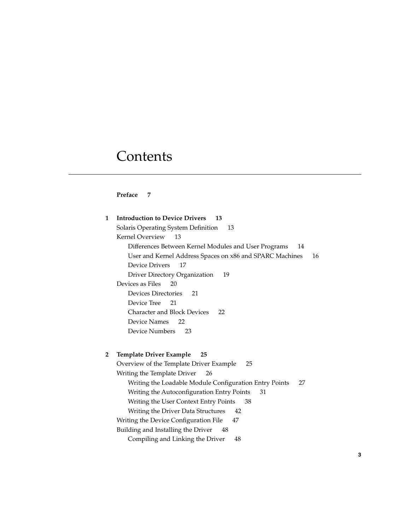# **Contents**

#### **[Preface 7](#page-6-0)**

| $\mathbf{1}$   | <b>Introduction to Device Drivers</b><br>13                  |    |
|----------------|--------------------------------------------------------------|----|
|                | Solaris Operating System Definition<br>13                    |    |
|                | Kernel Overview<br>13                                        |    |
|                | Differences Between Kernel Modules and User Programs<br>14   |    |
|                | User and Kernel Address Spaces on x86 and SPARC Machines     | 16 |
|                | Device Drivers<br>17                                         |    |
|                | Driver Directory Organization<br>19                          |    |
|                | Devices as Files<br>20                                       |    |
|                | <b>Devices Directories</b><br>21                             |    |
|                | Device Tree<br>21                                            |    |
|                | <b>Character and Block Devices</b><br>22                     |    |
|                | Device Names<br>22                                           |    |
|                | Device Numbers<br>23                                         |    |
|                |                                                              |    |
| $\overline{2}$ | <b>Template Driver Example</b><br>25                         |    |
|                | Overview of the Template Driver Example<br>25                |    |
|                | Writing the Template Driver<br>26                            |    |
|                | Writing the Loadable Module Configuration Entry Points<br>27 |    |
|                | Writing the Autoconfiguration Entry Points<br>31             |    |
|                | Writing the User Context Entry Points<br>38                  |    |
|                | Writing the Driver Data Structures<br>42                     |    |
|                | Writing the Device Configuration File<br>47                  |    |
|                | Building and Installing the Driver<br>48                     |    |
|                | Compiling and Linking the Driver<br>48                       |    |
|                |                                                              |    |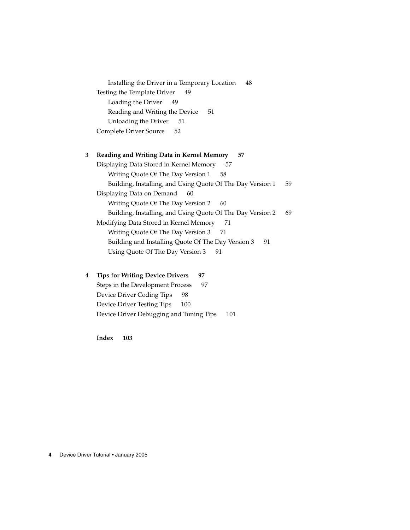[Installing the Driver in a Temporary Location 48](#page-47-0) [Testing the Template Driver 49](#page-48-0) [Loading the Driver 49](#page-48-0) [Reading and Writing the Device 51](#page-50-0) [Unloading the Driver 51](#page-50-0) [Complete Driver Source 52](#page-51-0)

#### **[3 Reading and Writing Data in Kernel Memory 57](#page-56-0)**

[Displaying Data Stored in Kernel Memory 57](#page-56-0) [Writing Quote Of The Day Version 1 58](#page-57-0) [Building, Installing, and Using Quote Of The Day Version 1 59](#page-58-0) [Displaying Data on Demand 60](#page-59-0) [Writing Quote Of The Day Version 2 60](#page-59-0) [Building, Installing, and Using Quote Of The Day Version 2 69](#page-68-0) [Modifying Data Stored in Kernel Memory 71](#page-70-0) [Writing Quote Of The Day Version 3 71](#page-70-0) [Building and Installing Quote Of The Day Version 3 91](#page-90-0) [Using Quote Of The Day Version 3 91](#page-90-0)

#### **[4 Tips for Writing Device Drivers 97](#page-96-0)**

[Steps in the Development Process 97](#page-96-0) [Device Driver Coding Tips 98](#page-97-0) [Device Driver Testing Tips 100](#page-99-0) [Device Driver Debugging and Tuning Tips 101](#page-100-0)

**[Index 103](#page-102-0)**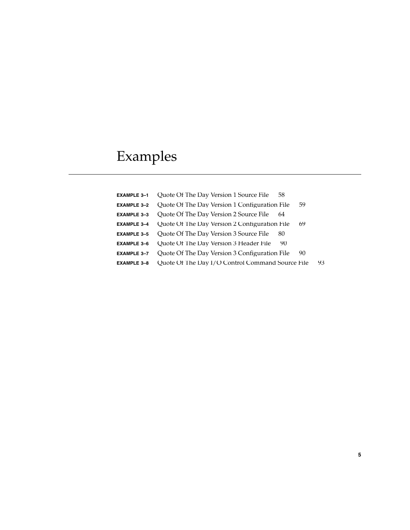# Examples

| <b>EXAMPLE 3-1</b> | Quote Of The Day Version 1 Source File<br>58        |    |
|--------------------|-----------------------------------------------------|----|
| <b>EXAMPLE 3-2</b> | Quote Of The Day Version 1 Configuration File<br>59 |    |
| <b>EXAMPLE 3-3</b> | Quote Of The Day Version 2 Source File<br>64        |    |
| <b>EXAMPLE 3-4</b> | Quote Of The Day Version 2 Configuration File<br>69 |    |
| <b>EXAMPLE 3-5</b> | Quote Of The Day Version 3 Source File<br>80        |    |
| <b>EXAMPLE 3-6</b> | Quote Of The Day Version 3 Header File<br>90        |    |
| <b>EXAMPLE 3-7</b> | Quote Of The Day Version 3 Configuration File<br>90 |    |
| <b>EXAMPLE 3-8</b> | Quote Of The Day I/O Control Command Source File    | 93 |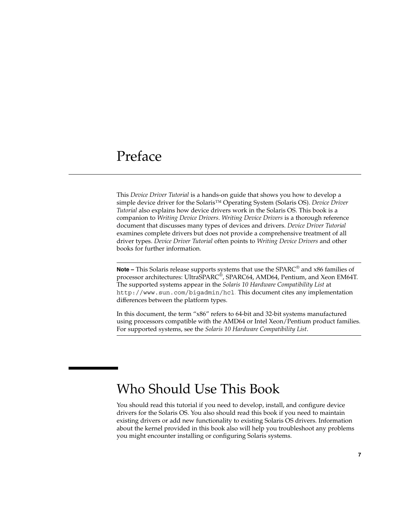# <span id="page-6-0"></span>Preface

This *Device Driver Tutorial* is a hands-on guide that shows you how to develop a simple device driver for the Solaris™ Operating System (Solaris OS). *Device Driver Tutorial* also explains how device drivers work in the Solaris OS. This book is a companion to *Writing Device Drivers*. *Writing Device Drivers* is a thorough reference document that discusses many types of devices and drivers. *Device Driver Tutorial* examines complete drivers but does not provide a comprehensive treatment of all driver types. *Device Driver Tutorial* often points to *Writing Device Drivers* and other books for further information.

**Note –** This Solaris release supports systems that use the SPARC® and x86 families of processor architectures: UltraSPARC®, SPARC64, AMD64, Pentium, and Xeon EM64T. The supported systems appear in the *Solaris 10 Hardware Compatibility List* at <http://www.sun.com/bigadmin/hcl>. This document cites any implementation differences between the platform types.

In this document, the term "x86" refers to 64-bit and 32-bit systems manufactured using processors compatible with the AMD64 or Intel Xeon/Pentium product families. For supported systems, see the *Solaris 10 Hardware Compatibility List*.

# Who Should Use This Book

You should read this tutorial if you need to develop, install, and configure device drivers for the Solaris OS. You also should read this book if you need to maintain existing drivers or add new functionality to existing Solaris OS drivers. Information about the kernel provided in this book also will help you troubleshoot any problems you might encounter installing or configuring Solaris systems.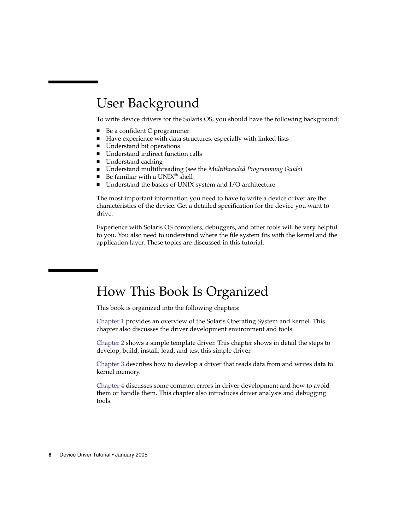# User Background

To write device drivers for the Solaris OS, you should have the following background:

- Be a confident C programmer
- Have experience with data structures, especially with linked lists
- Understand bit operations
- Understand indirect function calls
- Understand caching
- Understand multithreading (see the *Multithreaded Programming Guide*)
- Be familiar with a  $UNIX^®$  shell
- Understand the basics of UNIX system and I/O architecture

The most important information you need to have to write a device driver are the characteristics of the device. Get a detailed specification for the device you want to drive.

Experience with Solaris OS compilers, debuggers, and other tools will be very helpful to you. You also need to understand where the file system fits with the kernel and the application layer. These topics are discussed in this tutorial.

# How This Book Is Organized

This book is organized into the following chapters:

[Chapter 1](#page-12-0) provides an overview of the Solaris Operating System and kernel. This chapter also discusses the driver development environment and tools.

[Chapter 2](#page-24-0) shows a simple template driver. This chapter shows in detail the steps to develop, build, install, load, and test this simple driver.

[Chapter 3](#page-56-0) describes how to develop a driver that reads data from and writes data to kernel memory.

[Chapter 4](#page-96-0) discusses some common errors in driver development and how to avoid them or handle them. This chapter also introduces driver analysis and debugging tools.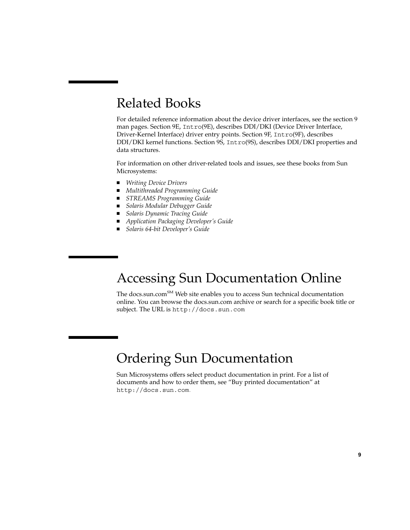# Related Books

For detailed reference information about the device driver interfaces, see the section 9 man pages. Section 9E, Intro(9E), describes DDI/DKI (Device Driver Interface, Driver-Kernel Interface) driver entry points. Section 9F, Intro(9F), describes DDI/DKI kernel functions. Section 9S, Intro(9S), describes DDI/DKI properties and data structures.

For information on other driver-related tools and issues, see these books from Sun Microsystems:

- *Writing Device Drivers*
- *Multithreaded Programming Guide*
- *STREAMS Programming Guide*
- *Solaris Modular Debugger Guide*
- *Solaris Dynamic Tracing Guide*
- *Application Packaging Developer's Guide*
- *Solaris 64-bit Developer's Guide*

# Accessing Sun Documentation Online

The docs.sun.com<sup>SM</sup> Web site enables you to access Sun technical documentation online. You can browse the docs.sun.com archive or search for a specific book title or subject. The URL is <http://docs.sun.com>.

# Ordering Sun Documentation

Sun Microsystems offers select product documentation in print. For a list of documents and how to order them, see "Buy printed documentation" at <http://docs.sun.com>.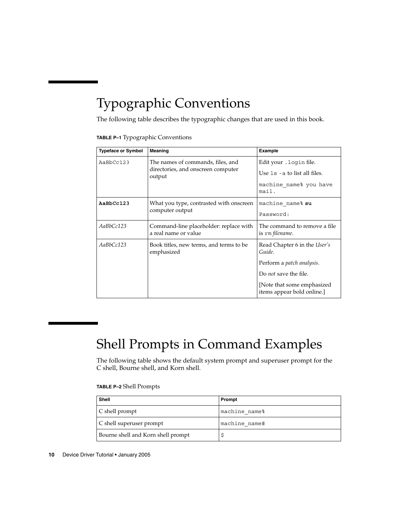# Typographic Conventions

The following table describes the typographic changes that are used in this book.

|  | TABLE P-1 Typographic Conventions |  |  |
|--|-----------------------------------|--|--|
|--|-----------------------------------|--|--|

| <b>Typeface or Symbol</b> | <b>Meaning</b>                                                                    | Example                                                   |
|---------------------------|-----------------------------------------------------------------------------------|-----------------------------------------------------------|
| AaBbCc123                 | The names of commands, files, and<br>directories, and onscreen computer<br>output | Edit your . login file.                                   |
|                           |                                                                                   | Use $1s$ - a to list all files.                           |
|                           |                                                                                   | machine name% you have<br>mail.                           |
| AaBbCc123                 | What you type, contrasted with onscreen<br>computer output                        | machine name% su                                          |
|                           |                                                                                   | Password:                                                 |
| AaBbCc123                 | Command-line placeholder: replace with<br>a real name or value                    | The command to remove a file<br>is rm filename.           |
| AaBbCc123                 | Book titles, new terms, and terms to be<br>emphasized                             | Read Chapter 6 in the User's<br>Guide.                    |
|                           |                                                                                   | Perform a patch analysis.                                 |
|                           |                                                                                   | Do <i>not</i> save the file.                              |
|                           |                                                                                   | [Note that some emphasized]<br>items appear bold online.] |

# Shell Prompts in Command Examples

The following table shows the default system prompt and superuser prompt for the C shell, Bourne shell, and Korn shell.

#### **TABLE P–2** Shell Prompts

| <b>Shell</b>                       | Prompt        |
|------------------------------------|---------------|
| $\mid$ C shell prompt              | machine name% |
| C shell superuser prompt           | machine name# |
| Bourne shell and Korn shell prompt |               |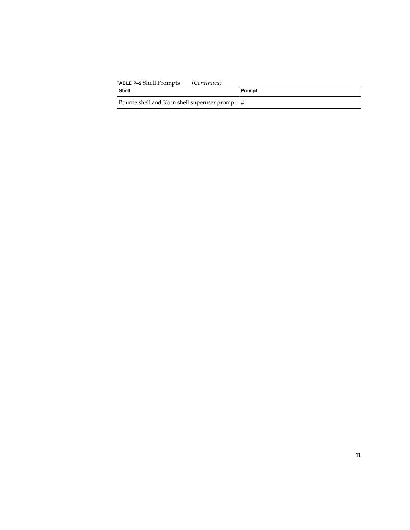| <b>TABLE P-2</b> Shell Prompts<br>(Continued)    |        |
|--------------------------------------------------|--------|
| Shell                                            | Prompt |
| Bourne shell and Korn shell superuser prompt   # |        |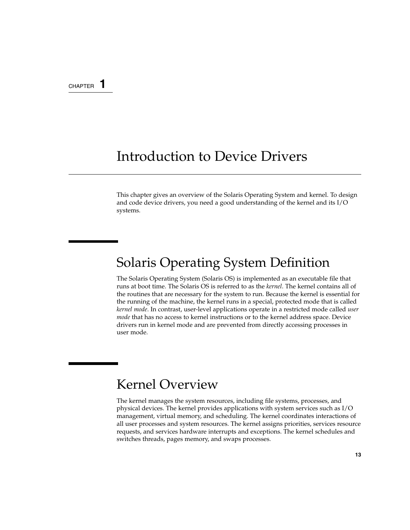#### <span id="page-12-0"></span>CHAPTER **1**

# Introduction to Device Drivers

This chapter gives an overview of the Solaris Operating System and kernel. To design and code device drivers, you need a good understanding of the kernel and its I/O systems.

# Solaris Operating System Definition

The Solaris Operating System (Solaris OS) is implemented as an executable file that runs at boot time. The Solaris OS is referred to as the *kernel*. The kernel contains all of the routines that are necessary for the system to run. Because the kernel is essential for the running of the machine, the kernel runs in a special, protected mode that is called *kernel mode*. In contrast, user-level applications operate in a restricted mode called *user mode* that has no access to kernel instructions or to the kernel address space. Device drivers run in kernel mode and are prevented from directly accessing processes in user mode.

# Kernel Overview

The kernel manages the system resources, including file systems, processes, and physical devices. The kernel provides applications with system services such as I/O management, virtual memory, and scheduling. The kernel coordinates interactions of all user processes and system resources. The kernel assigns priorities, services resource requests, and services hardware interrupts and exceptions. The kernel schedules and switches threads, pages memory, and swaps processes.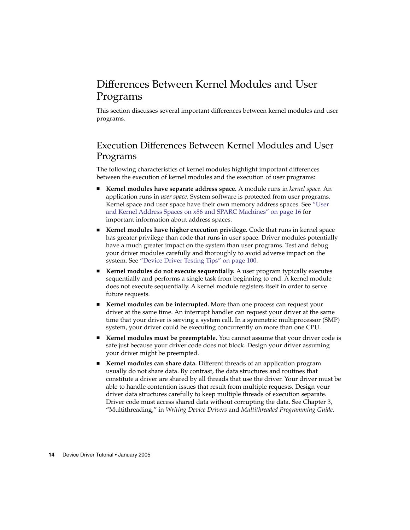## <span id="page-13-0"></span>Differences Between Kernel Modules and User Programs

This section discusses several important differences between kernel modules and user programs.

### Execution Differences Between Kernel Modules and User Programs

The following characteristics of kernel modules highlight important differences between the execution of kernel modules and the execution of user programs:

- **Kernel modules have separate address space.** A module runs in *kernel space*. An application runs in *user space*. System software is protected from user programs. Kernel space and user space have their own memory address spaces. See ["User](#page-15-0) [and Kernel Address Spaces on x86 and SPARC Machines"](#page-15-0) on page 16 for important information about address spaces.
- **Kernel modules have higher execution privilege.** Code that runs in kernel space has greater privilege than code that runs in user space. Driver modules potentially have a much greater impact on the system than user programs. Test and debug your driver modules carefully and thoroughly to avoid adverse impact on the system. See ["Device Driver Testing Tips"](#page-99-0) on page 100.
- **Kernel modules do not execute sequentially.** A user program typically executes sequentially and performs a single task from beginning to end. A kernel module does not execute sequentially. A kernel module registers itself in order to serve future requests.
- **Kernel modules can be interrupted.** More than one process can request your driver at the same time. An interrupt handler can request your driver at the same time that your driver is serving a system call. In a symmetric multiprocessor (SMP) system, your driver could be executing concurrently on more than one CPU.
- Kernel modules must be preemptable. You cannot assume that your driver code is safe just because your driver code does not block. Design your driver assuming your driver might be preempted.
- **Kernel modules can share data.** Different threads of an application program usually do not share data. By contrast, the data structures and routines that constitute a driver are shared by all threads that use the driver. Your driver must be able to handle contention issues that result from multiple requests. Design your driver data structures carefully to keep multiple threads of execution separate. Driver code must access shared data without corrupting the data. See Chapter 3, "Multithreading," in *Writing Device Drivers* and *Multithreaded Programming Guide*.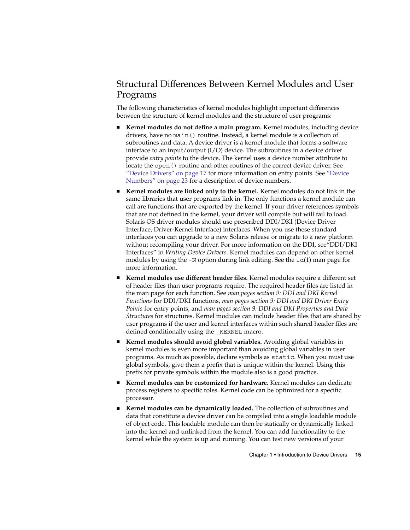### Structural Differences Between Kernel Modules and User Programs

The following characteristics of kernel modules highlight important differences between the structure of kernel modules and the structure of user programs:

- **Kernel modules do not define a main program.** Kernel modules, including device drivers, have no main() routine. Instead, a kernel module is a collection of subroutines and data. A device driver is a kernel module that forms a software interface to an input/output (I/O) device. The subroutines in a device driver provide *entry points* to the device. The kernel uses a device number attribute to locate the open () routine and other routines of the correct device driver. See ["Device Drivers"](#page-16-0) on page 17 for more information on entry points. See ["Device](#page-22-0) Numbers" [on page 23](#page-22-0) for a description of device numbers.
- Kernel modules are linked only to the kernel. Kernel modules do not link in the same libraries that user programs link in. The only functions a kernel module can call are functions that are exported by the kernel. If your driver references symbols that are not defined in the kernel, your driver will compile but will fail to load. Solaris OS driver modules should use prescribed DDI/DKI (Device Driver Interface, Driver-Kernel Interface) interfaces. When you use these standard interfaces you can upgrade to a new Solaris release or migrate to a new platform without recompiling your driver. For more information on the DDI, see"DDI/DKI Interfaces" in *Writing Device Drivers*. Kernel modules can depend on other kernel modules by using the -N option during link editing. See the ld(1) man page for more information.
- **Kernel modules use different header files.** Kernel modules require a different set of header files than user programs require. The required header files are listed in the man page for each function. See *man pages section 9: DDI and DKI Kernel Functions* for DDI/DKI functions, *man pages section 9: DDI and DKI Driver Entry Points* for entry points, and *man pages section 9: DDI and DKI Properties and Data Structures* for structures. Kernel modules can include header files that are shared by user programs if the user and kernel interfaces within such shared header files are defined conditionally using the KERNEL macro.
- **Kernel modules should avoid global variables.** Avoiding global variables in kernel modules is even more important than avoiding global variables in user programs. As much as possible, declare symbols as static. When you must use global symbols, give them a prefix that is unique within the kernel. Using this prefix for private symbols within the module also is a good practice.
- Kernel modules can be customized for hardware. Kernel modules can dedicate process registers to specific roles. Kernel code can be optimized for a specific processor.
- Kernel modules can be dynamically loaded. The collection of subroutines and data that constitute a device driver can be compiled into a single loadable module of object code. This loadable module can then be statically or dynamically linked into the kernel and unlinked from the kernel. You can add functionality to the kernel while the system is up and running. You can test new versions of your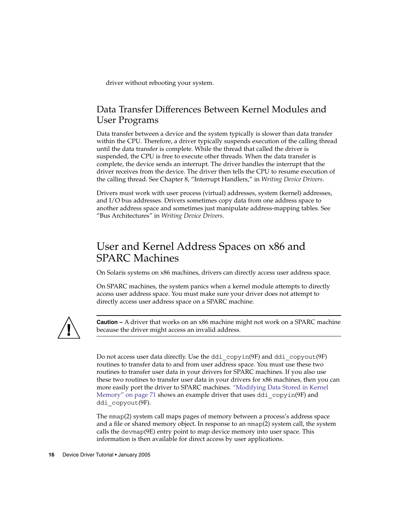<span id="page-15-0"></span>driver without rebooting your system.

#### Data Transfer Differences Between Kernel Modules and User Programs

Data transfer between a device and the system typically is slower than data transfer within the CPU. Therefore, a driver typically suspends execution of the calling thread until the data transfer is complete. While the thread that called the driver is suspended, the CPU is free to execute other threads. When the data transfer is complete, the device sends an interrupt. The driver handles the interrupt that the driver receives from the device. The driver then tells the CPU to resume execution of the calling thread. See Chapter 8, "Interrupt Handlers," in *Writing Device Drivers*.

Drivers must work with user process (virtual) addresses, system (kernel) addresses, and I/O bus addresses. Drivers sometimes copy data from one address space to another address space and sometimes just manipulate address-mapping tables. See "Bus Architectures" in *Writing Device Drivers*.

## User and Kernel Address Spaces on x86 and SPARC Machines

On Solaris systems on x86 machines, drivers can directly access user address space.

On SPARC machines, the system panics when a kernel module attempts to directly access user address space. You must make sure your driver does not attempt to directly access user address space on a SPARC machine.



**Caution –** A driver that works on an x86 machine might not work on a SPARC machine because the driver might access an invalid address.

Do not access user data directly. Use the ddi\_copyin(9F) and ddi\_copyout(9F) routines to transfer data to and from user address space. You must use these two routines to transfer user data in your drivers for SPARC machines. If you also use these two routines to transfer user data in your drivers for x86 machines, then you can more easily port the driver to SPARC machines. ["Modifying Data Stored in Kernel](#page-70-0) Memory" [on page 71](#page-70-0) shows an example driver that uses ddi\_copyin(9F) and ddi copyout(9F).

The mmap(2) system call maps pages of memory between a process's address space and a file or shared memory object. In response to an mmap(2) system call, the system calls the devmap(9E) entry point to map device memory into user space. This information is then available for direct access by user applications.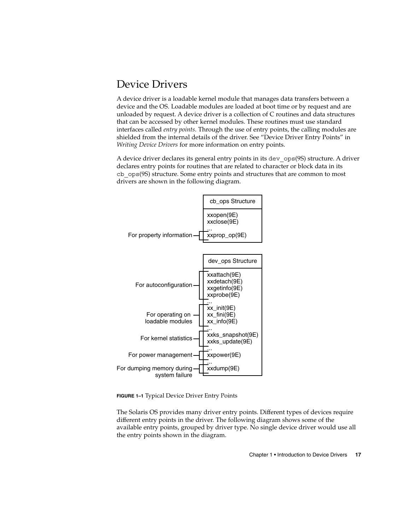### <span id="page-16-0"></span>Device Drivers

A device driver is a loadable kernel module that manages data transfers between a device and the OS. Loadable modules are loaded at boot time or by request and are unloaded by request. A device driver is a collection of C routines and data structures that can be accessed by other kernel modules. These routines must use standard interfaces called *entry points*. Through the use of entry points, the calling modules are shielded from the internal details of the driver. See "Device Driver Entry Points" in *Writing Device Drivers* for more information on entry points.

A device driver declares its general entry points in its dev\_ops(9S) structure. A driver declares entry points for routines that are related to character or block data in its cb\_ops(9S) structure. Some entry points and structures that are common to most drivers are shown in the following diagram.



**FIGURE 1–1** Typical Device Driver Entry Points

The Solaris OS provides many driver entry points. Different types of devices require different entry points in the driver. The following diagram shows some of the available entry points, grouped by driver type. No single device driver would use all the entry points shown in the diagram.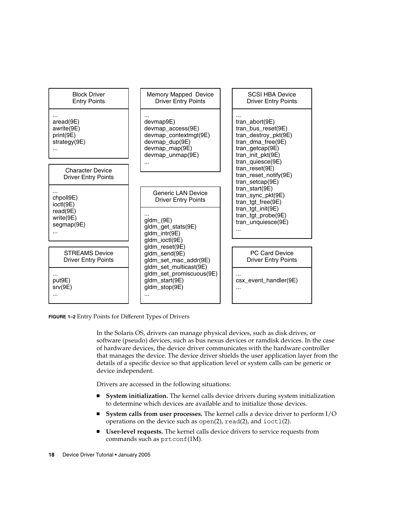

**FIGURE 1–2** Entry Points for Different Types of Drivers

In the Solaris OS, drivers can manage physical devices, such as disk drives, or software (pseudo) devices, such as bus nexus devices or ramdisk devices. In the case of hardware devices, the device driver communicates with the hardware controller that manages the device. The device driver shields the user application layer from the details of a specific device so that application level or system calls can be generic or device independent.

Drivers are accessed in the following situations:

- **System initialization.** The kernel calls device drivers during system initialization to determine which devices are available and to initialize those devices.
- **System calls from user processes.** The kernel calls a device driver to perform I/O operations on the device such as  $open(2)$ ,  $read(2)$ , and  $ivot1(2)$ .
- **User-level requests.** The kernel calls device drivers to service requests from commands such as prtconf(1M).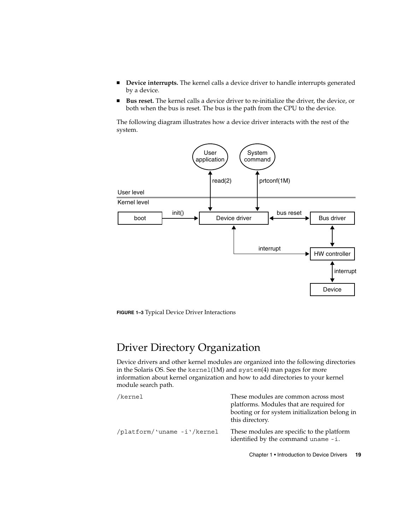- <span id="page-18-0"></span>■ **Device interrupts.** The kernel calls a device driver to handle interrupts generated by a device.
- **Bus reset.** The kernel calls a device driver to re-initialize the driver, the device, or both when the bus is reset. The bus is the path from the CPU to the device.

The following diagram illustrates how a device driver interacts with the rest of the system.



**FIGURE 1–3** Typical Device Driver Interactions

## Driver Directory Organization

Device drivers and other kernel modules are organized into the following directories in the Solaris OS. See the kernel(1M) and system(4) man pages for more information about kernel organization and how to add directories to your kernel module search path.

| /kernel                     | These modules are common across most<br>platforms. Modules that are required for<br>booting or for system initialization belong in<br>this directory. |
|-----------------------------|-------------------------------------------------------------------------------------------------------------------------------------------------------|
| /platform/'uname -i'/kernel | These modules are specific to the platform<br>identified by the command uname -i.                                                                     |

Chapter 1 • Introduction to Device Drivers **19**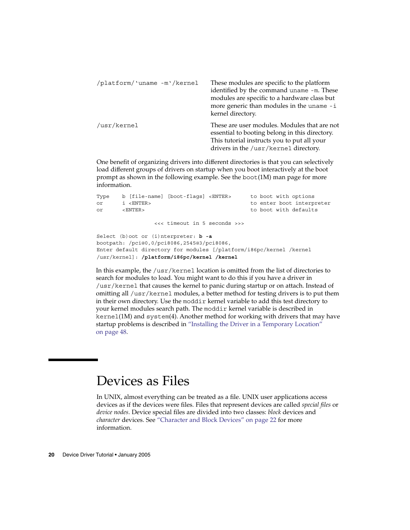<span id="page-19-0"></span>

| /platform/'uname -m'/kernel | These modules are specific to the platform<br>identified by the command uname -m. These<br>modules are specific to a hardware class but<br>more generic than modules in the uname -i<br>kernel directory. |
|-----------------------------|-----------------------------------------------------------------------------------------------------------------------------------------------------------------------------------------------------------|
| /usr/kernel                 | These are user modules. Modules that are not<br>essential to booting belong in this directory.<br>This tutorial instructs you to put all your<br>drivers in the /usr/kernel directory.                    |

One benefit of organizing drivers into different directories is that you can selectively load different groups of drivers on startup when you boot interactively at the boot prompt as shown in the following example. See the boot(1M) man page for more information.

```
Type b [file-name] [boot-flags] <ENTER> to boot with options
or i <ENTER> to enter boot interpreter
or <ENTER> to boot with defaults
              <<< timeout in 5 seconds >>>
Select (b)oot or (i)nterpreter: b -a
bootpath: /pci@0,0/pci8086,2545@3/pci8086,
Enter default directory for modules [/platform/i86pc/kernel /kernel
/usr/kernel]: /platform/i86pc/kernel /kernel
```
In this example, the /usr/kernel location is omitted from the list of directories to search for modules to load. You might want to do this if you have a driver in /usr/kernel that causes the kernel to panic during startup or on attach. Instead of omitting all /usr/kernel modules, a better method for testing drivers is to put them in their own directory. Use the moddir kernel variable to add this test directory to your kernel modules search path. The moddir kernel variable is described in kernel(1M) and system(4). Another method for working with drivers that may have startup problems is described in ["Installing the Driver in a Temporary Location"](#page-47-0) [on page 48.](#page-47-0)

## Devices as Files

In UNIX, almost everything can be treated as a file. UNIX user applications access devices as if the devices were files. Files that represent devices are called *special files* or *device nodes*. Device special files are divided into two classes: *block* devices and *character* devices. See ["Character and Block Devices"](#page-21-0) on page 22 for more information.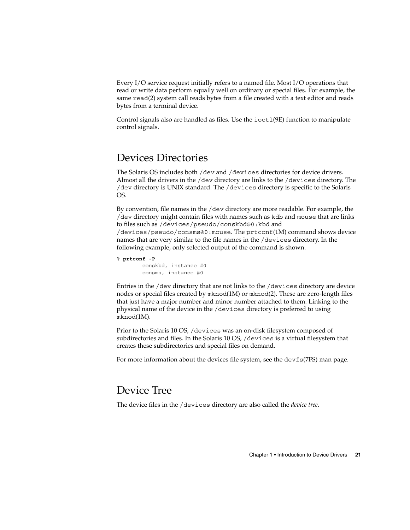<span id="page-20-0"></span>Every I/O service request initially refers to a named file. Most I/O operations that read or write data perform equally well on ordinary or special files. For example, the same read(2) system call reads bytes from a file created with a text editor and reads bytes from a terminal device.

Control signals also are handled as files. Use the  $i$  oct $1(9E)$  function to manipulate control signals.

### Devices Directories

The Solaris OS includes both /dev and /devices directories for device drivers. Almost all the drivers in the /dev directory are links to the /devices directory. The /dev directory is UNIX standard. The /devices directory is specific to the Solaris OS.

By convention, file names in the /dev directory are more readable. For example, the /dev directory might contain files with names such as kdb and mouse that are links to files such as /devices/pseudo/conskbd@0:kbd and /devices/pseudo/consms@0:mouse. The prtconf(1M) command shows device names that are very similar to the file names in the /devices directory. In the following example, only selected output of the command is shown.

```
% prtconf -P
```
conskbd, instance #0 consms, instance #0

Entries in the /dev directory that are not links to the /devices directory are device nodes or special files created by mknod(1M) or mknod(2). These are zero-length files that just have a major number and minor number attached to them. Linking to the physical name of the device in the /devices directory is preferred to using mknod(1M).

Prior to the Solaris 10 OS, /devices was an on-disk filesystem composed of subdirectories and files. In the Solaris 10 OS, /devices is a virtual filesystem that creates these subdirectories and special files on demand.

For more information about the devices file system, see the devfs(7FS) man page.

## Device Tree

The device files in the /devices directory are also called the *device tree*.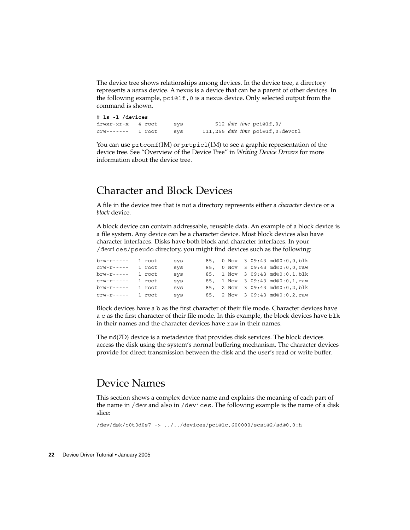<span id="page-21-0"></span>The device tree shows relationships among devices. In the device tree, a directory represents a *nexus* device. A nexus is a device that can be a parent of other devices. In the following example, pci@1f,0 is a nexus device. Only selected output from the command is shown.

# **ls -l /devices** drwxr-xr-x 4 root sys 512 *date time* pci@1f,0/ crw------- 1 root sys 111,255 *date time* pci@1f,0:devctl

You can use  $prtconf(1M)$  or  $prtpicl(1M)$  to see a graphic representation of the device tree. See "Overview of the Device Tree" in *Writing Device Drivers* for more information about the device tree.

## Character and Block Devices

A file in the device tree that is not a directory represents either a *character* device or a *block* device.

A block device can contain addressable, reusable data. An example of a block device is a file system. Any device can be a character device. Most block devices also have character interfaces. Disks have both block and character interfaces. In your /devices/pseudo directory, you might find devices such as the following:

brw-r----- 1 root sys 85, 0 Nov 3 09:43 md@0:0,0,blk<br>crw-r----- 1 root sys 85. 0 Nov 3 09:43 md@0:0.0.raw crw-r----- 1 root sys 85, 0 Nov 3 09:43 md@0:0,0,raw<br>brw-r----- 1 root sys 85, 1 Nov 3 09:43 md@0:0,1,blk 85, 1 Nov 3 09:43 md@0:0,1,blk crw-r----- 1 root sys 85, 1 Nov 3 09:43 md@0:0,1, raw<br>brw-r----- 1 root sys 85, 2 Nov 3 09:43 md@0:0,2,blk 85, 2 Nov 3 09:43 md@0:0,2,blk crw-r----- 1 root sys 85, 2 Nov 3 09:43 md@0:0,2,raw

Block devices have a b as the first character of their file mode. Character devices have a c as the first character of their file mode. In this example, the block devices have blk in their names and the character devices have raw in their names.

The md(7D) device is a metadevice that provides disk services. The block devices access the disk using the system's normal buffering mechanism. The character devices provide for direct transmission between the disk and the user's read or write buffer.

#### Device Names

This section shows a complex device name and explains the meaning of each part of the name in /dev and also in /devices. The following example is the name of a disk slice:

/dev/dsk/c0t0d0s7 -> ../../devices/pci@1c,600000/scsi@2/sd@0,0:h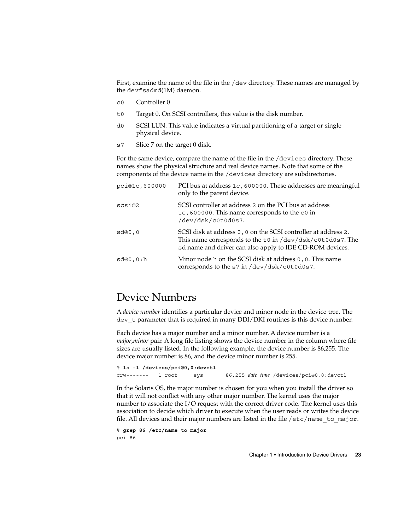<span id="page-22-0"></span>First, examine the name of the file in the /dev directory. These names are managed by the devfsadmd(1M) daemon.

- c0 Controller 0
- t0 Target 0. On SCSI controllers, this value is the disk number.
- d0 SCSI LUN. This value indicates a virtual partitioning of a target or single physical device.
- s7 Slice 7 on the target 0 disk.

For the same device, compare the name of the file in the /devices directory. These names show the physical structure and real device names. Note that some of the components of the device name in the /devices directory are subdirectories.

| pci@1c,600000 | PCI bus at address 1c, 600000. These addresses are meaningful<br>only to the parent device.                                                                                                |
|---------------|--------------------------------------------------------------------------------------------------------------------------------------------------------------------------------------------|
| scsi@2        | SCSI controller at address 2 on the PCI bus at address<br>1c, 600000. This name corresponds to the c0 in<br>/dev/dsk/c0t0d0s7.                                                             |
| sd@0,0        | SCSI disk at address $0$ , 0 on the SCSI controller at address 2.<br>This name corresponds to the t0 in /dev/dsk/c0t0d0s7. The<br>sd name and driver can also apply to IDE CD-ROM devices. |
| sd@0,0:h      | Minor node h on the SCSI disk at address 0, 0. This name<br>corresponds to the s7 in /dev/dsk/c0t0d0s7.                                                                                    |

#### Device Numbers

A *device number* identifies a particular device and minor node in the device tree. The dev t parameter that is required in many DDI/DKI routines is this device number.

Each device has a major number and a minor number. A device number is a *major*,*minor* pair. A long file listing shows the device number in the column where file sizes are usually listed. In the following example, the device number is 86,255. The device major number is 86, and the device minor number is 255.

% **ls -l /devices/pci@0,0:devctl** crw------- 1 root sys 86,255 *date time* /devices/pci@0,0:devctl

In the Solaris OS, the major number is chosen for you when you install the driver so that it will not conflict with any other major number. The kernel uses the major number to associate the I/O request with the correct driver code. The kernel uses this association to decide which driver to execute when the user reads or writes the device file. All devices and their major numbers are listed in the file /etc/name\_to\_major.

```
% grep 86 /etc/name_to_major
pci 86
```
Chapter 1 • Introduction to Device Drivers **23**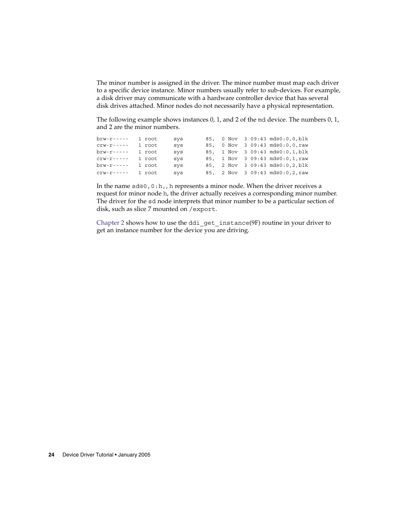The minor number is assigned in the driver. The minor number must map each driver to a specific device instance. Minor numbers usually refer to sub-devices. For example, a disk driver may communicate with a hardware controller device that has several disk drives attached. Minor nodes do not necessarily have a physical representation.

The following example shows instances 0, 1, and 2 of the md device. The numbers 0, 1, and 2 are the minor numbers.

```
brw-r----- 1 root sys 85, 0 Nov 3 09:43 md@0:0,0,blk
crw-r----- 1 root sys 85, 0 Nov 3 09:43 md@0:0,0,raw
brw-r----- 1 root sys 85, 1 Nov 3 09:43 md@0:0,1,blk
crw-r----- 1 root sys 85, 1 Nov 3 09:43 md@0:0,1,raw
brw-r----- 1 root sys 85, 2 Nov 3 09:43 md@0:0,2,blk
crw-r----- 1 root sys 85, 2 Nov 3 09:43 md@0:0,2,raw
```
In the name sd@0, 0:h,, h represents a minor node. When the driver receives a request for minor node h, the driver actually receives a corresponding minor number. The driver for the sd node interprets that minor number to be a particular section of disk, such as slice 7 mounted on /export.

[Chapter 2](#page-24-0) shows how to use the ddi\_get\_instance(9F) routine in your driver to get an instance number for the device you are driving.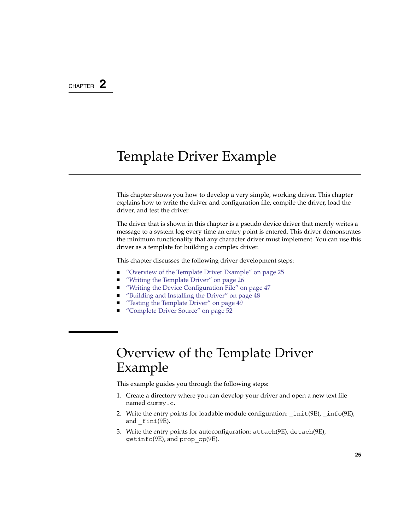#### <span id="page-24-0"></span>CHAPTER **2**

# Template Driver Example

This chapter shows you how to develop a very simple, working driver. This chapter explains how to write the driver and configuration file, compile the driver, load the driver, and test the driver.

The driver that is shown in this chapter is a pseudo device driver that merely writes a message to a system log every time an entry point is entered. This driver demonstrates the minimum functionality that any character driver must implement. You can use this driver as a template for building a complex driver.

This chapter discusses the following driver development steps:

- "Overview of the Template Driver Example" on page 25
- *["Writing the Template Driver"](#page-25-0)* on page 26
- *["Writing the Device Configuration File"](#page-46-0)* on page 47
- ["Building and Installing the Driver"](#page-47-0) on page 48
- ["Testing the Template Driver"](#page-48-0) on page 49
- ["Complete Driver Source"](#page-51-0) on page 52

# Overview of the Template Driver Example

This example guides you through the following steps:

- 1. Create a directory where you can develop your driver and open a new text file named dummy.c.
- 2. Write the entry points for loadable module configuration:  $int(9E)$ ,  $into(9E)$ , and \_fini(9E).
- 3. Write the entry points for autoconfiguration: attach(9E), detach(9E), getinfo(9E), and prop\_op(9E).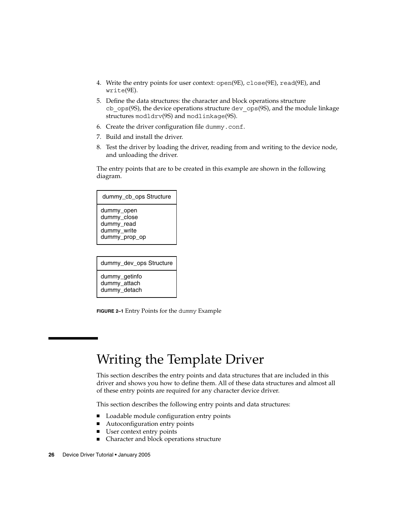- <span id="page-25-0"></span>4. Write the entry points for user context: open(9E), close(9E), read(9E), and write(9E).
- 5. Define the data structures: the character and block operations structure cb  $ops(9S)$ , the device operations structure dev  $ops(9S)$ , and the module linkage structures modldrv(9S) and modlinkage(9S).
- 6. Create the driver configuration file dummy.conf.
- 7. Build and install the driver.
- 8. Test the driver by loading the driver, reading from and writing to the device node, and unloading the driver.

The entry points that are to be created in this example are shown in the following diagram.

| dummy cb ops Structure                                                  |
|-------------------------------------------------------------------------|
| dummy_open<br>dummy_close<br>dummy_read<br>dummy_write<br>dummy_prop_op |
|                                                                         |
| dummy dev ops Structure                                                 |

dummy\_getinfo dummy\_attach dummy\_detach

**FIGURE 2–1** Entry Points for the dummy Example

# Writing the Template Driver

This section describes the entry points and data structures that are included in this driver and shows you how to define them. All of these data structures and almost all of these entry points are required for any character device driver.

This section describes the following entry points and data structures:

- Loadable module configuration entry points
- Autoconfiguration entry points
- User context entry points
- Character and block operations structure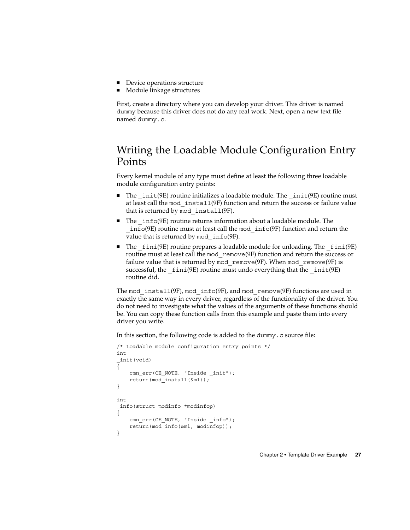- <span id="page-26-0"></span>■ Device operations structure
- Module linkage structures

First, create a directory where you can develop your driver. This driver is named dummy because this driver does not do any real work. Next, open a new text file named dummy.c.

## Writing the Loadable Module Configuration Entry Points

Every kernel module of any type must define at least the following three loadable module configuration entry points:

- The  $init(9E)$  routine initializes a loadable module. The  $init(9E)$  routine must at least call the mod\_install(9F) function and return the success or failure value that is returned by mod\_install(9F).
- The info(9E) routine returns information about a loadable module. The \_info(9E) routine must at least call the mod\_info(9F) function and return the value that is returned by mod info(9F).
- The fini(9E) routine prepares a loadable module for unloading. The fini(9E) routine must at least call the mod\_remove(9F) function and return the success or failure value that is returned by mod\_remove(9F). When mod\_remove(9F) is successful, the  $fini(9E)$  routine must undo everything that the  $init(9E)$ routine did.

The mod install(9F), mod info(9F), and mod remove(9F) functions are used in exactly the same way in every driver, regardless of the functionality of the driver. You do not need to investigate what the values of the arguments of these functions should be. You can copy these function calls from this example and paste them into every driver you write.

In this section, the following code is added to the dummy.c source file:

```
/* Loadable module configuration entry points */
int
_init(void)
{
    cmn_err(CE_NOTE, "Inside _init");
    return(mod_install(&ml));
}
int
_info(struct modinfo *modinfop)
{
    cmn_err(CE_NOTE, "Inside _info");
    return(mod_info(&ml, modinfop));
}
```
Chapter 2 • Template Driver Example **27**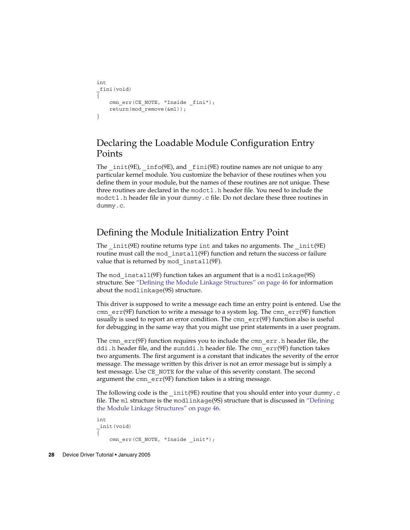```
int
_fini(void)
{
    cmn_err(CE_NOTE, "Inside _fini");
    return(mod_remove(&ml));
}
```
#### Declaring the Loadable Module Configuration Entry Points

The  $int(9E)$ ,  $info(9E)$ , and  $finit(9E)$  routine names are not unique to any particular kernel module. You customize the behavior of these routines when you define them in your module, but the names of these routines are not unique. These three routines are declared in the modctl.h header file. You need to include the modctl.h header file in your dummy.c file. Do not declare these three routines in dummy.c.

#### Defining the Module Initialization Entry Point

The \_init(9E) routine returns type int and takes no arguments. The \_init(9E) routine must call the mod install(9F) function and return the success or failure value that is returned by mod\_install(9F).

The mod install(9F) function takes an argument that is a modlinkage(9S) structure. See ["Defining the Module Linkage Structures"](#page-45-0) on page 46 for information about the modlinkage(9S) structure.

This driver is supposed to write a message each time an entry point is entered. Use the cmn  $err(9F)$  function to write a message to a system log. The cmn  $err(9F)$  function usually is used to report an error condition. The  $cmn = \text{erf}(9F)$  function also is useful for debugging in the same way that you might use print statements in a user program.

The cmn err(9F) function requires you to include the cmn\_err.h header file, the ddi.h header file, and the sunddi.h header file. The cmn err(9F) function takes two arguments. The first argument is a constant that indicates the severity of the error message. The message written by this driver is not an error message but is simply a test message. Use CE\_NOTE for the value of this severity constant. The second argument the cmn  $err(9F)$  function takes is a string message.

The following code is the  $int(9E)$  routine that you should enter into your dummy.c file. The ml structure is the modlinkage(9S) structure that is discussed in ["Defining](#page-45-0) [the Module Linkage Structures"](#page-45-0) on page 46.

```
int
_init(void)
{
    cmn_err(CE_NOTE, "Inside _init");
```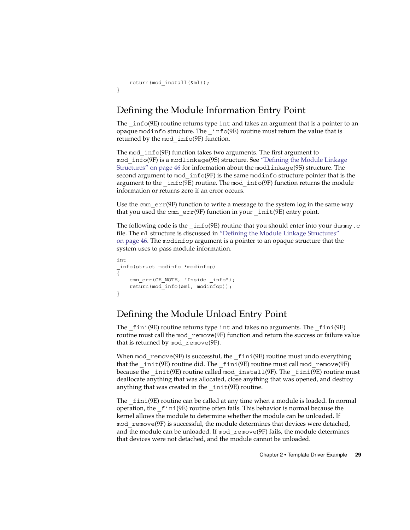```
return(mod_install(&ml));
}
```
### Defining the Module Information Entry Point

The  $inf(9E)$  routine returns type int and takes an argument that is a pointer to an opaque modinfo structure. The \_info(9E) routine must return the value that is returned by the mod\_info(9F) function.

The mod info(9F) function takes two arguments. The first argument to mod\_info(9F) is a modlinkage(9S) structure. See ["Defining the Module Linkage](#page-45-0) [Structures"](#page-45-0) on page 46 for information about the modlinkage(9S) structure. The second argument to mod\_info(9F) is the same modinfo structure pointer that is the argument to the  $info(9E)$  routine. The mod  $info(9F)$  function returns the module information or returns zero if an error occurs.

Use the cmn  $err(9F)$  function to write a message to the system log in the same way that you used the cmn  $err(9F)$  function in your  $int(9E)$  entry point.

The following code is the  $\text{info}(9E)$  routine that you should enter into your dummy.c file. The ml structure is discussed in ["Defining the Module Linkage Structures"](#page-45-0) [on page 46.](#page-45-0) The modinfop argument is a pointer to an opaque structure that the system uses to pass module information.

```
int
_info(struct modinfo *modinfop)
{
    cmn_err(CE_NOTE, "Inside _info");
   return(mod_info(&ml, modinfop));
}
```
#### Defining the Module Unload Entry Point

The  $fini(9E)$  routine returns type int and takes no arguments. The  $fini(9E)$ routine must call the mod remove(9F) function and return the success or failure value that is returned by mod remove(9F).

When mod  $r$ emove(9F) is successful, the  $fini(9E)$  routine must undo everything that the \_init(9E) routine did. The \_fini(9E) routine must call mod\_remove(9F) because the  $\text{init}(9E)$  routine called mod  $\text{install}(9F)$ . The  $\text{finite}(9E)$  routine must deallocate anything that was allocated, close anything that was opened, and destroy anything that was created in the  $int(9E)$  routine.

The fini(9E) routine can be called at any time when a module is loaded. In normal operation, the \_fini(9E) routine often fails. This behavior is normal because the kernel allows the module to determine whether the module can be unloaded. If mod remove(9F) is successful, the module determines that devices were detached, and the module can be unloaded. If mod\_remove(9F) fails, the module determines that devices were not detached, and the module cannot be unloaded.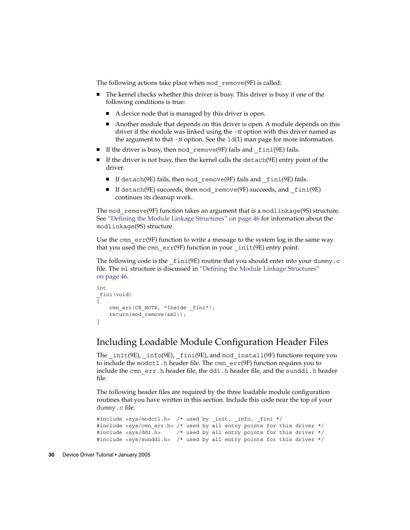The following actions take place when mod remove(9F) is called:

- The kernel checks whether this driver is busy. This driver is busy if one of the following conditions is true:
	- A device node that is managed by this driver is open.
	- Another module that depends on this driver is open. A module depends on this driver if the module was linked using the -N option with this driver named as the argument to that  $-N$  option. See the  $ld(1)$  man page for more information.
- If the driver is busy, then mod remove(9F) fails and  $fini(9E)$  fails.
- $\blacksquare$  If the driver is not busy, then the kernel calls the detach(9E) entry point of the driver.
	- If detach(9E) fails, then mod remove(9F) fails and fini(9E) fails.
	- If detach(9E) succeeds, then mod remove(9F) succeeds, and  $fini(9E)$ continues its cleanup work.

The mod  $r$ emove(9F) function takes an argument that is a modlinkage(9S) structure. See ["Defining the Module Linkage Structures"](#page-45-0) on page 46 for information about the modlinkage(9S) structure.

Use the cmn  $err(9F)$  function to write a message to the system log in the same way that you used the cmn  $err(9F)$  function in your  $int(9E)$  entry point.

The following code is the  $\pm \text{ini}(9E)$  routine that you should enter into your dummy.c file. The m1 structure is discussed in ["Defining the Module Linkage Structures"](#page-45-0) [on page 46.](#page-45-0)

```
int
_fini(void)
{
    cmn_err(CE_NOTE, "Inside _fini");
    return(mod_remove(&ml));
}
```
#### Including Loadable Module Configuration Header Files

The  $init(9E)$ ,  $info(9E)$ ,  $fini(9E)$ , and mod  $install(9F)$  functions require you to include the modctl.h header file. The cmn err(9F) function requires you to include the cmn err.h header file, the ddi.h header file, and the sunddi.h header file.

The following header files are required by the three loadable module configuration routines that you have written in this section. Include this code near the top of your dummy.c file.

```
#include <sys/modctl.h> /* used by init, info, fini */
#include <sys/cmn err.h> /* used by all entry points for this driver */
#include <sys/ddi.h> /* used by all entry points for this driver */
#include <sys/sunddi.h> /* used by all entry points for this driver */
```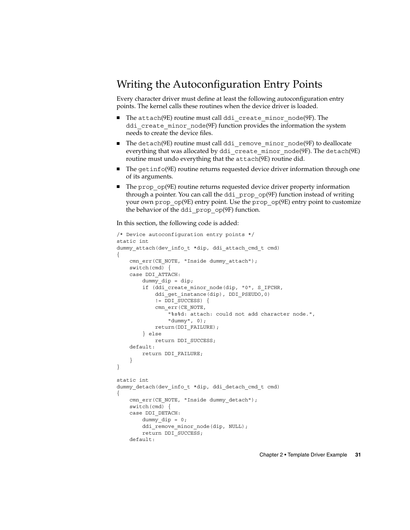## <span id="page-30-0"></span>Writing the Autoconfiguration Entry Points

Every character driver must define at least the following autoconfiguration entry points. The kernel calls these routines when the device driver is loaded.

- The attach(9E) routine must call ddi create minor node(9F). The ddi create minor node(9F) function provides the information the system needs to create the device files.
- The detach(9E) routine must call ddi\_remove\_minor\_node(9F) to deallocate everything that was allocated by ddi\_create\_minor\_node(9F). The detach(9E) routine must undo everything that the attach(9E) routine did.
- The getinfo(9E) routine returns requested device driver information through one of its arguments.
- The prop\_op(9E) routine returns requested device driver property information through a pointer. You can call the ddi\_prop\_op(9F) function instead of writing your own prop\_op(9E) entry point. Use the prop\_op(9E) entry point to customize the behavior of the ddi\_prop\_op(9F) function.

In this section, the following code is added:

```
/* Device autoconfiguration entry points */
static int
dummy attach(dev info t *dip, ddi attach cmd t cmd)
{
    cmn_err(CE_NOTE, "Inside dummy_attach");
    switch(cmd) {
    case DDI_ATTACH:
        dummy dip = dip;
        if (ddi_create_minor_node(dip, "0", S_IFCHR,
            ddi_get_instance(dip), DDI_PSEUDO,0)
            != DDI_SUCCESS) {
            cmn_err(CE_NOTE,
                "%s%d: attach: could not add character node.",
                "dummy", 0);
            return(DDI_FAILURE);
        } else
           return DDI_SUCCESS;
    default:
       return DDI_FAILURE;
    }
}
static int
dummy detach(dev info t *dip, ddi detach cmd t cmd)
{
    cmn_err(CE_NOTE, "Inside dummy_detach");
    switch(cmd) {
    case DDI_DETACH:
        dummy\_dip = 0;ddi_remove_minor_node(dip, NULL);
        return DDI_SUCCESS;
    default:
```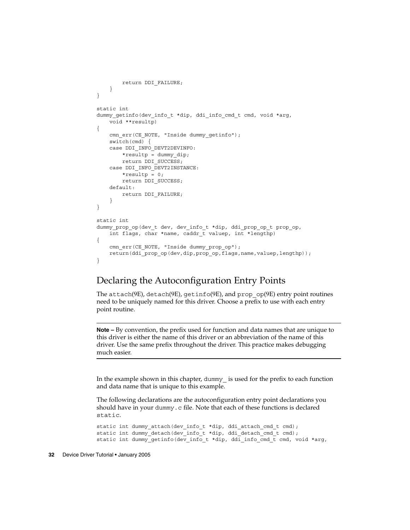```
return DDI_FAILURE;
    }
}
static int
dummy qetinfo(dev info t *dip, ddi info cmd t cmd, void *arg,
   void **resultp)
{
   cmn_err(CE_NOTE, "Inside dummy_getinfo");
    switch(cmd) {
    case DDI_INFO_DEVT2DEVINFO:
       *resultp = dummy_dip;
       return DDI_SUCCESS;
    case DDI_INFO_DEVT2INSTANCE:
       *resultp = 0;
        return DDI_SUCCESS;
    default:
        return DDI_FAILURE;
    }
}
static int
dummy_prop_op(dev_t dev, dev_info_t *dip, ddi_prop_op_t prop_op,
   int flags, char *name, caddr_t valuep, int *lengthp)
{
    cmn_err(CE_NOTE, "Inside dummy_prop_op");
    return(ddi_prop_op(dev,dip,prop_op,flags,name,valuep,lengthp));
}
```
#### Declaring the Autoconfiguration Entry Points

The attach(9E), detach(9E), getinfo(9E), and prop\_op(9E) entry point routines need to be uniquely named for this driver. Choose a prefix to use with each entry point routine.

**Note –** By convention, the prefix used for function and data names that are unique to this driver is either the name of this driver or an abbreviation of the name of this driver. Use the same prefix throughout the driver. This practice makes debugging much easier.

In the example shown in this chapter, dummy\_ is used for the prefix to each function and data name that is unique to this example.

The following declarations are the autoconfiguration entry point declarations you should have in your dummy.c file. Note that each of these functions is declared static.

```
static int dummy_attach(dev_info_t *dip, ddi_attach_cmd_t cmd);
static int dummy detach(dev info t *dip, ddi detach cmd t cmd);
static int dummy getinfo(dev info t *dip, ddi info cmd t cmd, void *arg,
```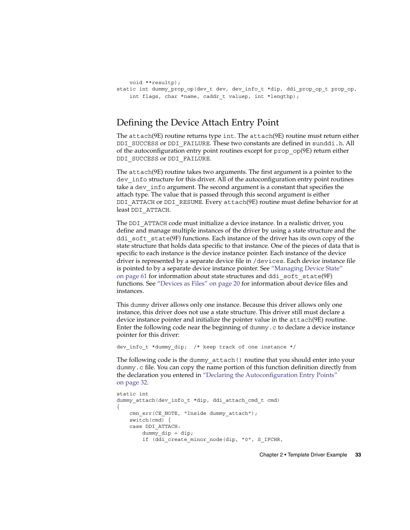```
void **resultp);
static int dummy prop op(dev t dev, dev info t *dip, ddi prop op t prop op,
    int flags, char *name, caddr_t valuep, int *lengthp);
```
#### Defining the Device Attach Entry Point

The attach(9E) routine returns type int. The attach(9E) routine must return either DDI\_SUCCESS or DDI\_FAILURE. These two constants are defined in sunddi.h. All of the autoconfiguration entry point routines except for prop\_op(9E) return either DDI\_SUCCESS or DDI\_FAILURE.

The attach(9E) routine takes two arguments. The first argument is a pointer to the dev info structure for this driver. All of the autoconfiguration entry point routines take a dev info argument. The second argument is a constant that specifies the attach type. The value that is passed through this second argument is either DDI\_ATTACH or DDI\_RESUME. Every attach(9E) routine must define behavior for at least DDI\_ATTACH.

The DDI\_ATTACH code must initialize a device instance. In a realistic driver, you define and manage multiple instances of the driver by using a state structure and the ddi soft state(9F) functions. Each instance of the driver has its own copy of the state structure that holds data specific to that instance. One of the pieces of data that is specific to each instance is the device instance pointer. Each instance of the device driver is represented by a separate device file in /devices. Each device instance file is pointed to by a separate device instance pointer. See ["Managing Device State"](#page-60-0) [on page 61](#page-60-0) for information about state structures and ddi\_soft\_state(9F) functions. See ["Devices as Files"](#page-19-0) on page 20 for information about device files and instances.

This dummy driver allows only one instance. Because this driver allows only one instance, this driver does not use a state structure. This driver still must declare a device instance pointer and initialize the pointer value in the attach(9E) routine. Enter the following code near the beginning of dummy.  $c$  to declare a device instance pointer for this driver:

dev info t \*dummy dip; /\* keep track of one instance \*/

The following code is the dummy\_attach() routine that you should enter into your dummy.c file. You can copy the name portion of this function definition directly from the declaration you entered in ["Declaring the Autoconfiguration Entry Points"](#page-31-0) [on page 32.](#page-31-0)

```
static int
dummy attach(dev info t *dip, ddi attach cmd t cmd)
{
    cmn_err(CE_NOTE, "Inside dummy_attach");
    switch(cmd) {
    case DDI_ATTACH:
        dummy dip = dip;
        if (ddi create minor node(dip, "0", S IFCHR,
```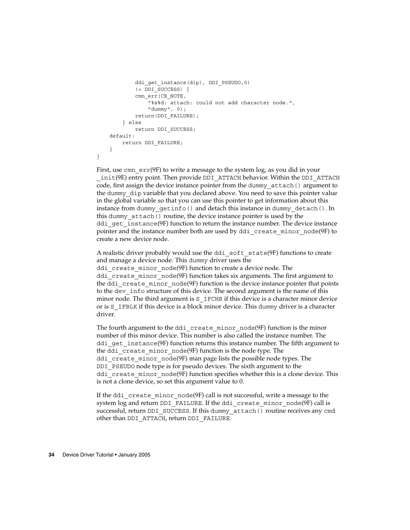```
ddi qet instance(dip), DDI PSEUDO,0)
            != DDI_SUCCESS) {
            cmn_err(CE_NOTE,
                "%s%d: attach: could not add character node.",
                "dummy", 0);
            return(DDI_FAILURE);
        } else
            return DDI_SUCCESS;
    default:
       return DDI_FAILURE;
    }
}
```
First, use cmn  $err(9F)$  to write a message to the system log, as you did in your  $\pm$ in $\pm$ (9E) entry point. Then provide DDI\_ATTACH behavior. Within the DDI\_ATTACH code, first assign the device instance pointer from the dummy\_attach() argument to the dummy\_dip variable that you declared above. You need to save this pointer value in the global variable so that you can use this pointer to get information about this instance from dummy getinfo() and detach this instance in dummy detach(). In this dummy attach() routine, the device instance pointer is used by the ddi get instance(9F) function to return the instance number. The device instance pointer and the instance number both are used by ddi\_create\_minor\_node(9F) to create a new device node.

A realistic driver probably would use the ddi soft state(9F) functions to create and manage a device node. This dummy driver uses the ddi create minor node(9F) function to create a device node. The ddi create minor node(9F) function takes six arguments. The first argument to the ddi\_create\_minor\_node(9F) function is the device instance pointer that points to the dev info structure of this device. The second argument is the name of this minor node. The third argument is S\_IFCHR if this device is a character minor device or is S\_IFBLK if this device is a block minor device. This dummy driver is a character driver.

The fourth argument to the ddi create minor node(9F) function is the minor number of this minor device. This number is also called the instance number. The ddi get instance(9F) function returns this instance number. The fifth argument to the ddi\_create\_minor\_node(9F) function is the node type. The ddi create minor node(9F) man page lists the possible node types. The DDI PSEUDO node type is for pseudo devices. The sixth argument to the ddi create minor node(9F) function specifies whether this is a clone device. This is not a clone device, so set this argument value to 0.

If the ddi create minor  $node(9F)$  call is not successful, write a message to the system log and return DDI\_FAILURE. If the ddi\_create\_minor\_node(9F) call is successful, return DDI\_SUCCESS. If this dummy\_attach() routine receives any cmd other than DDI\_ATTACH, return DDI\_FAILURE.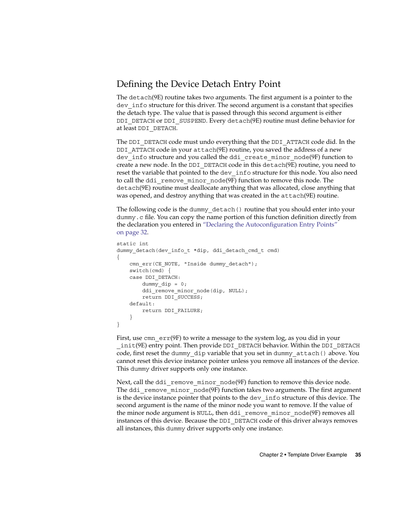#### Defining the Device Detach Entry Point

The detach(9E) routine takes two arguments. The first argument is a pointer to the dev info structure for this driver. The second argument is a constant that specifies the detach type. The value that is passed through this second argument is either DDI DETACH or DDI SUSPEND. Every detach(9E) routine must define behavior for at least DDI\_DETACH.

The DDI DETACH code must undo everything that the DDI ATTACH code did. In the DDI ATTACH code in your attach(9E) routine, you saved the address of a new dev info structure and you called the ddi create minor node(9F) function to create a new node. In the DDI\_DETACH code in this detach(9E) routine, you need to reset the variable that pointed to the dev\_info structure for this node. You also need to call the ddi\_remove\_minor\_node(9F) function to remove this node. The detach(9E) routine must deallocate anything that was allocated, close anything that was opened, and destroy anything that was created in the attach(9E) routine.

The following code is the dummy\_detach() routine that you should enter into your dummy.c file. You can copy the name portion of this function definition directly from the declaration you entered in ["Declaring the Autoconfiguration Entry Points"](#page-31-0) [on page 32.](#page-31-0)

```
static int
dummy detach(dev info t *dip, ddi detach cmd t cmd)
{
   cmn_err(CE_NOTE, "Inside dummy_detach");
   switch(cmd) {
    case DDI_DETACH:
        dummy dip = 0;ddi_remove_minor_node(dip, NULL);
        return DDI_SUCCESS;
    default:
        return DDI_FAILURE;
    }
}
```
First, use cmn err(9F) to write a message to the system log, as you did in your \_init(9E) entry point. Then provide DDI\_DETACH behavior. Within the DDI\_DETACH code, first reset the dummy\_dip variable that you set in dummy\_attach() above. You cannot reset this device instance pointer unless you remove all instances of the device. This dummy driver supports only one instance.

Next, call the ddi remove minor node(9F) function to remove this device node. The ddi remove  $\text{minor node}(9F)$  function takes two arguments. The first argument is the device instance pointer that points to the dev\_info structure of this device. The second argument is the name of the minor node you want to remove. If the value of the minor node argument is NULL, then ddi\_remove\_minor\_node(9F) removes all instances of this device. Because the DDI\_DETACH code of this driver always removes all instances, this dummy driver supports only one instance.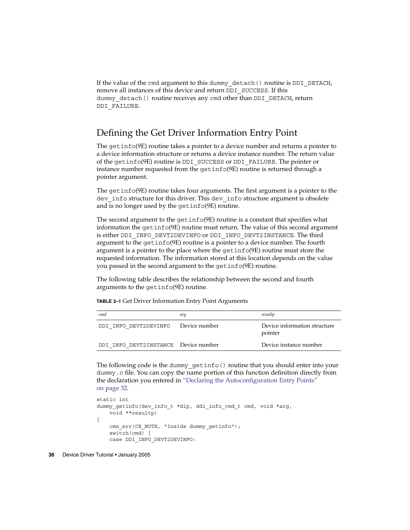If the value of the cmd argument to this dummy\_detach() routine is DDI\_DETACH, remove all instances of this device and return DDI\_SUCCESS. If this dummy detach() routine receives any cmd other than DDI DETACH, return DDI\_FAILURE.

#### Defining the Get Driver Information Entry Point

The getinfo(9E) routine takes a pointer to a device number and returns a pointer to a device information structure or returns a device instance number. The return value of the getinfo(9E) routine is DDI\_SUCCESS or DDI\_FAILURE. The pointer or instance number requested from the getinfo(9E) routine is returned through a pointer argument.

The getinfo(9E) routine takes four arguments. The first argument is a pointer to the dev info structure for this driver. This dev info structure argument is obsolete and is no longer used by the getinfo(9E) routine.

The second argument to the getinfo(9E) routine is a constant that specifies what information the getinfo(9E) routine must return. The value of this second argument is either DDI\_INFO\_DEVT2DEVINFO or DDI\_INFO\_DEVT2INSTANCE. The third argument to the getinfo(9E) routine is a pointer to a device number. The fourth argument is a pointer to the place where the getinfo(9E) routine must store the requested information. The information stored at this location depends on the value you passed in the second argument to the getinfo(9E) routine.

The following table describes the relationship between the second and fourth arguments to the getinfo(9E) routine.

| <b>TABLE 2-1</b> Get Driver Information Entry Point Arguments |  |
|---------------------------------------------------------------|--|
|---------------------------------------------------------------|--|

| cmd                                  | arg           | resultp                                 |
|--------------------------------------|---------------|-----------------------------------------|
| DDI INFO DEVT2DEVINFO                | Device number | Device information structure<br>pointer |
| DDI INFO DEVT2INSTANCE Device number |               | Device instance number                  |

The following code is the dummy\_getinfo() routine that you should enter into your dummy.c file. You can copy the name portion of this function definition directly from the declaration you entered in ["Declaring the Autoconfiguration Entry Points"](#page-31-0) [on page 32.](#page-31-0)

```
static int
dummy qetinfo(dev info t *dip, ddi info cmd t cmd, void *arg,
   void **resultp)
{
   cmn_err(CE_NOTE, "Inside dummy_getinfo");
   switch(cmd) {
   case DDI_INFO_DEVT2DEVINFO:
```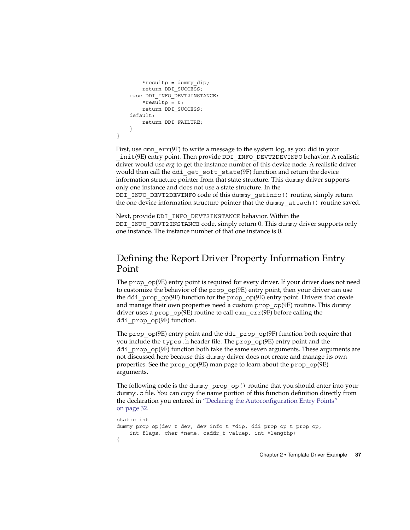```
*resultp = dummy dip;return DDI_SUCCESS;
    case DDI_INFO_DEVT2INSTANCE:
        *resultp = 0;return DDI_SUCCESS;
    default:
       return DDI_FAILURE;
    }
}
```
First, use cmn  $err(9F)$  to write a message to the system log, as you did in your \_init(9E) entry point. Then provide DDI\_INFO\_DEVT2DEVINFO behavior. A realistic driver would use *arg* to get the instance number of this device node. A realistic driver would then call the ddi get soft state(9F) function and return the device information structure pointer from that state structure. This dummy driver supports only one instance and does not use a state structure. In the

DDI\_INFO\_DEVT2DEVINFO code of this dummy\_getinfo() routine, simply return the one device information structure pointer that the dummy\_attach() routine saved.

Next, provide DDI\_INFO\_DEVT2INSTANCE behavior. Within the DDI\_INFO\_DEVT2INSTANCE code, simply return 0. This dummy driver supports only one instance. The instance number of that one instance is 0.

### Defining the Report Driver Property Information Entry Point

The prop\_op(9E) entry point is required for every driver. If your driver does not need to customize the behavior of the prop\_op(9E) entry point, then your driver can use the ddi prop  $op(9F)$  function for the prop  $op(9E)$  entry point. Drivers that create and manage their own properties need a custom prop  $op(9E)$  routine. This dummy driver uses a prop\_op(9E) routine to call cmn\_err(9F) before calling the ddi prop op(9F) function.

The prop\_op( $9E$ ) entry point and the ddi\_prop\_op( $9F$ ) function both require that you include the types.h header file. The prop\_op(9E) entry point and the ddi  $prop$   $op(9F)$  function both take the same seven arguments. These arguments are not discussed here because this dummy driver does not create and manage its own properties. See the prop\_op(9E) man page to learn about the prop\_op(9E) arguments.

The following code is the dummy prop op() routine that you should enter into your dummy.c file. You can copy the name portion of this function definition directly from the declaration you entered in ["Declaring the Autoconfiguration Entry Points"](#page-31-0) [on page 32.](#page-31-0)

```
static int
dummy_prop_op(dev_t dev, dev_info_t *dip, ddi_prop_op_t prop_op,
    int flags, char *name, caddr_t valuep, int *lengthp)
{
```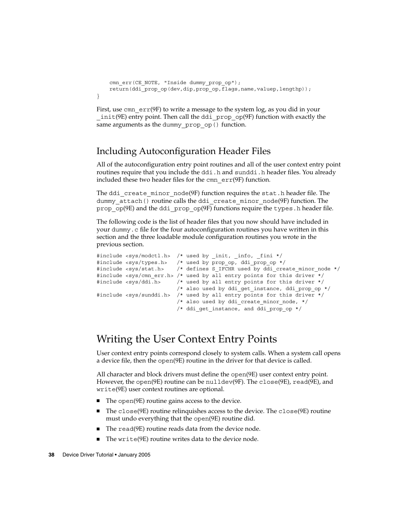```
cmn_err(CE_NOTE, "Inside dummy_prop_op");
   return(ddi_prop_op(dev,dip,prop_op,flags,name,valuep,lengthp));
}
```
First, use cmn  $err(9F)$  to write a message to the system log, as you did in your \_init(9E) entry point. Then call the ddi\_prop\_op(9F) function with exactly the same arguments as the dummy prop op() function.

### Including Autoconfiguration Header Files

All of the autoconfiguration entry point routines and all of the user context entry point routines require that you include the ddi.h and sunddi.h header files. You already included these two header files for the cmn\_err(9F) function.

The ddi create minor node(9F) function requires the stat.h header file. The dummy attach() routine calls the ddi create minor node(9F) function. The prop\_op(9E) and the ddi\_prop\_op(9F) functions require the types. h header file.

The following code is the list of header files that you now should have included in your dummy.c file for the four autoconfiguration routines you have written in this section and the three loadable module configuration routines you wrote in the previous section.

```
#include <sys/modctl.h> /* used by init, info, fini */
#include <sys/types.h> /* used by prop_op, ddi_prop_op */
#include <sys/stat.h> /* defines S_IFCHR used by ddi_create_minor_node */
#include <sys/cmn err.h> /* used by all entry points for this driver */
#include <sys/ddi.h> /* used by all entry points for this driver */
                        /* also used by ddi qet instance, ddi prop op */
#include <sys/sunddi.h> /* used by all entry points for this driver */
                        /* also used by ddi_create_minor_node, */
                        /* ddi_get_instance, and ddi_prop_op */
```
# Writing the User Context Entry Points

User context entry points correspond closely to system calls. When a system call opens a device file, then the open(9E) routine in the driver for that device is called.

All character and block drivers must define the open(9E) user context entry point. However, the open(9E) routine can be nulldev(9F). The close(9E), read(9E), and write(9E) user context routines are optional.

- The open(9E) routine gains access to the device.
- The close(9E) routine relinquishes access to the device. The close(9E) routine must undo everything that the open(9E) routine did.
- The read(9E) routine reads data from the device node.
- The write(9E) routine writes data to the device node.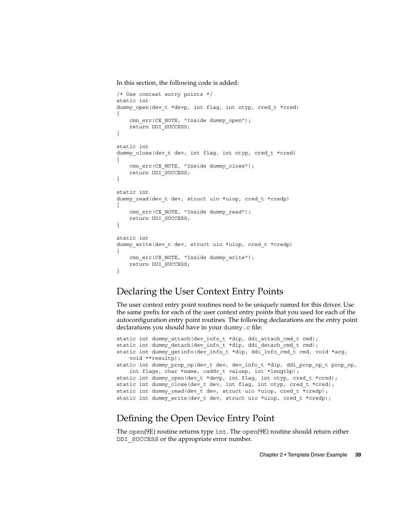<span id="page-38-0"></span>In this section, the following code is added:

```
/* Use context entry points */
static int
dummy_open(dev_t *devp, int flag, int otyp, cred_t *cred)
{
    cmn_err(CE_NOTE, "Inside dummy_open");
    return DDI_SUCCESS;
}
static int
dummy close(dev t dev, int flag, int otyp, cred t *cred)
{
    cmn_err(CE_NOTE, "Inside dummy_close");
    return DDI_SUCCESS;
}
static int
dummy_read(dev_t dev, struct uio *uiop, cred_t *credp)
{
    cmn_err(CE_NOTE, "Inside dummy_read");
   return DDI_SUCCESS;
}
static int
dummy_write(dev_t dev, struct uio *uiop, cred_t *credp)
{
    cmn_err(CE_NOTE, "Inside dummy_write");
    return DDI_SUCCESS;
}
```
### Declaring the User Context Entry Points

The user context entry point routines need to be uniquely named for this driver. Use the same prefix for each of the user context entry points that you used for each of the autoconfiguration entry point routines. The following declarations are the entry point declarations you should have in your dummy.c file:

```
static int dummy_attach(dev_info_t *dip, ddi_attach_cmd_t cmd);
static int dummy detach(dev info t *dip, ddi detach cmd t cmd);
static int dummy getinfo(dev info t *dip, ddi info cmd t cmd, void *arg,
   void **resultp);
static int dummy_prop_op(dev_t dev, dev_info_t *dip, ddi_prop_op_t prop_op,
   int flags, char *name, caddr t valuep, int *lengthp);
static int dummy open(dev t *devp, int flag, int otyp, cred t *cred);
static int dummy close(dev t dev, int flag, int otyp, cred t *cred);
static int dummy read(dev t dev, struct uio *uiop, cred t *credp);
static int dummy write(dev t dev, struct uio *uiop, cred t *credp);
```
### Defining the Open Device Entry Point

The open(9E) routine returns type int. The open(9E) routine should return either DDI SUCCESS or the appropriate error number.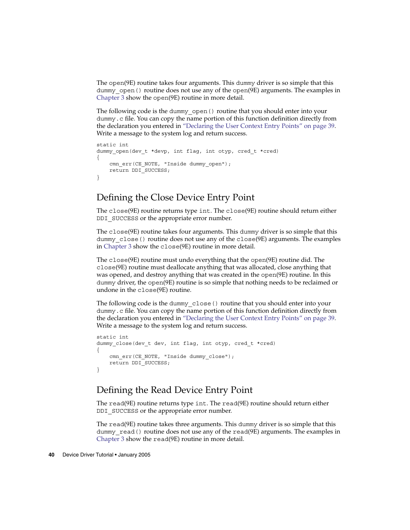The open(9E) routine takes four arguments. This dummy driver is so simple that this dummy open () routine does not use any of the open(9E) arguments. The examples in [Chapter 3](#page-56-0) show the open(9E) routine in more detail.

The following code is the dummy\_open() routine that you should enter into your dummy.c file. You can copy the name portion of this function definition directly from the declaration you entered in ["Declaring the User Context Entry Points"](#page-38-0) on page 39. Write a message to the system log and return success.

```
static int
dummy_open(dev_t *devp, int flag, int otyp, cred_t *cred)
{
    cmn_err(CE_NOTE, "Inside dummy_open");
   return DDI_SUCCESS;
}
```
### Defining the Close Device Entry Point

The close(9E) routine returns type int. The close(9E) routine should return either DDI SUCCESS or the appropriate error number.

The close(9E) routine takes four arguments. This dummy driver is so simple that this dummy close() routine does not use any of the close(9E) arguments. The examples in [Chapter 3](#page-56-0) show the close(9E) routine in more detail.

The close(9E) routine must undo everything that the open(9E) routine did. The close(9E) routine must deallocate anything that was allocated, close anything that was opened, and destroy anything that was created in the open(9E) routine. In this dummy driver, the open(9E) routine is so simple that nothing needs to be reclaimed or undone in the close(9E) routine.

The following code is the dummy\_close() routine that you should enter into your dummy.c file. You can copy the name portion of this function definition directly from the declaration you entered in ["Declaring the User Context Entry Points"](#page-38-0) on page 39. Write a message to the system log and return success.

```
static int
dummy_close(dev_t dev, int flag, int otyp, cred_t *cred)
{
    cmn_err(CE_NOTE, "Inside dummy_close");
   return DDI_SUCCESS;
}
```
### Defining the Read Device Entry Point

The read(9E) routine returns type int. The read(9E) routine should return either DDI SUCCESS or the appropriate error number.

The read(9E) routine takes three arguments. This dummy driver is so simple that this dummy  $real()$  routine does not use any of the read(9E) arguments. The examples in [Chapter 3](#page-56-0) show the read(9E) routine in more detail.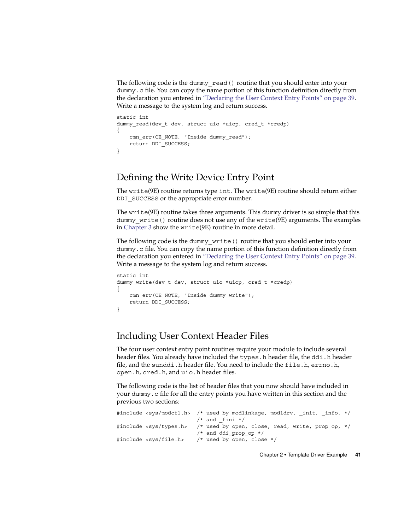The following code is the dummy\_read() routine that you should enter into your dummy.c file. You can copy the name portion of this function definition directly from the declaration you entered in ["Declaring the User Context Entry Points"](#page-38-0) on page 39. Write a message to the system log and return success.

```
static int
dummy read(dev t dev, struct uio *uiop, cred t *credp)
{
    cmn_err(CE_NOTE, "Inside dummy_read");
    return DDI_SUCCESS;
}
```
### Defining the Write Device Entry Point

The write(9E) routine returns type int. The write(9E) routine should return either DDI\_SUCCESS or the appropriate error number.

The write(9E) routine takes three arguments. This dummy driver is so simple that this dummy write() routine does not use any of the write(9E) arguments. The examples in [Chapter 3](#page-56-0) show the write(9E) routine in more detail.

The following code is the dummy\_write() routine that you should enter into your dummy.c file. You can copy the name portion of this function definition directly from the declaration you entered in ["Declaring the User Context Entry Points"](#page-38-0) on page 39. Write a message to the system log and return success.

```
static int
dummy write(dev t dev, struct uio *uiop, cred t *credp)
{
    cmn_err(CE_NOTE, "Inside dummy_write");
   return DDI_SUCCESS;
}
```
### Including User Context Header Files

The four user context entry point routines require your module to include several header files. You already have included the types.h header file, the ddi.h header file, and the sunddi.h header file. You need to include the file.h, errno.h, open.h, cred.h, and uio.h header files.

The following code is the list of header files that you now should have included in your dummy.c file for all the entry points you have written in this section and the previous two sections:

|                                | #include <sys modctl.h=""> /* used by modlinkage, modldrv, init, info, */</sys>  |  |
|--------------------------------|----------------------------------------------------------------------------------|--|
|                                | $/*$ and fini $*/$                                                               |  |
|                                | #include <sys types.h=""> /* used by open, close, read, write, prop op, */</sys> |  |
|                                | $/*$ and ddi prop op $*/$                                                        |  |
| #include <sys file.h=""></sys> | $/*$ used by open, close $*/$                                                    |  |
|                                |                                                                                  |  |

Chapter 2 • Template Driver Example **41**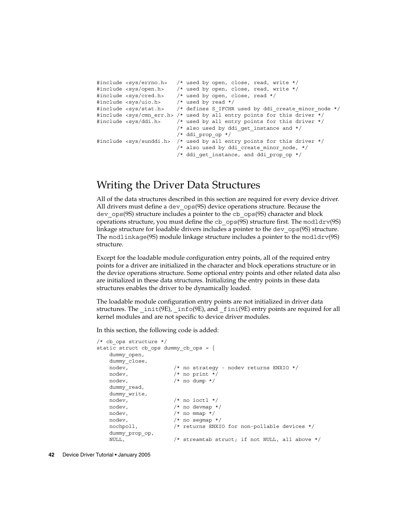```
#include <sys/errno.h> /* used by open, close, read, write */
#include <sys/open.h> /* used by open, close, read, write */
#include <sys/cred.h> /* used by open, close, read */
#include <sys/uio.h> /* used by read */
#include <sys/stat.h> /* defines S_IFCHR used by ddi_create_minor_node */
#include <sys/cmn_err.h> /* used by all entry points for this driver */
#include <sys/ddi.h> /* used by all entry points for this driver */
                        /* also used by ddi_get_instance and */
                        /* ddi_prop_op */
#include <sys/sunddi.h> /* used by all entry points for this driver */
                        /* also used by ddi_create_minor_node, */
                        /* ddi_get_instance, and ddi_prop_op */
```
## Writing the Driver Data Structures

All of the data structures described in this section are required for every device driver. All drivers must define a dev ops(9S) device operations structure. Because the dev ops(9S) structure includes a pointer to the cb ops(9S) character and block operations structure, you must define the cb  $ops(9S)$  structure first. The modldrv $(9S)$ linkage structure for loadable drivers includes a pointer to the dev\_ops(9S) structure. The modlinkage(9S) module linkage structure includes a pointer to the modldrv(9S) structure.

Except for the loadable module configuration entry points, all of the required entry points for a driver are initialized in the character and block operations structure or in the device operations structure. Some optional entry points and other related data also are initialized in these data structures. Initializing the entry points in these data structures enables the driver to be dynamically loaded.

The loadable module configuration entry points are not initialized in driver data structures. The  $int(9E)$ ,  $into(9E)$ , and  $f_1$ ini(9E) entry points are required for all kernel modules and are not specific to device driver modules.

In this section, the following code is added:

```
/* cb_ops structure */
static struct cb ops dummy cb ops = {
   dummy_open,
   dummy_close,
   nodev, /* no strategy - nodev returns ENXIO */
   nodev, /* no print */
   nodev, /* no dump */
  dummy_read,
  dummy_write,
   nodev, /* no ioctl */\frac{1}{x} nodev, \frac{1}{x} no devmap \frac{x}{x}nodev, /* no mmap */
   nodev, /* no segmap */
   nochpoll, /* returns ENXIO for non-pollable devices */
   dummy_prop_op,
   NULL, /* streamtab struct; if not NULL, all above */
```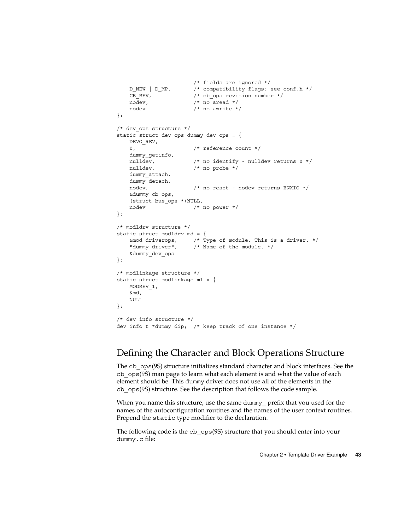```
/* fields are ignored */
   \begin{tabular}{llllll} D_NEW & D_MP, & /* compatibility flags: see conf.h */\\ CB REV, & /* cb_ops revision number */\\ \end{tabular}/* cb ops revision number */
   nodev, /* no aread */nodev /* no awrite */
};
/* dev_ops structure */
static struct dev_ops dummy_dev_ops = {
   DEVO_REV,
   0, /* reference count */dummy_getinfo,
   nulldev, \frac{1}{x} no identify - nulldev returns 0 */
   nulldev, /* no probe */dummy_attach,
   dummy_detach,
   nodev, /* no reset - nodev returns ENXIO */
   &dummy_cb_ops,
    (struct bus_ops *)NULL,
   nodev /* no power */
};
/* modldrv structure */
static struct modldrv md = {
    &mod driverops, \frac{1}{2} /* Type of module. This is a driver. */
    "dummy driver", /* Name of the module. */
    &dummy_dev_ops
};
/* modlinkage structure */
static struct modlinkage ml = {
   MODREV_1,
   &md,
   NULL.
};
/* dev info structure */dev info t *dummy dip; /* keep track of one instance */
```
### Defining the Character and Block Operations Structure

The cb ops(9S) structure initializes standard character and block interfaces. See the cb\_ops(9S) man page to learn what each element is and what the value of each element should be. This dummy driver does not use all of the elements in the cb\_ops(9S) structure. See the description that follows the code sample.

When you name this structure, use the same dummy<sub>prefix</sub> that you used for the names of the autoconfiguration routines and the names of the user context routines. Prepend the static type modifier to the declaration.

The following code is the cb ops(9S) structure that you should enter into your dummy.c file: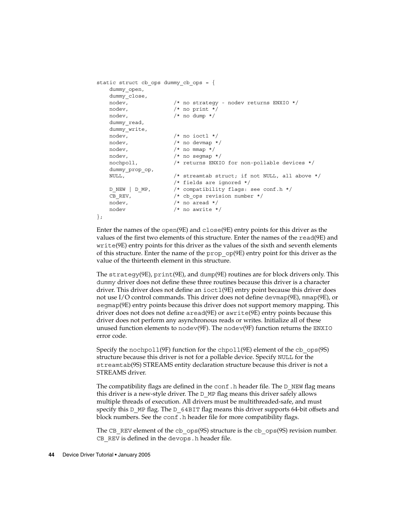```
static struct cb ops dummy cb ops = {
   dummy_open,
   dummy_close,
   nodev, /* no strategy - nodev returns ENXIO */
   nodev, /* no print */
   nodev, /* no dump */
   dummy_read,
   dummy_write,
   nodev, /* no ioctl */nodev, /* no devmap */
   nodev, \frac{1}{\sqrt{2}} /* no mmap */
   nodev, /* no segmap */
   nochpoll, /* returns ENXIO for non-pollable devices */
   dummy_prop_op,
   NULL, \sqrt{*} streamtab struct; if not NULL, all above *//* fields are ignored */
   D_NEW | D_MP, \hspace{1cm} /* compatibility flags: see conf.h */
   D_NEW | D_MP, <br>CB_REV, <br>/* cb_ops revision number */
   nodev, /* no aread */nodev /* no awrite */
};
```
Enter the names of the open(9E) and close(9E) entry points for this driver as the values of the first two elements of this structure. Enter the names of the read(9E) and write(9E) entry points for this driver as the values of the sixth and seventh elements of this structure. Enter the name of the prop\_op(9E) entry point for this driver as the value of the thirteenth element in this structure.

The strategy(9E), print(9E), and dump(9E) routines are for block drivers only. This dummy driver does not define these three routines because this driver is a character driver. This driver does not define an ioctl(9E) entry point because this driver does not use I/O control commands. This driver does not define devmap(9E), mmap(9E), or segmap(9E) entry points because this driver does not support memory mapping. This driver does not does not define aread(9E) or awrite(9E) entry points because this driver does not perform any asynchronous reads or writes. Initialize all of these unused function elements to nodev(9F). The nodev(9F) function returns the ENXIO error code.

Specify the nochpoll(9F) function for the chpoll(9E) element of the cb  $\text{ops}(9S)$ structure because this driver is not for a pollable device. Specify NULL for the streamtab(9S) STREAMS entity declaration structure because this driver is not a STREAMS driver.

The compatibility flags are defined in the conf. h header file. The  $D$  NEW flag means this driver is a new-style driver. The D\_MP flag means this driver safely allows multiple threads of execution. All drivers must be multithreaded-safe, and must specify this D\_MP flag. The D\_64BIT flag means this driver supports 64-bit offsets and block numbers. See the conf.h header file for more compatibility flags.

The CB REV element of the cb  $\cos(9S)$  structure is the cb  $\cos(9S)$  revision number. CB REV is defined in the devops.h header file.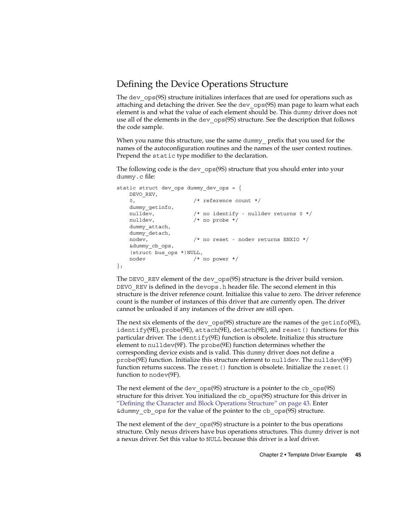### <span id="page-44-0"></span>Defining the Device Operations Structure

The dev  $ops(9S)$  structure initializes interfaces that are used for operations such as attaching and detaching the driver. See the dev\_ops(9S) man page to learn what each element is and what the value of each element should be. This dummy driver does not use all of the elements in the dev  $ops(9S)$  structure. See the description that follows the code sample.

When you name this structure, use the same dummy prefix that you used for the names of the autoconfiguration routines and the names of the user context routines. Prepend the static type modifier to the declaration.

The following code is the dev ops(9S) structure that you should enter into your dummy.c file:

```
static struct dev ops dummy dev ops = {
   DEVO_REV,
   0, /* reference count */dummy_getinfo,
   nulldev, /* no identify - nulldev returns 0 */
   nulldev, /* no probe */dummy_attach,
   dummy_detach,
   nodev, \frac{1}{\sqrt{2}} no reset - nodev returns ENXIO */
   &dummy_cb_ops,
   (struct bus_ops *)NULL,
   nodev /* no power */
};
```
The DEVO\_REV element of the dev\_ops(9S) structure is the driver build version. DEVO REV is defined in the devops.h header file. The second element in this structure is the driver reference count. Initialize this value to zero. The driver reference count is the number of instances of this driver that are currently open. The driver cannot be unloaded if any instances of the driver are still open.

The next six elements of the dev ops(9S) structure are the names of the getinfo(9E), identify(9E), probe(9E), attach(9E), detach(9E), and reset() functions for this particular driver. The  $identity(9E)$  function is obsolete. Initialize this structure element to nulldev(9F). The probe(9E) function determines whether the corresponding device exists and is valid. This dummy driver does not define a probe(9E) function. Initialize this structure element to nulldev. The nulldev(9F) function returns success. The reset () function is obsolete. Initialize the reset () function to nodev(9F).

The next element of the dev  $ops(9S)$  structure is a pointer to the cb  $ops(9S)$ structure for this driver. You initialized the cb ops(9S) structure for this driver in ["Defining the Character and Block Operations Structure"](#page-42-0) on page 43. Enter  $\&$  dummy cb ops for the value of the pointer to the cb ops(9S) structure.

The next element of the dev ops(9S) structure is a pointer to the bus operations structure. Only nexus drivers have bus operations structures. This dummy driver is not a nexus driver. Set this value to NULL because this driver is a leaf driver.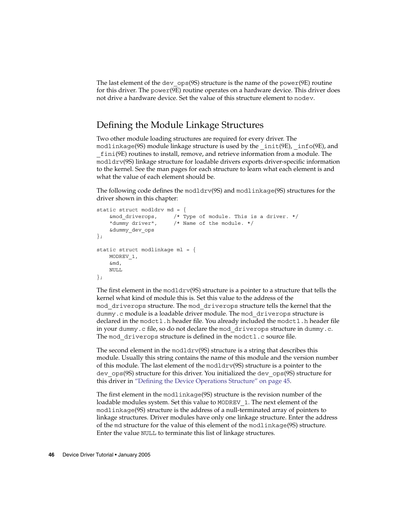The last element of the dev  $ops(9S)$  structure is the name of the power $(9E)$  routine for this driver. The power(9E) routine operates on a hardware device. This driver does not drive a hardware device. Set the value of this structure element to nodev.

### Defining the Module Linkage Structures

Two other module loading structures are required for every driver. The modlinkage(9S) module linkage structure is used by the init(9E), info(9E), and \_fini(9E) routines to install, remove, and retrieve information from a module. The modldrv(9S) linkage structure for loadable drivers exports driver-specific information to the kernel. See the man pages for each structure to learn what each element is and what the value of each element should be.

The following code defines the modldrv(9S) and modlinkage(9S) structures for the driver shown in this chapter:

```
static struct modldrv md = {
   &mod_driverops, /* Type of module. This is a driver. */
   "dummy driver", /* Name of the module. */
   &dummy_dev_ops
};
static struct modlinkage ml = {
   MODREV_1,
   &md,
   NULL
};
```
The first element in the modldrv(9S) structure is a pointer to a structure that tells the kernel what kind of module this is. Set this value to the address of the mod\_driverops structure. The mod\_driverops structure tells the kernel that the dummy.c module is a loadable driver module. The mod\_driverops structure is declared in the modctl.h header file. You already included the modctl.h header file in your dummy.c file, so do not declare the mod\_driverops structure in dummy.c. The mod driverops structure is defined in the modctl.c source file.

The second element in the modldrv(9S) structure is a string that describes this module. Usually this string contains the name of this module and the version number of this module. The last element of the modldrv(9S) structure is a pointer to the dev\_ops(9S) structure for this driver. You initialized the dev\_ops(9S) structure for this driver in ["Defining the Device Operations Structure"](#page-44-0) on page 45.

The first element in the modlinkage(9S) structure is the revision number of the loadable modules system. Set this value to MODREV\_1. The next element of the modlinkage(9S) structure is the address of a null-terminated array of pointers to linkage structures. Driver modules have only one linkage structure. Enter the address of the md structure for the value of this element of the modlinkage(9S) structure. Enter the value NULL to terminate this list of linkage structures.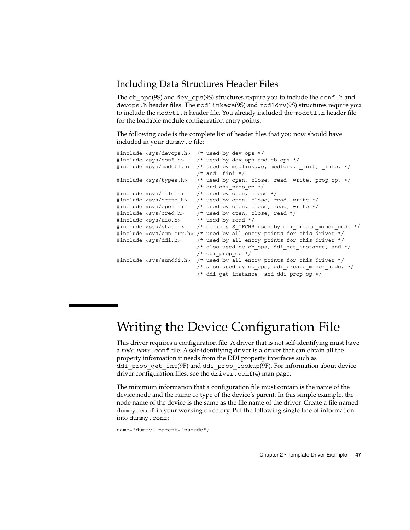### Including Data Structures Header Files

The cb  $ops(9S)$  and dev  $ops(9S)$  structures require you to include the conf.h and devops.h header files. The modlinkage(9S) and modldrv(9S) structures require you to include the modctl.h header file. You already included the modctl.h header file for the loadable module configuration entry points.

The following code is the complete list of header files that you now should have included in your dummy.c file:

```
#include <sys/devops.h> /* used by dev ops */
#include <sys/conf.h> /* used by dev ops and cb ops */
#include <sys/modctl.h> /* used by modlinkage, modldrv, init, info, */
                        /* and _fini */#include <sys/types.h> /* used by open, close, read, write, prop_op, */
                        /* and ddi_prop_op */
#include <sys/file.h> /* used by open, close */
#include <sys/errno.h> /* used by open, close, read, write */
#include <sys/open.h> /* used by open, close, read, write */
#include <sys/cred.h> /* used by open, close, read */
#include <sys/uio.h>
#include <sys/stat.h> /* defines S_IFCHR used by ddi create minor node */
#include <sys/cmn err.h> /* used by all entry points for this driver */
#include <sys/ddi.h> /* used by all entry points for this driver */
                        /* also used by cb_ops, ddi_get_instance, and */
                        /* ddi prop_op */
#include <sys/sunddi.h> /* used by all entry points for this driver */
                        /* also used by cb ops, ddi create minor node, */
                        /* ddi_get_instance, and ddi_prop_op */
```
# Writing the Device Configuration File

This driver requires a configuration file. A driver that is not self-identifying must have a *node\_name*.conf file. A self-identifying driver is a driver that can obtain all the property information it needs from the DDI property interfaces such as ddi prop get int(9F) and ddi prop lookup(9F). For information about device driver configuration files, see the driver.conf(4) man page.

The minimum information that a configuration file must contain is the name of the device node and the name or type of the device's parent. In this simple example, the node name of the device is the same as the file name of the driver. Create a file named dummy.conf in your working directory. Put the following single line of information into dummy.conf:

name="dummy" parent="pseudo";

Chapter 2 • Template Driver Example **47**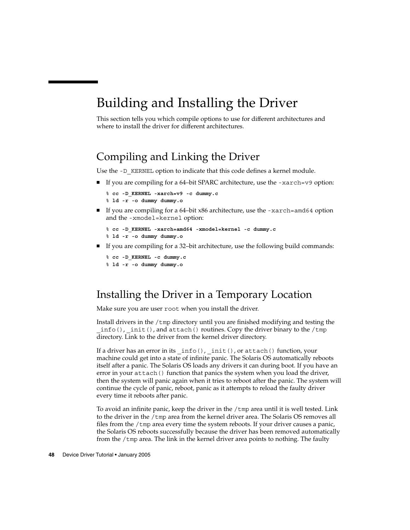# <span id="page-47-0"></span>Building and Installing the Driver

This section tells you which compile options to use for different architectures and where to install the driver for different architectures.

## Compiling and Linking the Driver

Use the  $-D$  KERNEL option to indicate that this code defines a kernel module.

 $\blacksquare$  If you are compiling for a 64-bit SPARC architecture, use the -xarch=v9 option:

```
% cc -D_KERNEL -xarch=v9 -c dummy.c
% ld -r -o dummy dummy.o
```
■ If you are compiling for a 64–bit x86 architecture, use the -xarch=amd64 option and the -xmodel=kernel option:

```
% cc -D_KERNEL -xarch=amd64 -xmodel=kernel -c dummy.c
% ld -r -o dummy dummy.o
```
■ If you are compiling for a 32-bit architecture, use the following build commands:

```
% cc -D_KERNEL -c dummy.c
% ld -r -o dummy dummy.o
```
## Installing the Driver in a Temporary Location

Make sure you are user root when you install the driver.

Install drivers in the /tmp directory until you are finished modifying and testing the info(), init(), and attach() routines. Copy the driver binary to the /tmp directory. Link to the driver from the kernel driver directory.

If a driver has an error in its  $info()$ ,  $init()$ , or attach() function, your machine could get into a state of infinite panic. The Solaris OS automatically reboots itself after a panic. The Solaris OS loads any drivers it can during boot. If you have an error in your attach() function that panics the system when you load the driver, then the system will panic again when it tries to reboot after the panic. The system will continue the cycle of panic, reboot, panic as it attempts to reload the faulty driver every time it reboots after panic.

To avoid an infinite panic, keep the driver in the /tmp area until it is well tested. Link to the driver in the /tmp area from the kernel driver area. The Solaris OS removes all files from the /tmp area every time the system reboots. If your driver causes a panic, the Solaris OS reboots successfully because the driver has been removed automatically from the /tmp area. The link in the kernel driver area points to nothing. The faulty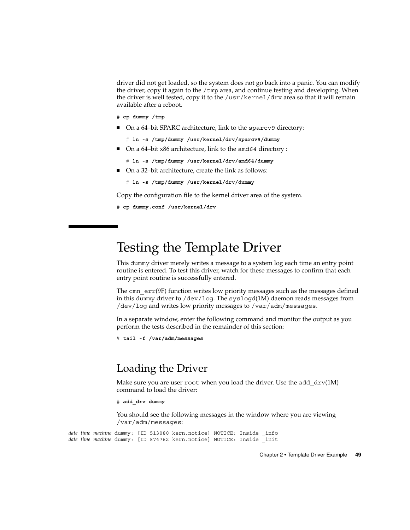<span id="page-48-0"></span>driver did not get loaded, so the system does not go back into a panic. You can modify the driver, copy it again to the  $/$ tmp area, and continue testing and developing. When the driver is well tested, copy it to the /usr/kernel/drv area so that it will remain available after a reboot.

- # **cp dummy /tmp**
- On a 64-bit SPARC architecture, link to the sparcv9 directory:
	- # **ln -s /tmp/dummy /usr/kernel/drv/sparcv9/dummy**
- On a 64–bit x86 architecture, link to the amd64 directory :
	- # **ln -s /tmp/dummy /usr/kernel/drv/amd64/dummy**
- On a 32–bit architecture, create the link as follows:
	- # **ln -s /tmp/dummy /usr/kernel/drv/dummy**

Copy the configuration file to the kernel driver area of the system.

```
# cp dummy.conf /usr/kernel/drv
```
# Testing the Template Driver

This dummy driver merely writes a message to a system log each time an entry point routine is entered. To test this driver, watch for these messages to confirm that each entry point routine is successfully entered.

The cmn  $err(9F)$  function writes low priority messages such as the messages defined in this dummy driver to /dev/log. The syslogd(1M) daemon reads messages from /dev/log and writes low priority messages to /var/adm/messages.

In a separate window, enter the following command and monitor the output as you perform the tests described in the remainder of this section:

```
% tail -f /var/adm/messages
```
## Loading the Driver

Make sure you are user root when you load the driver. Use the add drv(1M) command to load the driver:

```
# add_drv dummy
```
You should see the following messages in the window where you are viewing /var/adm/messages:

*date time machine* dummy: [ID 513080 kern.notice] NOTICE: Inside \_info *date time machine* dummy: [ID 874762 kern.notice] NOTICE: Inside \_init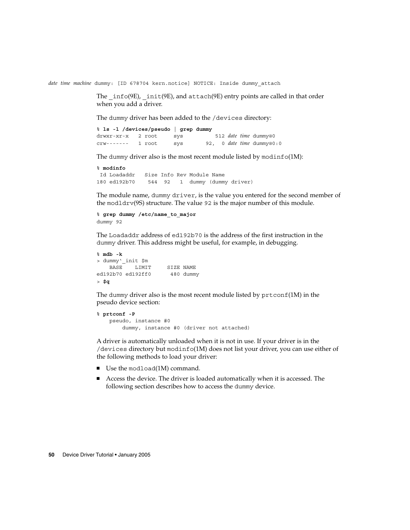*date time machine* dummy: [ID 678704 kern.notice] NOTICE: Inside dummy\_attach

The  $info(9E)$ ,  $init(9E)$ , and  $attach(9E)$  entry points are called in that order when you add a driver.

The dummy driver has been added to the /devices directory:

% **ls -l /devices/pseudo | grep dummy** drwxr-xr-x 2 root sys 512 *date time* dummy@0 crw------- 1 root sys 92, 0 *date time* dummy@0:0

The dummy driver also is the most recent module listed by modinfo(1M):

```
% modinfo
Id Loadaddr Size Info Rev Module Name
180 ed192b70 544 92 1 dummy (dummy driver)
```
The module name, dummy driver, is the value you entered for the second member of the modldrv(9S) structure. The value 92 is the major number of this module.

```
% grep dummy /etc/name_to_major
dummy 92
```
The Loadaddr address of ed192b70 is the address of the first instruction in the dummy driver. This address might be useful, for example, in debugging.

```
% mdb -k
> dummy'_init $m
  BASE LIMIT SIZE NAME
ed192b70 ed192ff0 480 dummy
> $q
```
The dummy driver also is the most recent module listed by  $\text{prtconf}(1M)$  in the pseudo device section:

```
% prtconf -P
   pseudo, instance #0
        dummy, instance #0 (driver not attached)
```
A driver is automatically unloaded when it is not in use. If your driver is in the /devices directory but modinfo(1M) does not list your driver, you can use either of the following methods to load your driver:

- Use the modload(1M) command.
- Access the device. The driver is loaded automatically when it is accessed. The following section describes how to access the dummy device.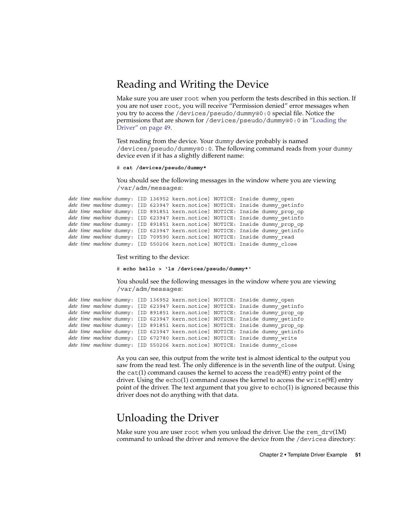## Reading and Writing the Device

Make sure you are user root when you perform the tests described in this section. If you are not user root, you will receive "Permission denied" error messages when you try to access the /devices/pseudo/dummy@0:0 special file. Notice the permissions that are shown for /devices/pseudo/dummy@0:0 in ["Loading the](#page-48-0) Driver" [on page 49.](#page-48-0)

Test reading from the device. Your dummy device probably is named /devices/pseudo/dummy@0:0. The following command reads from your dummy device even if it has a slightly different name:

# **cat /devices/pseudo/dummy\***

You should see the following messages in the window where you are viewing /var/adm/messages:

```
date time machine dummy: [ID 136952 kern.notice] NOTICE: Inside dummy_open
date time machine dummy: [ID 623947 kern.notice] NOTICE: Inside dummy_getinfo
date time machine dummy: [ID 891851 kern.notice] NOTICE: Inside dummy_prop_op
date time machine dummy: [ID 623947 kern.notice] NOTICE: Inside dummy_getinfo
date time machine dummy: [ID 891851 kern.notice] NOTICE: Inside dummy_prop_op
date time machine dummy: [ID 623947 kern.notice] NOTICE: Inside dummy_getinfo
date time machine dummy: [ID 709590 kern.notice] NOTICE: Inside dummy_read
date time machine dummy: [ID 550206 kern.notice] NOTICE: Inside dummy_close
```
Test writing to the device:

# **echo hello > 'ls /devices/pseudo/dummy\*'**

You should see the following messages in the window where you are viewing /var/adm/messages:

```
date time machine dummy: [ID 136952 kern.notice] NOTICE: Inside dummy_open
date time machine dummy: [ID 623947 kern.notice] NOTICE: Inside dummy_getinfo
date time machine dummy: [ID 891851 kern.notice] NOTICE: Inside dummy_prop_op
date time machine dummy: [ID 623947 kern.notice] NOTICE: Inside dummy_getinfo
date time machine dummy: [ID 891851 kern.notice] NOTICE: Inside dummy_prop_op
date time machine dummy: [ID 623947 kern.notice] NOTICE: Inside dummy_getinfo
date time machine dummy: [ID 672780 kern.notice] NOTICE: Inside dummy write
date time machine dummy: [ID 550206 kern.notice] NOTICE: Inside dummy_close
```
As you can see, this output from the write test is almost identical to the output you saw from the read test. The only difference is in the seventh line of the output. Using the  $cat(1)$  command causes the kernel to access the  $read(9E)$  entry point of the driver. Using the echo(1) command causes the kernel to access the write(9E) entry point of the driver. The text argument that you give to echo(1) is ignored because this driver does not do anything with that data.

# Unloading the Driver

Make sure you are user root when you unload the driver. Use the rem  $\text{drv}(1\text{M})$ command to unload the driver and remove the device from the /devices directory: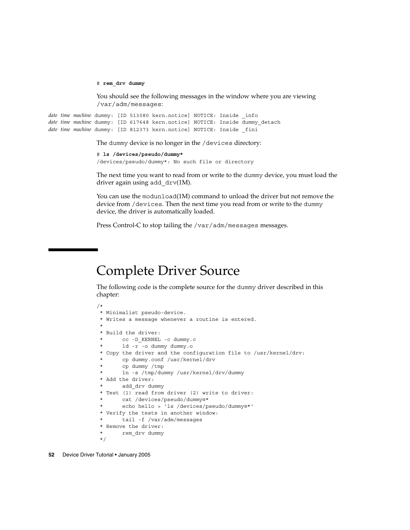# **rem\_drv dummy**

You should see the following messages in the window where you are viewing /var/adm/messages:

*date time machine* dummy: [ID 513080 kern.notice] NOTICE: Inside \_info *date time machine* dummy: [ID 617648 kern.notice] NOTICE: Inside dummy\_detach *date time machine* dummy: [ID 812373 kern.notice] NOTICE: Inside \_fini

The dummy device is no longer in the /devices directory:

```
# ls /devices/pseudo/dummy*
/devices/pseudo/dummy*: No such file or directory
```
The next time you want to read from or write to the dummy device, you must load the driver again using add drv(1M).

You can use the modunload(1M) command to unload the driver but not remove the device from /devices. Then the next time you read from or write to the dummy device, the driver is automatically loaded.

Press Control-C to stop tailing the /var/adm/messages messages.

# Complete Driver Source

The following code is the complete source for the dummy driver described in this chapter:

```
/*
* Minimalist pseudo-device.
* Writes a message whenever a routine is entered.
 *
* Build the driver:
      * cc -D_KERNEL -c dummy.c
       1d -r -o dummy dummy.o
* Copy the driver and the configuration file to /usr/kernel/drv:
       cp dummy.conf /usr/kernel/drv
       cp dummy /tmp
      ln -s /tmp/dummy /usr/kernel/drv/dummy
* Add the driver:
      add drv dummy
* Test (1) read from driver (2) write to driver:
       * cat /devices/pseudo/dummy@*
       * echo hello > 'ls /devices/pseudo/dummy@*'
* Verify the tests in another window:
      tail -f /var/adm/messages
* Remove the driver:
      rem drv dummy
*/
```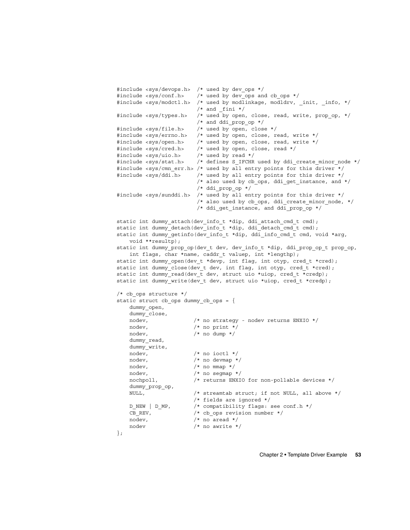```
#include <sys/devops.h> /* used by dev ops */
#include <sys/conf.h> /* used by dev ops and cb ops */
#include <sys/modctl.h> /* used by modlinkage, modldrv, init, info, */
                       /* and fini */#include <sys/types.h> /* used by open, close, read, write, prop_op, */
                      /* and ddi prop op */#include <sys/file.h> /* used by open, close */
#include <sys/errno.h> /* used by open, close, read, write */
#include <sys/open.h> /* used by open, close, read, write */
#include <sys/cred.h> /* used by open, close, read */
#include <sys/uio.h> /* used by read */
#include <sys/stat.h> /* defines S_IFCHR used by ddi_create_minor_node */
#include <sys/cmn err.h> /* used by all entry points for this driver */
#include <sys/ddi.h> /* used by all entry points for this driver */
                       /* also used by cb ops, ddi get instance, and */
                       /* ddi_prop_op */
#include <sys/sunddi.h> /* used by all entry points for this driver */
                       /* also used by cb ops, ddi create minor node, */
                       /* ddi get instance, and ddi prop op */
static int dummy attach(dev info t *dip, ddi attach cmd t cmd);
static int dummy detach(dev info t *dip, ddi detach cmd t cmd);
static int dummy_getinfo(dev_info_t *dip, ddi_info_cmd_t cmd, void *arg,
   void **resultp);
static int dummy_prop_op(dev_t dev, dev_info_t *dip, ddi_prop_op_t prop_op,
   int flags, char *name, caddr t valuep, int *lengthp);
static int dummy_open(dev_t *devp, int flag, int otyp, cred_t *cred);
static int dummy_close(dev_t dev, int flag, int otyp, cred_t *cred);
static int dummy read(dev t dev, struct uio *uiop, cred t *credp);
static int dummy write(dev t dev, struct uio *uiop, cred t *credp);
/* cb_ops structure */
static struct cb ops dummy cb ops = {
   dummy_open,
   dummy_close,
   nodev, /* no strategy - nodev returns ENXIO */
   nodev, /* no print */
   nodev, /* no dump */dummy_read,
   dummy_write,
   nodev, /* no ioctl */nodev, /* no devmap */
   nodev, /* no mmap */
   nodev, /* no segmap */
   nochpoll, /* returns ENXIO for non-pollable devices */
   dummy_prop_op,
   NULL, /* streamtab struct; if not NULL, all above */
                     /* fields are ignored */
   D_NEW | D_MP, /* compatibility flags: see conf.h */
   CB REV, /* cb ops revision number */nodev, /* no aread */
   nodev /* no awrite */
};
```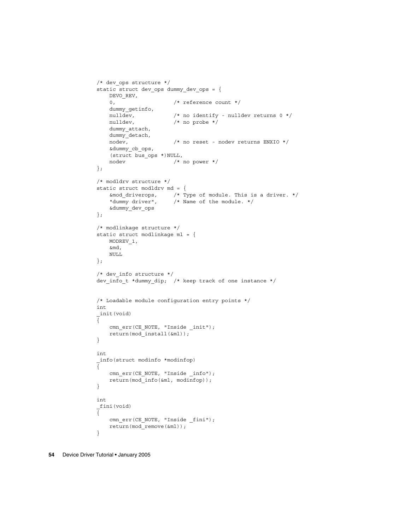```
/* dev_ops structure */
static struct dev_ops dummy_dev_ops = {
    DEVO_REV,
    0, /* reference count */dummy_getinfo,
   nulldev, \frac{1}{2} \frac{1}{2} \frac{1}{2} no identify - nulldev returns 0 \frac{1}{2}nulldev, \frac{1}{\sqrt{2}} /* no probe */
    dummy_attach,
    dummy_detach,
                        /* no reset - nodev returns ENXIO */
    &dummy_cb_ops,
    (struct bus_ops *)NULL,
    nodev /* no power */
};
/* modldrv structure */
static struct modldrv md = {
    &mod_driverops, /* Type of module. This is a driver. */
    "dummy driver", /* Name of the module. */
    &dummy_dev_ops
};
/* modlinkage structure */
static struct modlinkage ml = {
   MODREV_1,
    &md,
    NULL
};
/* dev info structure */dev info t *dummy dip; /* keep track of one instance */
/* Loadable module configuration entry points */
int
_init(void)
\overline{\{}cmn err(CE_NOTE, "Inside _init");
    return(mod_install(&ml));
}
int
_info(struct modinfo *modinfop)
{
    cmn_err(CE_NOTE, "Inside _info");
    return(mod_info(&ml, modinfop));
}
int
_fini(void)
{
    cmn_err(CE_NOTE, "Inside _fini");
    return(mod_remove(&ml));
}
```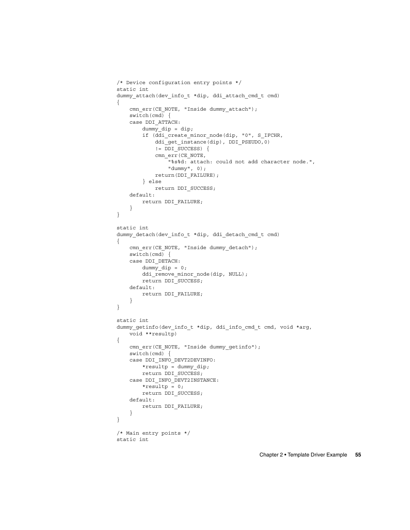```
/* Device configuration entry points */
static int
dummy attach(dev info t *dip, ddi attach cmd t cmd)
{
   cmn_err(CE_NOTE, "Inside dummy_attach");
   switch(cmd) {
   case DDI_ATTACH:
        dummy dip = dip;if (ddi_create_minor_node(dip, "0", S_IFCHR,
            ddi_get_instance(dip), DDI_PSEUDO,0)
            != DDI_SUCCESS) {
            cmn_err(CE_NOTE,
                "%s%d: attach: could not add character node.",
                "dummy", 0);
            return(DDI_FAILURE);
        } else
           return DDI_SUCCESS;
   default:
       return DDI_FAILURE;
    }
}
static int
dummy_detach(dev_info_t *dip, ddi_detach_cmd_t cmd)
{
   cmn_err(CE_NOTE, "Inside dummy_detach");
   switch(cmd) {
   case DDI_DETACH:
       dummy_dip = 0;ddi_remove_minor_node(dip, NULL);
       return DDI_SUCCESS;
   default:
       return DDI_FAILURE;
    }
}
static int
dummy_getinfo(dev_info_t *dip, ddi_info_cmd_t cmd, void *arg,
   void **resultp)
{
   cmn_err(CE_NOTE, "Inside dummy_getinfo");
   switch(cmd) {
   case DDI_INFO_DEVT2DEVINFO:
       *resultp = dummy_dip;
       return DDI_SUCCESS;
   case DDI_INFO_DEVT2INSTANCE:
       *resultp = 0;
       return DDI_SUCCESS;
   default:
       return DDI_FAILURE;
    }
}
/* Main entry points */
static int
```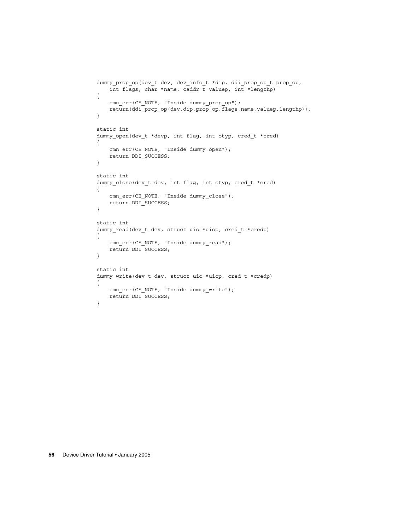```
dummy prop op(dev t dev, dev info t *dip, ddi prop op t prop op,
   int flags, char *name, caddr_t valuep, int *lengthp)
{
    cmn_err(CE_NOTE, "Inside dummy_prop_op");
    return(ddi prop op(dev,dip,prop op,flags,name,valuep,lengthp));
}
static int
dummy_open(dev_t *devp, int flag, int otyp, cred_t *cred)
{
   cmn_err(CE_NOTE, "Inside dummy_open");
   return DDI_SUCCESS;
}
static int
dummy_close(dev_t dev, int flag, int otyp, cred_t *cred)
{
   cmn_err(CE_NOTE, "Inside dummy_close");
   return DDI_SUCCESS;
}
static int
dummy read(dev t dev, struct uio *uiop, cred t *credp)
{
   cmn_err(CE_NOTE, "Inside dummy_read");
   return DDI_SUCCESS;
}
static int
dummy_write(dev_t dev, struct uio *uiop, cred_t *credp)
{
    cmn_err(CE_NOTE, "Inside dummy_write");
   return DDI_SUCCESS;
}
```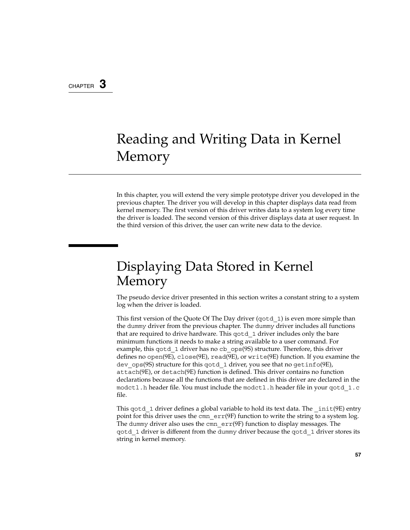### <span id="page-56-0"></span>CHAPTER **3**

# Reading and Writing Data in Kernel Memory

In this chapter, you will extend the very simple prototype driver you developed in the previous chapter. The driver you will develop in this chapter displays data read from kernel memory. The first version of this driver writes data to a system log every time the driver is loaded. The second version of this driver displays data at user request. In the third version of this driver, the user can write new data to the device.

# Displaying Data Stored in Kernel Memory

The pseudo device driver presented in this section writes a constant string to a system log when the driver is loaded.

This first version of the Quote Of The Day driver (qotd\_1) is even more simple than the dummy driver from the previous chapter. The dummy driver includes all functions that are required to drive hardware. This gotd 1 driver includes only the bare minimum functions it needs to make a string available to a user command. For example, this gotd 1 driver has no cb ops(9S) structure. Therefore, this driver defines no open(9E), close(9E), read(9E), or write(9E) function. If you examine the dev\_ops(9S) structure for this qotd\_1 driver, you see that no getinfo(9E), attach(9E), or detach(9E) function is defined. This driver contains no function declarations because all the functions that are defined in this driver are declared in the modctl.h header file. You must include the modctl.h header file in your qotd\_1.c file.

This gotd 1 driver defines a global variable to hold its text data. The  $int(9E)$  entry point for this driver uses the cmn  $err(9F)$  function to write the string to a system log. The dummy driver also uses the cmn  $err(9F)$  function to display messages. The qotd\_1 driver is different from the dummy driver because the qotd\_1 driver stores its string in kernel memory.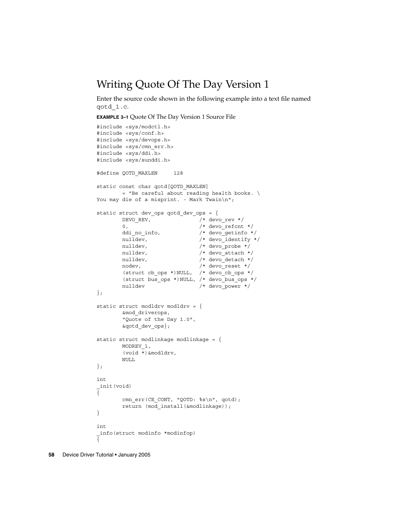## Writing Quote Of The Day Version 1

Enter the source code shown in the following example into a text file named qotd\_1.c.

**EXAMPLE 3–1** Quote Of The Day Version 1 Source File

```
#include <sys/modctl.h>
#include <sys/conf.h>
#include <sys/devops.h>
#include <sys/cmn_err.h>
#include <sys/ddi.h>
#include <sys/sunddi.h>
#define QOTD_MAXLEN 128
static const char qotd[QOTD_MAXLEN]
       = "Be careful about reading health books. \setminusYou may die of a misprint. - Mark Twain\n";
static struct dev_ops qotd_dev_ops = {
       DEVO_REV, /* devo_rev */
        0, /* devo refcnt */ddi no info, \frac{1}{2} /* devo getinfo */
        nulldev, \frac{1}{2} /* devo identify */
        nulldev, \frac{1}{2} /* devo_probe */
       nulldev, \frac{1}{x} \times \frac{1}{x} above \frac{1}{x} attach \frac{x}{x}nulldev, /* devo<sup>detach */</sup>
        nodev, /* devo reset */(struct cb ops *)NULL, /* devo cb ops */
       (struct bus_ops *)NULL, /* devo_bus_ops */
       nulldev /* devo power */};
static struct modldrv modldrv = {
      &mod_driverops,
       "Quote of the Day 1.0",
       &qotd_dev_ops};
static struct modlinkage modlinkage = {
       MODREV_1,
       (void *)&modldrv,
       NULL
};
int
_init(void)
{
       cmn_err(CE_CONT, "OOTD: %s\n", qotd);
       return (mod_install(&modlinkage));
}
int
_info(struct modinfo *modinfop)
{
```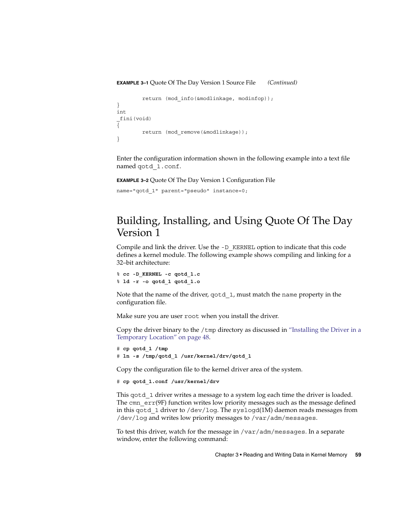#### **EXAMPLE 3–1** Quote Of The Day Version 1 Source File *(Continued)*

```
return (mod_info(&modlinkage, modinfop));
}
int
_fini(void)
{
        return (mod_remove(&modlinkage));
}
```
Enter the configuration information shown in the following example into a text file named qotd\_1.conf.

**EXAMPLE 3–2** Quote Of The Day Version 1 Configuration File

```
name="qotd_1" parent="pseudo" instance=0;
```
# Building, Installing, and Using Quote Of The Day Version 1

Compile and link the driver. Use the -D\_KERNEL option to indicate that this code defines a kernel module. The following example shows compiling and linking for a 32–bit architecture:

```
% cc -D_KERNEL -c qotd_1.c
% ld -r -o qotd_1 qotd_1.o
```
Note that the name of the driver, qotd\_1, must match the name property in the configuration file.

Make sure you are user root when you install the driver.

Copy the driver binary to the  $/$ tmp directory as discussed in ["Installing the Driver in a](#page-47-0) [Temporary Location"](#page-47-0) on page 48.

```
# cp qotd_1 /tmp
# ln -s /tmp/qotd_1 /usr/kernel/drv/qotd_1
```
Copy the configuration file to the kernel driver area of the system.

```
# cp qotd_1.conf /usr/kernel/drv
```
This qotd 1 driver writes a message to a system log each time the driver is loaded. The cmn  $err(9F)$  function writes low priority messages such as the message defined in this qotd\_1 driver to /dev/log. The syslogd(1M) daemon reads messages from /dev/log and writes low priority messages to /var/adm/messages.

To test this driver, watch for the message in /var/adm/messages. In a separate window, enter the following command:

Chapter 3 • Reading and Writing Data in Kernel Memory **59**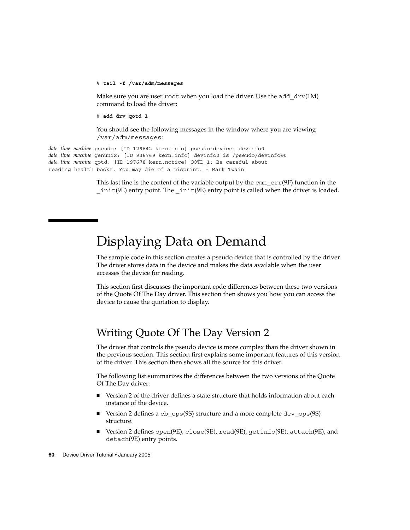#### % **tail -f /var/adm/messages**

Make sure you are user root when you load the driver. Use the add  $drv(1M)$ command to load the driver:

# **add\_drv qotd\_1**

You should see the following messages in the window where you are viewing /var/adm/messages:

*date time machine* pseudo: [ID 129642 kern.info] pseudo-device: devinfo0 *date time machine* genunix: [ID 936769 kern.info] devinfo0 is /pseudo/devinfo@0 *date time machine* qotd: [ID 197678 kern.notice] QOTD\_1: Be careful about reading health books. You may die of a misprint. - Mark Twain

> This last line is the content of the variable output by the cmn  $err(9F)$  function in the  $init(9E)$  entry point. The  $init(9E)$  entry point is called when the driver is loaded.

# Displaying Data on Demand

The sample code in this section creates a pseudo device that is controlled by the driver. The driver stores data in the device and makes the data available when the user accesses the device for reading.

This section first discusses the important code differences between these two versions of the Quote Of The Day driver. This section then shows you how you can access the device to cause the quotation to display.

## Writing Quote Of The Day Version 2

The driver that controls the pseudo device is more complex than the driver shown in the previous section. This section first explains some important features of this version of the driver. This section then shows all the source for this driver.

The following list summarizes the differences between the two versions of the Quote Of The Day driver:

- Version 2 of the driver defines a state structure that holds information about each instance of the device.
- Version 2 defines a cb\_ops(9S) structure and a more complete dev\_ops(9S) structure.
- Version 2 defines open(9E), close(9E), read(9E), getinfo(9E), attach(9E), and detach(9E) entry points.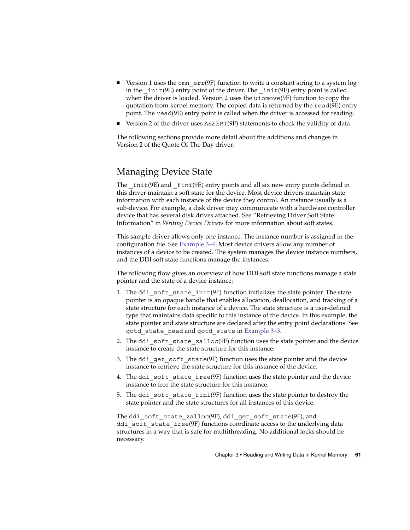- **■** Version 1 uses the cmn  $err(9F)$  function to write a constant string to a system log in the  $int(9E)$  entry point of the driver. The  $int(9E)$  entry point is called when the driver is loaded. Version 2 uses the uiomove(9F) function to copy the quotation from kernel memory. The copied data is returned by the read(9E) entry point. The read(9E) entry point is called when the driver is accessed for reading.
- Version 2 of the driver uses ASSERT(9F) statements to check the validity of data.

The following sections provide more detail about the additions and changes in Version 2 of the Quote Of The Day driver.

### Managing Device State

The  $int(9E)$  and  $finit(9E)$  entry points and all six new entry points defined in this driver maintain a soft state for the device. Most device drivers maintain state information with each instance of the device they control. An instance usually is a sub-device. For example, a disk driver may communicate with a hardware controller device that has several disk drives attached. See "Retrieving Driver Soft State Information" in *Writing Device Drivers* for more information about soft states.

This sample driver allows only one instance. The instance number is assigned in the configuration file. See [Example 3–4.](#page-68-0) Most device drivers allow any number of instances of a device to be created. The system manages the device instance numbers, and the DDI soft state functions manage the instances.

The following flow gives an overview of how DDI soft state functions manage a state pointer and the state of a device instance:

- 1. The ddi soft state  $init(9F)$  function initializes the state pointer. The state pointer is an opaque handle that enables allocation, deallocation, and tracking of a state structure for each instance of a device. The state structure is a user-defined type that maintains data specific to this instance of the device. In this example, the state pointer and state structure are declared after the entry point declarations. See qotd\_state\_head and qotd\_state in [Example 3–3.](#page-63-0)
- 2. The ddi soft state  $z$ alloc(9F) function uses the state pointer and the device instance to create the state structure for this instance.
- 3. The ddi get soft state(9F) function uses the state pointer and the device instance to retrieve the state structure for this instance of the device.
- 4. The ddi soft state free(9F) function uses the state pointer and the device instance to free the state structure for this instance.
- 5. The ddi soft state  $fini(9F)$  function uses the state pointer to destroy the state pointer and the state structures for all instances of this device.

The ddi soft state zalloc( $9F$ ), ddi get soft state( $9F$ ), and ddi soft state free(9F) functions coordinate access to the underlying data structures in a way that is safe for multithreading. No additional locks should be necessary.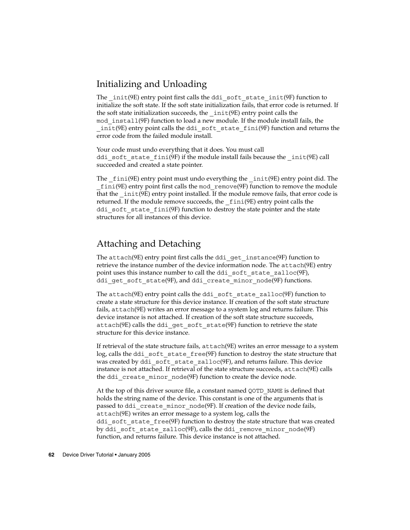### Initializing and Unloading

The  $init(9E)$  entry point first calls the ddi soft state  $init(9F)$  function to initialize the soft state. If the soft state initialization fails, that error code is returned. If the soft state initialization succeeds, the  $int(9E)$  entry point calls the mod\_install(9F) function to load a new module. If the module install fails, the \_init(9E) entry point calls the ddi\_soft\_state\_fini(9F) function and returns the error code from the failed module install.

Your code must undo everything that it does. You must call ddi soft state fini(9F) if the module install fails because the  $init(9E)$  call succeeded and created a state pointer.

The  $fini(9E)$  entry point must undo everything the  $init(9E)$  entry point did. The  $fini(9E)$  entry point first calls the mod remove $(9F)$  function to remove the module that the  $int(9E)$  entry point installed. If the module remove fails, that error code is returned. If the module remove succeeds, the \_fini(9E) entry point calls the ddi\_soft\_state\_fini(9F) function to destroy the state pointer and the state structures for all instances of this device.

### Attaching and Detaching

The attach(9E) entry point first calls the ddi\_get\_instance(9F) function to retrieve the instance number of the device information node. The attach(9E) entry point uses this instance number to call the ddi soft state zalloc(9F), ddi qet soft state(9F), and ddi create minor node(9F) functions.

The attach(9E) entry point calls the ddi\_soft\_state\_zalloc(9F) function to create a state structure for this device instance. If creation of the soft state structure fails, attach(9E) writes an error message to a system log and returns failure. This device instance is not attached. If creation of the soft state structure succeeds, attach(9E) calls the ddi\_get\_soft\_state(9F) function to retrieve the state structure for this device instance.

If retrieval of the state structure fails, attach(9E) writes an error message to a system log, calls the ddi\_soft\_state\_free(9F) function to destroy the state structure that was created by ddi soft state zalloc( $9F$ ), and returns failure. This device instance is not attached. If retrieval of the state structure succeeds, attach(9E) calls the ddi create minor node(9F) function to create the device node.

At the top of this driver source file, a constant named QOTD\_NAME is defined that holds the string name of the device. This constant is one of the arguments that is passed to ddi create minor node(9F). If creation of the device node fails, attach(9E) writes an error message to a system log, calls the ddi soft state  $free(9F)$  function to destroy the state structure that was created by ddi soft state zalloc(9F), calls the ddi remove minor node(9F) function, and returns failure. This device instance is not attached.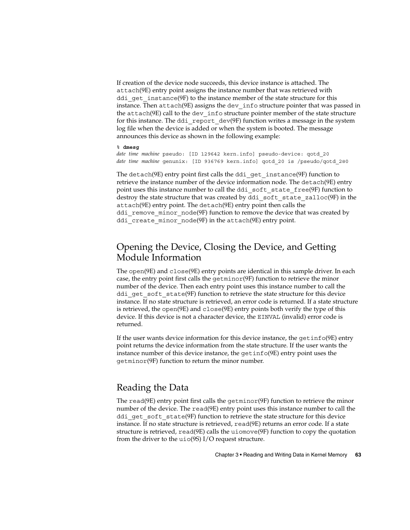If creation of the device node succeeds, this device instance is attached. The attach(9E) entry point assigns the instance number that was retrieved with ddi  $qet$  instance $(9F)$  to the instance member of the state structure for this instance. Then attach(9E) assigns the dev\_info structure pointer that was passed in the attach(9E) call to the dev\_info structure pointer member of the state structure for this instance. The ddi\_report\_dev(9F) function writes a message in the system log file when the device is added or when the system is booted. The message announces this device as shown in the following example:

#### % **dmesg**

*date time machine* pseudo: [ID 129642 kern.info] pseudo-device: qotd\_20 *date time machine* genunix: [ID 936769 kern.info] qotd\_20 is /pseudo/qotd\_2@0

The detach( $9E$ ) entry point first calls the ddi qet instance( $9F$ ) function to retrieve the instance number of the device information node. The detach(9E) entry point uses this instance number to call the ddi soft state free(9F) function to destroy the state structure that was created by ddi soft state zalloc(9F) in the attach(9E) entry point. The detach(9E) entry point then calls the ddi remove minor node(9F) function to remove the device that was created by ddi create minor  $node(9F)$  in the attach $(9E)$  entry point.

### Opening the Device, Closing the Device, and Getting Module Information

The open(9E) and close(9E) entry points are identical in this sample driver. In each case, the entry point first calls the getminor(9F) function to retrieve the minor number of the device. Then each entry point uses this instance number to call the ddi get soft state(9F) function to retrieve the state structure for this device instance. If no state structure is retrieved, an error code is returned. If a state structure is retrieved, the open(9E) and close(9E) entry points both verify the type of this device. If this device is not a character device, the EINVAL (invalid) error code is returned.

If the user wants device information for this device instance, the getinfo(9E) entry point returns the device information from the state structure. If the user wants the instance number of this device instance, the getinfo(9E) entry point uses the getminor(9F) function to return the minor number.

### Reading the Data

The read(9E) entry point first calls the getminor(9F) function to retrieve the minor number of the device. The read(9E) entry point uses this instance number to call the ddi get soft state(9F) function to retrieve the state structure for this device instance. If no state structure is retrieved, read(9E) returns an error code. If a state structure is retrieved, read(9E) calls the uiomove(9F) function to copy the quotation from the driver to the uio(9S) I/O request structure.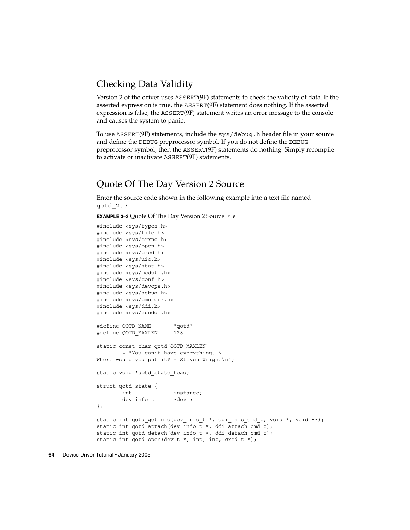### <span id="page-63-0"></span>Checking Data Validity

Version 2 of the driver uses ASSERT(9F) statements to check the validity of data. If the asserted expression is true, the ASSERT(9F) statement does nothing. If the asserted expression is false, the ASSERT(9F) statement writes an error message to the console and causes the system to panic.

To use ASSERT(9F) statements, include the sys/debug.h header file in your source and define the DEBUG preprocessor symbol. If you do not define the DEBUG preprocessor symbol, then the ASSERT(9F) statements do nothing. Simply recompile to activate or inactivate ASSERT(9F) statements.

### Quote Of The Day Version 2 Source

Enter the source code shown in the following example into a text file named qotd\_2.c.

**EXAMPLE 3–3** Quote Of The Day Version 2 Source File

```
#include <sys/types.h>
#include <sys/file.h>
#include <sys/errno.h>
#include <sys/open.h>
#include <sys/cred.h>
#include <sys/uio.h>
#include <sys/stat.h>
#include <sys/modctl.h>
#include <sys/conf.h>
#include <sys/devops.h>
#include <sys/debug.h>
#include <sys/cmn_err.h>
#include <sys/ddi.h>
#include <sys/sunddi.h>
#define QOTD_NAME "qotd"
#define QOTD_MAXLEN 128
static const char qotd[QOTD_MAXLEN]
       = "You can't have everything. \setminusWhere would you put it? - Steven Wright\n";
static void *qotd state head;
struct qotd_state {
        int instance;
        dev info t *devi;
};
static int qotd_getinfo(dev_info_t *, ddi_info_cmd_t, void *, void **);
static int qotd_attach(dev_info_t *, ddi_attach_cmd_t);
static int qotd detach(dev info t *, ddi detach cmd t);
static int qotd open(dev t *, int, int, cred t *);
```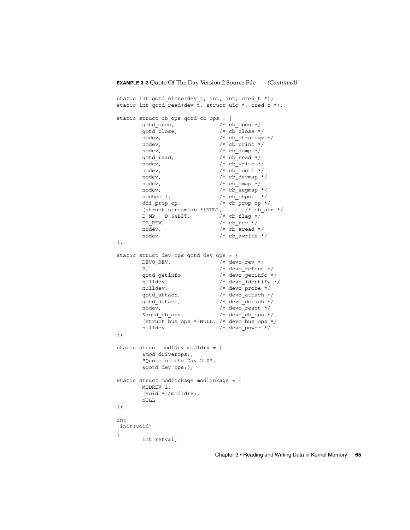```
static int qotd_close(dev_t, int, int, cred_t *);
static int qotd_read(dev_t, struct uio *, cred_t *);
static struct cb ops qotd cb ops = {
         qotd_open, /* cb_open */
         qotd_close, <br>
\begin{array}{ccc}\n\sqrt{1 + 2 + 11} & \sqrt{1 + 2 + 11} \\
\sqrt{1 + 2 + 11} & \sqrt{1 + 2 + 11} \\
\sqrt{1 + 2 + 11} & \sqrt{1 + 2 + 11} \\
\sqrt{1 + 2 + 11} & \sqrt{1 + 2 + 11} \\
\sqrt{1 + 2 + 11} & \sqrt{1 + 2 + 11} \\
\sqrt{1 + 2 + 11} & \sqrt{1 + 2 + 11} \\
\sqrt{1 + 2 + 11} & \sqrt{1 + 2 + 11} \\
\sqrt{1 + 2 + 11} & \sqrt{1nodev, \frac{1}{2} /* cb strategy */
         nodev, \frac{1}{2} /* cb print */
         nodev, /* cb dump */qotd read, /* cb read */
         nodev, /* cb write */nodev, /* cb ioctl */nodev, /* cb_devmap */
         nodev, \frac{1}{2} /* cb mmap */
         nodev, /* cb segmap */nochpoll, /* cb_chpoll */
         ddi prop op, /* cb prop op */
         (struct streamtab *) NULL, /* cb_str */
         \begin{array}{ccc} \texttt{D\_MP} & \texttt{D\_64BIT,} & \texttt{/* cb\_flag */} \\ \texttt{CB REV,} & \texttt{/* cb\_rev */} \\ \end{array}/* cb_rev */nodev, \frac{\pi}{6} /* cb_aread */<br>nodev /* cb_awrite *
                                    /* cb_awrite */
};
static struct dev_ops qotd_dev_ops = {
         DEVO REV, \overline{\phantom{a}} /* devorev */
         0, /* devo refcnt */qotd_getinfo, /* devo_getinfo */
         nulldev, \frac{1}{2} /* devo identify */
         nulldev, \frac{1}{2} /* devo probe */
         qotd_attach, /* devo_attach */
         qotd_detach, /* devo_detach */
         nodev, /* devo reset */&qotd_cb_ops, /* devo_cb_ops */
         (struct bus_ops *)NULL, /* devo_bus_ops */
         nulldev /* devo_power */
};
static struct modldrv modldrv = {
        &mod_driverops;,
         "Quote of the Day 2.0",
         &qotd dev ops;};
static struct modlinkage modlinkage = \{MODREV_1,
         (void *)&modldrv;,
         NULL
};
int
_init(void)
{
         int retval;
```
Chapter 3 • Reading and Writing Data in Kernel Memory **65**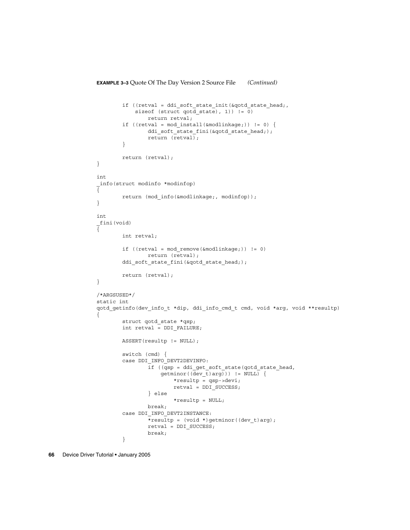```
if ((retval = ddi_soft_state_init(&qotd_state_head;,
                sizeof (struct qotd_state), 1)) != 0)
                     return retval;
           if ((retval = mod_install(&modlinkage;)) != 0) {
                     ddi_soft_state_fini(&qotd_state_head;);
                     return (retval);
           }
          return (retval);
}
int
_info(struct modinfo *modinfop)
{
          return (mod_info(&modlinkage;, modinfop));
}
int
 _fini(void)
{
          int retval;
           if ((retval = mod remove(&modlinkage;)) != 0)
                     return (retval);
           ddi_soft_state_fini(&qotd_state_head;);
           return (retval);
}
/*ARGSUSED*/
static int
qotd_getinfo(dev_info_t *dip, ddi_info_cmd_t cmd, void *arg, void **resultp)
{
           struct qotd state *qsp;
          int retval = DDI_FAILURE;
          ASSERT(resultp != NULL);
           switch (cmd) {
           case DDI_INFO_DEVT2DEVINFO:
                      if ((qsp = ddi_get_soft_state(qotd_state_head,
                           \overline{=} \overline{=} \overline{=} \overline{=} \overline{=} \overline{=} \overline{=} \overline{=} \overline{=} \overline{=} \overline{=} \overline{=} \overline{=} \overline{=} \overline{=} \overline{=} \overline{=} \overline{=} \overline{=} \overline{=} \overline{=} \overline{=} \overline{=} \overline{=} \overline{=} \overline{=} \overline{=} \overline{*resultp = qsp{-}-devi;
                                 retval = DDI_SUCCESS;
                      } else
                                 *resultp = NULL;
                     break;
           case DDI_INFO_DEVT2INSTANCE:
                      *resultp = (void *)getminor((dev_t)arg);
                      retval = DDI_SUCCESS;
                     break;
           }
```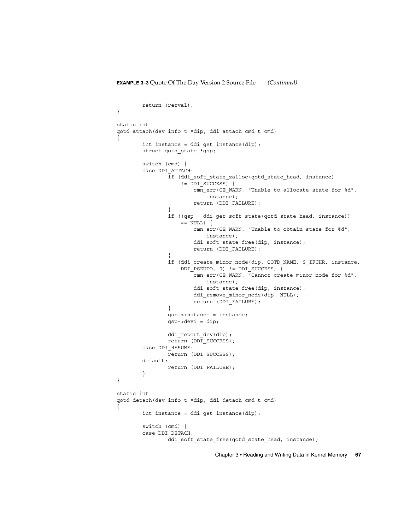```
return (retval);
}
static int
qotd_attach(dev_info_t *dip, ddi_attach_cmd_t cmd)
{
        int instance = ddi_get_instance(dip);
        struct qotd_state *qsp;
        switch (cmd) {
        case DDI_ATTACH:
                if (ddi_soft_state_zalloc(qotd_state_head, instance)
                    != DDI_SUCCESS) {
                        cmn_err(CE_WARN, "Unable to allocate state for %d",
                            instance);
                        return (DDI_FAILURE);
                }
                if ((qsp = ddi_get_soft_state(qotd_state_head, instance))
                    == NULL) {
                        cmn_err(CE_WARN, "Unable to obtain state for %d",
                            instance);
                        ddi soft state free(dip, instance);
                        return (DDI_FAILURE);
                }
                if (ddi_create_minor_node(dip, QOTD_NAME, S_IFCHR, instance,
                    DDI_PSEUDO, 0) != DDI_SUCCESS) {
                        cmn_err(CE_WARN, "Cannot create minor node for %d",
                           instance);
                        ddi soft state free(dip, instance);
                        ddi remove minor node(dip, NULL);
                        return (DDI_FAILURE);
                }
                qsp->instance = instance;
                qsp->devi = dip;
                ddi_report_dev(dip);
               return (DDI_SUCCESS);
        case DDI_RESUME:
               return (DDI_SUCCESS);
        default:
                return (DDI_FAILURE);
        }
}
static int
qotd_detach(dev_info_t *dip, ddi_detach_cmd_t cmd)
{
        int instance = ddi qet instance(dip);
        switch (cmd) {
        case DDI_DETACH:
                ddi soft state free(qotd state head, instance);
```
Chapter 3 • Reading and Writing Data in Kernel Memory **67**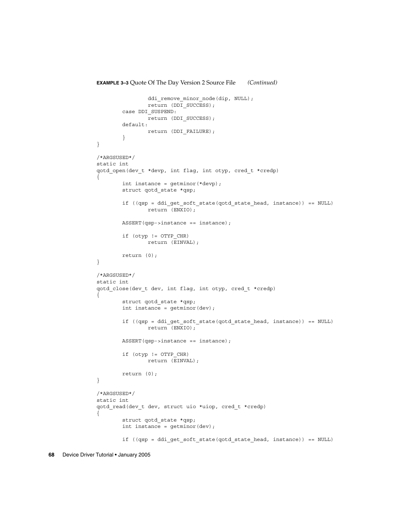```
ddi_remove_minor_node(dip, NULL);
                return (DDI_SUCCESS);
        case DDI_SUSPEND:
               return (DDI_SUCCESS);
        default:
               return (DDI_FAILURE);
        }
}
/*ARGSUSED*/
static int
qotd_open(dev_t *devp, int flag, int otyp, cred_t *credp)
{
        int instance = getminor(*devp);
        struct qotd_state *qsp;
        if ((qsp = ddi get soft state(qotd state head, instance)) == NULL)
                return (ENXIO);
        ASSERT(qsp->instance == instance);
        if (otyp != OTYP_CHR)
                return (EINVAL);
        return (0);
}
/*ARGSUSED*/
static int
qotd_close(dev_t dev, int flag, int otyp, cred_t *credp)
{
        struct qotd_state *qsp;
        int instance = getminor(dev);
        if ((qsp = ddi get soft state(qotd state head, instance)) == NULL)
                return (ENXIO);
        ASSERT(qsp->instance == instance);
        if (otyp != OTYP_CHR)
               return (EINVAL);
        return (0);
}
/*ARGSUSED*/
static int
qotd_read(dev_t dev, struct uio *uiop, cred_t *credp)
{
        struct qotd_state *qsp;
        int instance = getminor(dev);
        if ((qsp = ddi get soft state(qotd state head, instance)) == NULL)
```
#### **EXAMPLE 3–3** Quote Of The Day Version 2 Source File *(Continued)*

```
68 Device Driver Tutorial • January 2005
```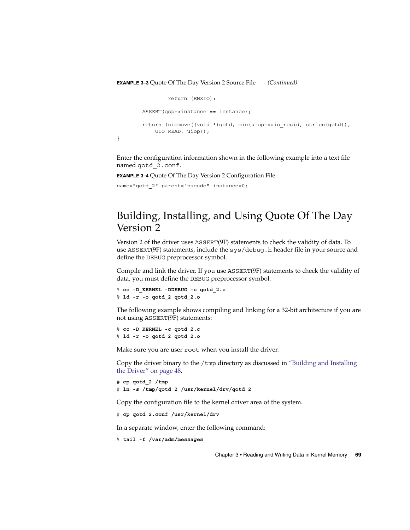```
return (ENXIO);
ASSERT(qsp-)instance == instance);return (uiomove((void *)qotd, min(uiop->uio_resid, strlen(qotd)),
   UIO_READ, uiop));
```
Enter the configuration information shown in the following example into a text file named qotd\_2.conf.

**EXAMPLE 3–4** Quote Of The Day Version 2 Configuration File

name="qotd\_2" parent="pseudo" instance=0;

}

# Building, Installing, and Using Quote Of The Day Version 2

Version 2 of the driver uses ASSERT(9F) statements to check the validity of data. To use ASSERT(9F) statements, include the sys/debug.h header file in your source and define the DEBUG preprocessor symbol.

Compile and link the driver. If you use ASSERT(9F) statements to check the validity of data, you must define the DEBUG preprocessor symbol:

```
% cc -D_KERNEL -DDEBUG -c qotd_2.c
% ld -r -o qotd_2 qotd_2.o
```
The following example shows compiling and linking for a 32-bit architecture if you are not using ASSERT(9F) statements:

```
% cc -D_KERNEL -c qotd_2.c
% ld -r -o qotd_2 qotd_2.o
```
Make sure you are user root when you install the driver.

Copy the driver binary to the  $/$ tmp directory as discussed in ["Building and Installing](#page-47-0) [the Driver"](#page-47-0) on page 48.

```
# cp qotd_2 /tmp
# ln -s /tmp/qotd_2 /usr/kernel/drv/qotd_2
```
Copy the configuration file to the kernel driver area of the system.

# **cp qotd\_2.conf /usr/kernel/drv**

In a separate window, enter the following command:

```
% tail -f /var/adm/messages
```
Chapter 3 • Reading and Writing Data in Kernel Memory **69**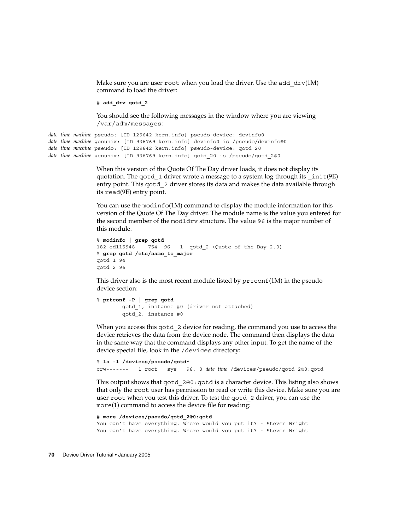Make sure you are user root when you load the driver. Use the add  $\text{drv}(1\text{M})$ command to load the driver:

# **add\_drv qotd\_2**

You should see the following messages in the window where you are viewing /var/adm/messages:

```
date time machine pseudo: [ID 129642 kern.info] pseudo-device: devinfo0
date time machine genunix: [ID 936769 kern.info] devinfo0 is /pseudo/devinfo@0
date time machine pseudo: [ID 129642 kern.info] pseudo-device: qotd_20
date time machine genunix: [ID 936769 kern.info] qotd_20 is /pseudo/qotd_2@0
```
When this version of the Quote Of The Day driver loads, it does not display its quotation. The qotd  $1$  driver wrote a message to a system log through its  $int(9E)$ entry point. This qotd 2 driver stores its data and makes the data available through its read(9E) entry point.

You can use the modinfo(1M) command to display the module information for this version of the Quote Of The Day driver. The module name is the value you entered for the second member of the modldrv structure. The value 96 is the major number of this module.

```
% modinfo | grep qotd
182 ed115948 754 96 1 qotd_2 (Quote of the Day 2.0)
% grep qotd /etc/name_to_major
qotd_1 94
qotd_2 96
```
This driver also is the most recent module listed by  $\text{prtconf}(1M)$  in the pseudo device section:

```
% prtconf -P | grep qotd
       qotd_1, instance #0 (driver not attached)
       qotd_2, instance #0
```
When you access this qotd\_2 device for reading, the command you use to access the device retrieves the data from the device node. The command then displays the data in the same way that the command displays any other input. To get the name of the device special file, look in the /devices directory:

```
% ls -l /devices/pseudo/qotd*
crw------- 1 root sys 96, 0 date time /devices/pseudo/qotd_2@0:qotd
```
This output shows that qotd\_2@0:qotd is a character device. This listing also shows that only the root user has permission to read or write this device. Make sure you are user root when you test this driver. To test the qotd\_2 driver, you can use the more(1) command to access the device file for reading:

```
# more /devices/pseudo/qotd_2@0:qotd
You can't have everything. Where would you put it? - Steven Wright
You can't have everything. Where would you put it? - Steven Wright
```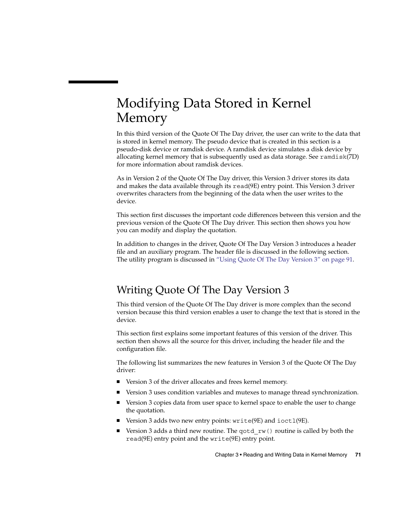# Modifying Data Stored in Kernel Memory

In this third version of the Quote Of The Day driver, the user can write to the data that is stored in kernel memory. The pseudo device that is created in this section is a pseudo-disk device or ramdisk device. A ramdisk device simulates a disk device by allocating kernel memory that is subsequently used as data storage. See ramdisk(7D) for more information about ramdisk devices.

As in Version 2 of the Quote Of The Day driver, this Version 3 driver stores its data and makes the data available through its read(9E) entry point. This Version 3 driver overwrites characters from the beginning of the data when the user writes to the device.

This section first discusses the important code differences between this version and the previous version of the Quote Of The Day driver. This section then shows you how you can modify and display the quotation.

In addition to changes in the driver, Quote Of The Day Version 3 introduces a header file and an auxiliary program. The header file is discussed in the following section. The utility program is discussed in ["Using Quote Of The Day Version 3"](#page-90-0) on page 91.

# Writing Quote Of The Day Version 3

This third version of the Quote Of The Day driver is more complex than the second version because this third version enables a user to change the text that is stored in the device.

This section first explains some important features of this version of the driver. This section then shows all the source for this driver, including the header file and the configuration file.

The following list summarizes the new features in Version 3 of the Quote Of The Day driver:

- Version 3 of the driver allocates and frees kernel memory.
- Version 3 uses condition variables and mutexes to manage thread synchronization.
- Version 3 copies data from user space to kernel space to enable the user to change the quotation.
- Version 3 adds two new entry points: write(9E) and ioct1(9E).
- Version 3 adds a third new routine. The qotd  $rw($  routine is called by both the read(9E) entry point and the write(9E) entry point.

Chapter 3 • Reading and Writing Data in Kernel Memory **71**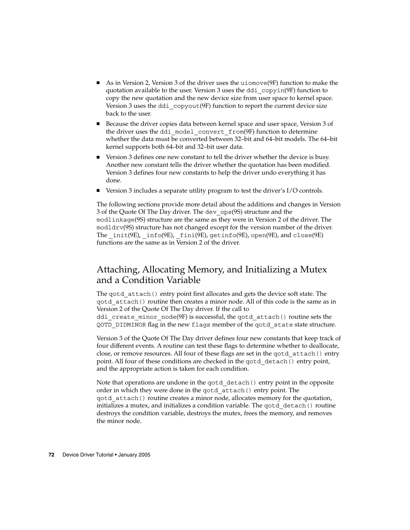- As in Version 2, Version 3 of the driver uses the uiomove(9F) function to make the quotation available to the user. Version 3 uses the ddi\_copyin(9F) function to copy the new quotation and the new device size from user space to kernel space. Version 3 uses the ddi\_copyout(9F) function to report the current device size back to the user.
- Because the driver copies data between kernel space and user space, Version 3 of the driver uses the ddi\_model\_convert\_from(9F) function to determine whether the data must be converted between 32–bit and 64–bit models. The 64–bit kernel supports both 64–bit and 32–bit user data.
- Version 3 defines one new constant to tell the driver whether the device is busy. Another new constant tells the driver whether the quotation has been modified. Version 3 defines four new constants to help the driver undo everything it has done.
- Version 3 includes a separate utility program to test the driver's I/O controls.

The following sections provide more detail about the additions and changes in Version 3 of the Quote Of The Day driver. The dev\_ops(9S) structure and the modlinkage(9S) structure are the same as they were in Version 2 of the driver. The modldrv(9S) structure has not changed except for the version number of the driver. The  $int(9E)$ ,  $info(9E)$ ,  $fini(9E)$ ,  $getinfo(9E)$ ,  $open(9E)$ , and  $close(9E)$ functions are the same as in Version 2 of the driver.

## Attaching, Allocating Memory, and Initializing a Mutex and a Condition Variable

The qotd attach() entry point first allocates and gets the device soft state. The qotd\_attach() routine then creates a minor node. All of this code is the same as in Version 2 of the Quote Of The Day driver. If the call to ddi create minor node(9F) is successful, the qotd attach() routine sets the QOTD\_DIDMINOR flag in the new flags member of the qotd\_state state structure.

Version 3 of the Quote Of The Day driver defines four new constants that keep track of four different events. A routine can test these flags to determine whether to deallocate, close, or remove resources. All four of these flags are set in the qotd\_attach() entry point. All four of these conditions are checked in the qotd\_detach() entry point, and the appropriate action is taken for each condition.

Note that operations are undone in the gotd detach () entry point in the opposite order in which they were done in the qotd\_attach() entry point. The qotd\_attach() routine creates a minor node, allocates memory for the quotation, initializes a mutex, and initializes a condition variable. The qotd\_detach() routine destroys the condition variable, destroys the mutex, frees the memory, and removes the minor node.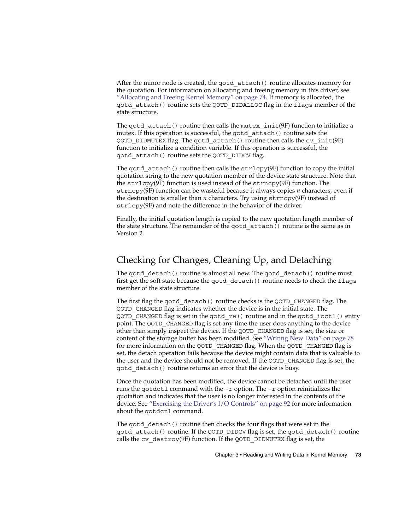<span id="page-72-0"></span>After the minor node is created, the qotd\_attach() routine allocates memory for the quotation. For information on allocating and freeing memory in this driver, see ["Allocating and Freeing Kernel Memory"](#page-73-0) on page 74. If memory is allocated, the qotd\_attach() routine sets the QOTD\_DIDALLOC flag in the flags member of the state structure.

The qotd  $attach()$  routine then calls the mutex  $init(9F)$  function to initialize a mutex. If this operation is successful, the qotd\_attach() routine sets the QOTD\_DIDMUTEX flag. The qotd\_attach() routine then calls the cv\_init(9F) function to initialize a condition variable. If this operation is successful, the qotd\_attach() routine sets the QOTD\_DIDCV flag.

The gotd  $attach()$  routine then calls the  $strlcpy(9F)$  function to copy the initial quotation string to the new quotation member of the device state structure. Note that the strlcpy(9F) function is used instead of the strncpy(9F) function. The strncpy(9F) function can be wasteful because it always copies *n* characters, even if the destination is smaller than *n* characters. Try using strncpy(9F) instead of strlcpy(9F) and note the difference in the behavior of the driver.

Finally, the initial quotation length is copied to the new quotation length member of the state structure. The remainder of the qotd\_attach() routine is the same as in Version 2.

# Checking for Changes, Cleaning Up, and Detaching

The gotd  $detach()$  routine is almost all new. The gotd  $detach()$  routine must first get the soft state because the qotd\_detach() routine needs to check the flags member of the state structure.

The first flag the qotd\_detach() routine checks is the QOTD\_CHANGED flag. The QOTD\_CHANGED flag indicates whether the device is in the initial state. The QOTD\_CHANGED flag is set in the qotd\_rw() routine and in the qotd\_ioctl() entry point. The QOTD\_CHANGED flag is set any time the user does anything to the device other than simply inspect the device. If the QOTD\_CHANGED flag is set, the size or content of the storage buffer has been modified. See ["Writing New Data"](#page-77-0) on page 78 for more information on the QOTD\_CHANGED flag. When the QOTD\_CHANGED flag is set, the detach operation fails because the device might contain data that is valuable to the user and the device should not be removed. If the QOTD\_CHANGED flag is set, the qotd\_detach() routine returns an error that the device is busy.

Once the quotation has been modified, the device cannot be detached until the user runs the qotdctl command with the -r option. The -r option reinitializes the quotation and indicates that the user is no longer interested in the contents of the device. See ["Exercising the Driver's I/O Controls"](#page-91-0) on page 92 for more information about the qotdctl command.

The gotd detach() routine then checks the four flags that were set in the qotd\_attach() routine. If the QOTD\_DIDCV flag is set, the qotd\_detach() routine calls the cv\_destroy(9F) function. If the QOTD\_DIDMUTEX flag is set, the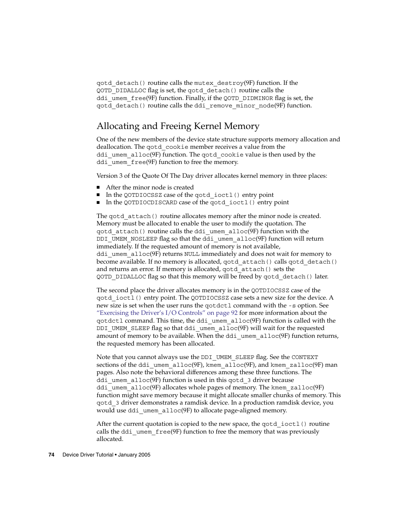<span id="page-73-0"></span>qotd\_detach() routine calls the mutex\_destroy(9F) function. If the QOTD\_DIDALLOC flag is set, the qotd\_detach() routine calls the ddi umem  $free(9F)$  function. Finally, if the QOTD DIDMINOR flag is set, the qotd\_detach() routine calls the ddi\_remove\_minor\_node(9F) function.

# Allocating and Freeing Kernel Memory

One of the new members of the device state structure supports memory allocation and deallocation. The qotd\_cookie member receives a value from the ddi umem  $\alpha$ lloc(9F) function. The gotd cookie value is then used by the ddi umem free(9F) function to free the memory.

Version 3 of the Quote Of The Day driver allocates kernel memory in three places:

- After the minor node is created
- In the QOTDIOCSSZ case of the qotd ioctl() entry point
- In the QOTDIOCDISCARD case of the qotd ioctl() entry point

The qotd attach() routine allocates memory after the minor node is created. Memory must be allocated to enable the user to modify the quotation. The qotd\_attach() routine calls the ddi\_umem\_alloc(9F) function with the DDI\_UMEM\_NOSLEEP flag so that the ddi\_umem\_alloc(9F) function will return immediately. If the requested amount of memory is not available, ddi\_umem\_alloc(9F) returns NULL immediately and does not wait for memory to become available. If no memory is allocated, qotd\_attach() calls qotd\_detach() and returns an error. If memory is allocated, qotd\_attach() sets the QOTD\_DIDALLOC flag so that this memory will be freed by qotd\_detach() later.

The second place the driver allocates memory is in the QOTDIOCSSZ case of the qotd\_ioctl() entry point. The QOTDIOCSSZ case sets a new size for the device. A new size is set when the user runs the qotdctl command with the -s option. See ["Exercising the Driver's I/O Controls"](#page-91-0) on page 92 for more information about the qotdctl command. This time, the ddi\_umem\_alloc(9F) function is called with the DDI\_UMEM\_SLEEP flag so that ddi\_umem\_alloc(9F) will wait for the requested amount of memory to be available. When the ddi\_umem\_alloc(9F) function returns, the requested memory has been allocated.

Note that you cannot always use the DDI UMEM SLEEP flag. See the CONTEXT sections of the ddi\_umem\_alloc(9F), kmem\_alloc(9F), and kmem\_zalloc(9F) man pages. Also note the behavioral differences among these three functions. The ddi umem  $a1loc(9F)$  function is used in this gotd 3 driver because ddi umem alloc(9F) allocates whole pages of memory. The kmem  $zalloc(9F)$ function might save memory because it might allocate smaller chunks of memory. This qotd\_3 driver demonstrates a ramdisk device. In a production ramdisk device, you would use ddi umem alloc(9F) to allocate page-aligned memory.

After the current quotation is copied to the new space, the gotd ioctl() routine calls the ddi umem  $free(9F)$  function to free the memory that was previously allocated.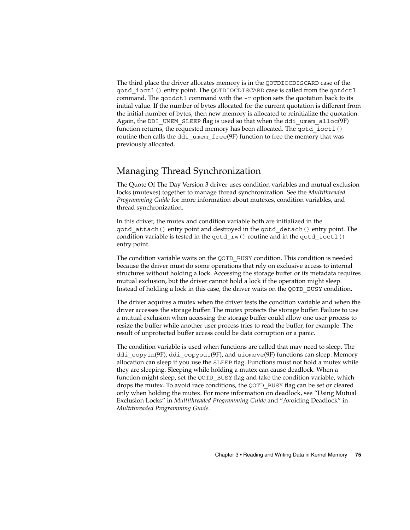<span id="page-74-0"></span>The third place the driver allocates memory is in the QOTDIOCDISCARD case of the qotd\_ioctl() entry point. The QOTDIOCDISCARD case is called from the qotdctl command. The qotdctl command with the -r option sets the quotation back to its initial value. If the number of bytes allocated for the current quotation is different from the initial number of bytes, then new memory is allocated to reinitialize the quotation. Again, the DDI UMEM SLEEP flag is used so that when the ddi umem  $a11oc(9F)$ function returns, the requested memory has been allocated. The gotd ioctl() routine then calls the ddi\_umem\_free(9F) function to free the memory that was previously allocated.

## Managing Thread Synchronization

The Quote Of The Day Version 3 driver uses condition variables and mutual exclusion locks (mutexes) together to manage thread synchronization. See the *Multithreaded Programming Guide* for more information about mutexes, condition variables, and thread synchronization.

In this driver, the mutex and condition variable both are initialized in the qotd\_attach() entry point and destroyed in the qotd\_detach() entry point. The condition variable is tested in the gotd  $rw()$  routine and in the gotd  $i$ octl $()$ entry point.

The condition variable waits on the QOTD\_BUSY condition. This condition is needed because the driver must do some operations that rely on exclusive access to internal structures without holding a lock. Accessing the storage buffer or its metadata requires mutual exclusion, but the driver cannot hold a lock if the operation might sleep. Instead of holding a lock in this case, the driver waits on the QOTD\_BUSY condition.

The driver acquires a mutex when the driver tests the condition variable and when the driver accesses the storage buffer. The mutex protects the storage buffer. Failure to use a mutual exclusion when accessing the storage buffer could allow one user process to resize the buffer while another user process tries to read the buffer, for example. The result of unprotected buffer access could be data corruption or a panic.

The condition variable is used when functions are called that may need to sleep. The ddi copyin(9F), ddi copyout(9F), and uiomove(9F) functions can sleep. Memory allocation can sleep if you use the SLEEP flag. Functions must not hold a mutex while they are sleeping. Sleeping while holding a mutex can cause deadlock. When a function might sleep, set the QOTD\_BUSY flag and take the condition variable, which drops the mutex. To avoid race conditions, the QOTD\_BUSY flag can be set or cleared only when holding the mutex. For more information on deadlock, see "Using Mutual Exclusion Locks" in *Multithreaded Programming Guide* and "Avoiding Deadlock" in *Multithreaded Programming Guide*.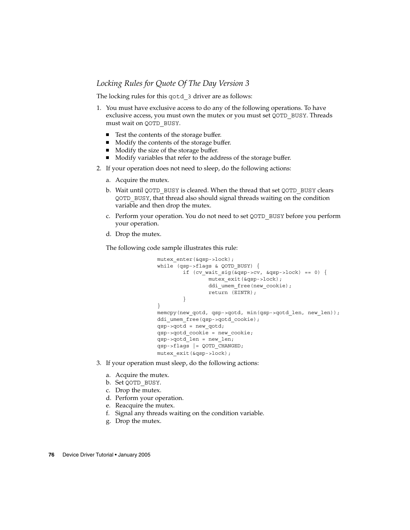#### <span id="page-75-0"></span>*Locking Rules for Quote Of The Day Version 3*

The locking rules for this qotd 3 driver are as follows:

- 1. You must have exclusive access to do any of the following operations. To have exclusive access, you must own the mutex or you must set QOTD\_BUSY. Threads must wait on QOTD\_BUSY.
	- Test the contents of the storage buffer.
	- Modify the contents of the storage buffer.
	- Modify the size of the storage buffer.
	- Modify variables that refer to the address of the storage buffer.
- 2. If your operation does not need to sleep, do the following actions:
	- a. Acquire the mutex.
	- b. Wait until QOTD\_BUSY is cleared. When the thread that set QOTD\_BUSY clears QOTD\_BUSY, that thread also should signal threads waiting on the condition variable and then drop the mutex.
	- c. Perform your operation. You do not need to set QOTD\_BUSY before you perform your operation.
	- d. Drop the mutex.

The following code sample illustrates this rule:

```
mutex_enter(&qsp->lock);
while (qsp->flags & QOTD_BUSY) {
        if (cv\_wait\_sig(\&qsp->cv, \&qsp->lock) == 0) {
                mutex_exit(&qsp->lock);
                ddi umem free(new cookie);
                return (EINTR);
        }
}
memcpy(new qotd, qsp->qotd, min(qsp->qotd len, new len));
ddi umem free(qsp->qotd cookie);
qsp->qotd = new_qotd;
qsp->qotd_cookie = new_cookie;
qsp->qotd_len = new_len;
qsp->flags |= QOTD_CHANGED;
mutex_exit(&qsp->lock);
```
- 3. If your operation must sleep, do the following actions:
	- a. Acquire the mutex.
	- b. Set QOTD\_BUSY.
	- c. Drop the mutex.
	- d. Perform your operation.
	- e. Reacquire the mutex.
	- f. Signal any threads waiting on the condition variable.
	- g. Drop the mutex.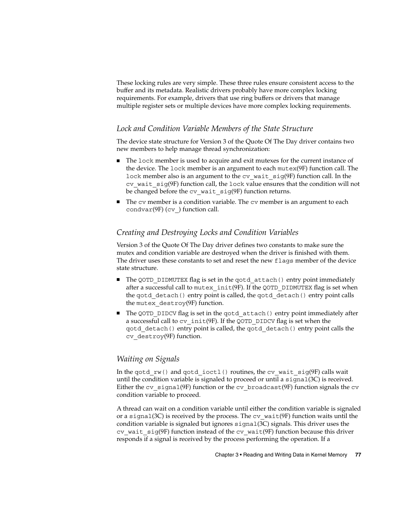<span id="page-76-0"></span>These locking rules are very simple. These three rules ensure consistent access to the buffer and its metadata. Realistic drivers probably have more complex locking requirements. For example, drivers that use ring buffers or drivers that manage multiple register sets or multiple devices have more complex locking requirements.

#### *Lock and Condition Variable Members of the State Structure*

The device state structure for Version 3 of the Quote Of The Day driver contains two new members to help manage thread synchronization:

- The lock member is used to acquire and exit mutexes for the current instance of the device. The lock member is an argument to each mutex(9F) function call. The lock member also is an argument to the cv\_wait\_sig(9F) function call. In the  $cv$  wait  $sig(9F)$  function call, the lock value ensures that the condition will not be changed before the cv wait sig(9F) function returns.
- The cv member is a condition variable. The cv member is an argument to each condvar $(9F)$  (cv) function call.

#### *Creating and Destroying Locks and Condition Variables*

Version 3 of the Quote Of The Day driver defines two constants to make sure the mutex and condition variable are destroyed when the driver is finished with them. The driver uses these constants to set and reset the new flags member of the device state structure.

- The QOTD\_DIDMUTEX flag is set in the qotd\_attach() entry point immediately after a successful call to mutex  $init(9F)$ . If the QOTD DIDMUTEX flag is set when the gotd detach() entry point is called, the gotd detach() entry point calls the mutex destroy(9F) function.
- The QOTD\_DIDCV flag is set in the gotd\_attach() entry point immediately after a successful call to cv\_init(9F). If the QOTD\_DIDCV flag is set when the qotd\_detach() entry point is called, the qotd\_detach() entry point calls the cv\_destroy(9F) function.

#### *Waiting on Signals*

In the qotd  $rw()$  and qotd ioctl() routines, the cv wait  $sig(9F)$  calls wait until the condition variable is signaled to proceed or until a  $signal(3C)$  is received. Either the cv\_signal(9F) function or the cv\_broadcast(9F) function signals the cv condition variable to proceed.

A thread can wait on a condition variable until either the condition variable is signaled or a signal(3C) is received by the process. The  $cv$  wait(9F) function waits until the condition variable is signaled but ignores  $\pi$  ignal(3C) signals. This driver uses the cv wait  $sig(9F)$  function instead of the cv wait(9F) function because this driver responds if a signal is received by the process performing the operation. If a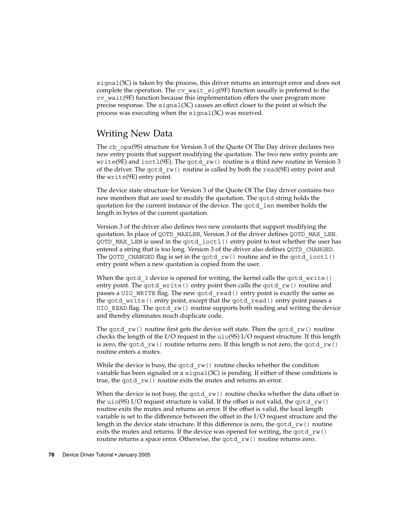<span id="page-77-0"></span>signal(3C) is taken by the process, this driver returns an interrupt error and does not complete the operation. The  $cv$  wait  $sig(9F)$  function usually is preferred to the cv\_wait(9F) function because this implementation offers the user program more precise response. The signal(3C) causes an effect closer to the point at which the process was executing when the signal(3C) was received.

# Writing New Data

The cb ops(9S) structure for Version 3 of the Quote Of The Day driver declares two new entry points that support modifying the quotation. The two new entry points are write(9E) and ioctl(9E). The qotd  $rw($  routine is a third new routine in Version 3 of the driver. The gotd  $rw()$  routine is called by both the read(9E) entry point and the write(9E) entry point.

The device state structure for Version 3 of the Quote Of The Day driver contains two new members that are used to modify the quotation. The qotd string holds the quotation for the current instance of the device. The qotd\_len member holds the length in bytes of the current quotation.

Version 3 of the driver also defines two new constants that support modifying the quotation. In place of QOTD\_MAXLEN, Version 3 of the driver defines QOTD\_MAX\_LEN. QOTD\_MAX\_LEN is used in the qotd\_ioctl() entry point to test whether the user has entered a string that is too long. Version 3 of the driver also defines QOTD\_CHANGED. The QOTD CHANGED flag is set in the qotd  $rw()$  routine and in the qotd  $ioctl()$ entry point when a new quotation is copied from the user.

When the gotd 3 device is opened for writing, the kernel calls the gotd write() entry point. The gotd write() entry point then calls the gotd rw() routine and passes a UIO WRITE flag. The new gotd read() entry point is exactly the same as the qotd\_write() entry point, except that the qotd\_read() entry point passes a UIO READ flag. The gotd  $rw()$  routine supports both reading and writing the device and thereby eliminates much duplicate code.

The gotd  $rw()$  routine first gets the device soft state. Then the gotd  $rw()$  routine checks the length of the I/O request in the  $ui\circ(9S)$  I/O request structure. If this length is zero, the gotd  $rw()$  routine returns zero. If this length is not zero, the gotd  $rw()$ routine enters a mutex.

While the device is busy, the gotd  $rw()$  routine checks whether the condition variable has been signaled or a  $signal(3C)$  is pending. If either of these conditions is true, the gotd rw() routine exits the mutex and returns an error.

When the device is not busy, the gotd  $rw()$  routine checks whether the data offset in the uio(9S) I/O request structure is valid. If the offset is not valid, the gotd  $rw()$ routine exits the mutex and returns an error. If the offset is valid, the local length variable is set to the difference between the offset in the I/O request structure and the length in the device state structure. If this difference is zero, the gotd  $rw()$  routine exits the mutex and returns. If the device was opened for writing, the gotd  $rw()$ routine returns a space error. Otherwise, the gotd rw() routine returns zero.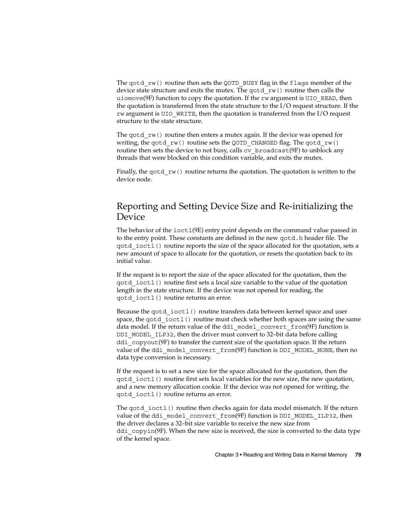<span id="page-78-0"></span>The gotd  $rw()$  routine then sets the QOTD BUSY flag in the flags member of the device state structure and exits the mutex. The gotd  $rw()$  routine then calls the uiomove(9F) function to copy the quotation. If the rw argument is UIO\_READ, then the quotation is transferred from the state structure to the I/O request structure. If the rw argument is UIO WRITE, then the quotation is transferred from the I/O request structure to the state structure.

The gotd  $rw()$  routine then enters a mutex again. If the device was opened for writing, the gotd rw() routine sets the QOTD CHANGED flag. The gotd rw() routine then sets the device to not busy, calls cv\_broadcast(9F) to unblock any threads that were blocked on this condition variable, and exits the mutex.

Finally, the gotd  $rw()$  routine returns the quotation. The quotation is written to the device node.

# Reporting and Setting Device Size and Re-initializing the Device

The behavior of the ioct1(9E) entry point depends on the command value passed in to the entry point. These constants are defined in the new qotd.h header file. The qotd\_ioctl() routine reports the size of the space allocated for the quotation, sets a new amount of space to allocate for the quotation, or resets the quotation back to its initial value.

If the request is to report the size of the space allocated for the quotation, then the qotd\_ioctl() routine first sets a local size variable to the value of the quotation length in the state structure. If the device was not opened for reading, the qotd\_ioctl() routine returns an error.

Because the qotd ioctl() routine transfers data between kernel space and user space, the gotd ioctl() routine must check whether both spaces are using the same data model. If the return value of the ddi model convert from(9F) function is DDI\_MODEL\_ILP32, then the driver must convert to 32–bit data before calling ddi  $\text{copyout}(9F)$  to transfer the current size of the quotation space. If the return value of the ddi\_model\_convert\_from(9F) function is DDI\_MODEL\_NONE, then no data type conversion is necessary.

If the request is to set a new size for the space allocated for the quotation, then the qotd\_ioctl() routine first sets local variables for the new size, the new quotation, and a new memory allocation cookie. If the device was not opened for writing, the qotd\_ioctl() routine returns an error.

The gotd ioctl() routine then checks again for data model mismatch. If the return value of the ddi\_model\_convert\_from(9F) function is DDI\_MODEL\_ILP32, then the driver declares a 32–bit size variable to receive the new size from ddi  $copyin(9F)$ . When the new size is received, the size is converted to the data type of the kernel space.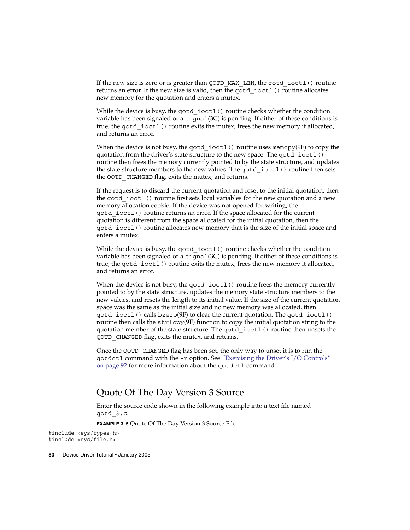<span id="page-79-0"></span>If the new size is zero or is greater than QOTD\_MAX\_LEN, the gotd\_ioctl() routine returns an error. If the new size is valid, then the qotd ioctl() routine allocates new memory for the quotation and enters a mutex.

While the device is busy, the gotd  $i$  ioctl() routine checks whether the condition variable has been signaled or a signal(3C) is pending. If either of these conditions is true, the qotd ioctl() routine exits the mutex, frees the new memory it allocated, and returns an error.

When the device is not busy, the qotd ioctl() routine uses memcpy(9F) to copy the quotation from the driver's state structure to the new space. The qotd ioctl() routine then frees the memory currently pointed to by the state structure, and updates the state structure members to the new values. The qotd\_ioctl() routine then sets the QOTD CHANGED flag, exits the mutex, and returns.

If the request is to discard the current quotation and reset to the initial quotation, then the qotd ioctl() routine first sets local variables for the new quotation and a new memory allocation cookie. If the device was not opened for writing, the qotd\_ioctl() routine returns an error. If the space allocated for the current quotation is different from the space allocated for the initial quotation, then the qotd\_ioctl() routine allocates new memory that is the size of the initial space and enters a mutex.

While the device is busy, the gotd  $i$  ioctl() routine checks whether the condition variable has been signaled or a  $signal(3C)$  is pending. If either of these conditions is true, the qotd ioctl() routine exits the mutex, frees the new memory it allocated, and returns an error.

When the device is not busy, the gotd  $i$  ioctl() routine frees the memory currently pointed to by the state structure, updates the memory state structure members to the new values, and resets the length to its initial value. If the size of the current quotation space was the same as the initial size and no new memory was allocated, then  $qotd$  ioctl() calls bzero(9F) to clear the current quotation. The  $qotd$  ioctl() routine then calls the strlcpy(9F) function to copy the initial quotation string to the quotation member of the state structure. The qotd\_ioctl() routine then unsets the QOTD\_CHANGED flag, exits the mutex, and returns.

Once the QOTD CHANGED flag has been set, the only way to unset it is to run the qotdctl command with the -r option. See ["Exercising the Driver's I/O Controls"](#page-91-0) [on page 92](#page-91-0) for more information about the qotdctl command.

#### Quote Of The Day Version 3 Source

Enter the source code shown in the following example into a text file named qotd\_3.c.

**EXAMPLE 3–5** Quote Of The Day Version 3 Source File

#include <sys/types.h> #include <sys/file.h>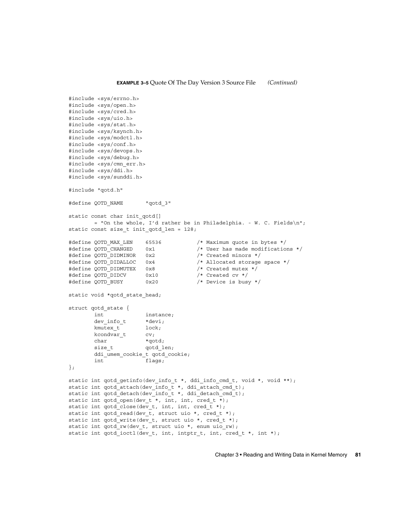```
#include <sys/errno.h>
#include <sys/open.h>
#include <sys/cred.h>
#include <sys/uio.h>
#include <sys/stat.h>
#include <sys/ksynch.h>
#include <sys/modctl.h>
#include <sys/conf.h>
#include <sys/devops.h>
#include <sys/debug.h>
#include <sys/cmn_err.h>
#include <sys/ddi.h>
#include <sys/sunddi.h>
#include "qotd.h"
#define QOTD NAME "qotd 3"
static const char init qotd[]
        = "On the whole, I'd rather be in Philadelphia. - W. C. Fields\n";
static const size t init qotd len = 128;
#define QOTD_MAX_LEN 65536 /* Maximum quote in bytes */
#define QOTD_CHANGED 0x1 /* User has made modifications */<br>#define QOTD_DIDMINOR 0x2 /* Created minors */
#define QOTD_DIDMINOR 0x2<br>#define QOTD_DIDALLOC 0x4
                                          % Allocated storage space */<br>
/* Created mutex */
#define QOTD_DIDMUTEX 0x8
#define your_riding the compact of the company of the define of the define of the define of the definition of the definition of the definition of the definition of the definition of the definition of the definition of the 
#define QOTD_BUSY 0x20 /* Device is busy */
static void *qotd state head;
struct qotd state {
        int instance;
        dev_info_t *devi;
        kmutex_t
        kcondvar_t cv;
        char *qotd;
        size t    qotd len;
        ddi_umem_cookie_t qotd_cookie;
        int flags;
};
static int qotd getinfo(dev info_t *, ddi_info_cmd_t, void *, void **);
static int qotd attach(dev info t *, ddi attach cmd t);
static int qotd_detach(dev_info_t *, ddi_detach_cmd_t);
static int qotd_open(dev_t *, int, int, cred_t *);
static int qotd_close(dev_t, int, int, cred_t *);
static int qotd read(dev t, struct uio *, cred t *);
static int qotd_write(dev_t, struct uio *, cred_t *);
static int qotd_rw(dev_t, struct uio *, enum uio_rw);
static int qotd ioctl(dev_t, int, intptr_t, int, cred_t *, int *);
```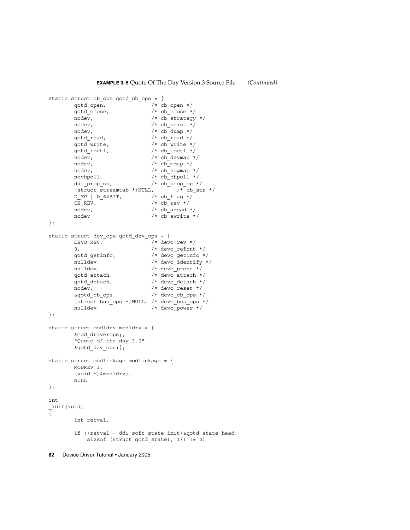```
static struct cb_ops qotd_cb_ops = {
         qotd open, /* cb open */
         qotd close, /* cb close */
         nodev, /* cb strategy */nodev, /* cb print */nodev, /* cb dump */qotd read, /* cb read */
         qotd write, /* cb write */
         qotd ioctl, /* cb ioctl */
         nodev, \overline{'} /* cb devmap */
         nodev, /* cb mmap */nodev, /* cb segmap */nochpoll, /* cb_chpoll */
         ddi prop op, /* cb prop op */
         (struct streamtab *)NULL, \sqrt{\ast} cb_str */
        \begin{array}{ccc} \texttt{D\_MP} & \texttt{D\_64BIT,} & \texttt{\texttt{\texttt{\texttt{\texttt{\texttt{\texttt{\texttt{\texttt{D}}}}}}} \texttt{\texttt{\texttt{\texttt{r}}}}} \texttt{\texttt{\texttt{\texttt{C}}}}\texttt{\texttt{B\_REV}}\\ \texttt{CB\_REV,} & \texttt{\texttt{\texttt{\texttt{\texttt{A}}}}} & \texttt{\texttt{\texttt{\texttt{A}}} \texttt{c} \texttt{b} & \texttt{rev} \texttt{\texttt{\texttt{*}}}}/\\ \end{array}CB<sub>_REV</sub>,
        \overline{\phantom{a}}nodev, \overline{\phantom{a}} /* cb_aread */
        nodev /* cb_awrite */
};
static struct dev_ops qotd_dev_ops = {
        DEVO_REV, \overline{y} = \overline{y} + devo_rev */
         0, /* devo refcnt */qotd_getinfo, /* devo_getinfo */
         nulldev, \overline{\phantom{a}} /* devo identify */
         nulldev, \frac{1}{2} /* devo probe */
         qotd attach, /* devo attach */
         qotd_detach, /* devo_detach */
         nodev, /* devo reset */&qotd_cb_ops, /* devo_cb_ops */
         (struct bus_ops *)NULL, /* devo_bus_ops */
        nulldev /* devo power */};
static struct modldrv modldrv = {
         &mod_driverops;,
         "Quote of the day 3.0",
         &qotd dev ops;};
static struct modlinkage modlinkage = {
         MODREV_1,
         (void \overline{\star}) &modldrv;,
        NULL
};
int
_init(void)
{
         int retval;
         if ((retval = ddi soft state init(&qotd state head;,
             sizeof (struct qotd state), 1)) != 0)
```

```
82 Device Driver Tutorial • January 2005
```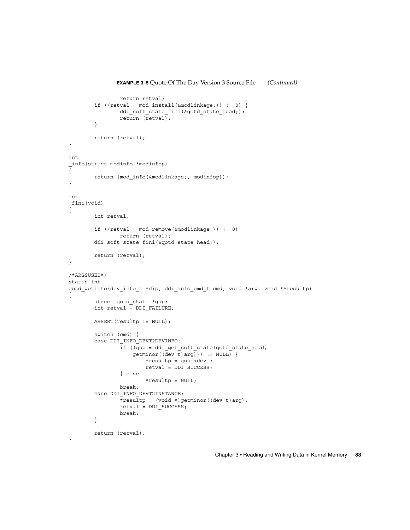```
return retval;
        if ((retval = mod_install(&modlinkage;)) != 0) {
                ddi_soft_state_fini(&qotd_state_head;);
                return (retval);
        }
        return (retval);
}
int
_info(struct modinfo *modinfop)
{
        return (mod_info(&modlinkage;, modinfop));
}
int
_fini(void)
{
        int retval;
        if ((retval = mod remove(&modlinkage;)) != 0)
               return (retval);
        ddi_soft_state_fini(&qotd_state_head;);
       return (retval);
}
/*ARGSUSED*/
static int
qotd_getinfo(dev_info_t *dip, ddi_info_cmd_t cmd, void *arg, void **resultp)
{
        struct qotd_state *qsp;
        int retval = DDI_FAILURE;
        ASSERT(resultp != NULL);
        switch (cmd) {
        case DDI_INFO_DEVT2DEVINFO:
                if ((qsp = ddi_get_soft_state(qotd_state_head,
                    getminor((dev_t)arg)) != NULL) {
                        *resultp = qsp->devi;
                        retval = DDI_SUCCESS;
                } else
                        *resultp = NULL;
                break;
        case DDI_INFO_DEVT2INSTANCE:
                *resultp = (void *)getminor((dev_t)arg);
                retval = DDI_SUCCESS;
                break;
        }
        return (retval);
}
```
#### **EXAMPLE 3–5** Quote Of The Day Version 3 Source File *(Continued)*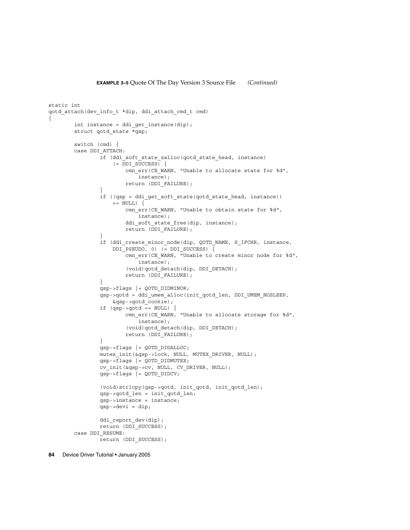```
static int
qotd_attach(dev_info_t *dip, ddi_attach_cmd_t cmd)
{
        int instance = ddi get instance(dip);
        struct qotd state *qsp;
        switch (cmd) {
        case DDI_ATTACH:
                if (ddi_soft_state_zalloc(qotd_state_head, instance)
                     != DDI_SUCCESS) \{cmn_err(CE_WARN, "Unable to allocate state for %d",
                           instance);
                        return (DDI_FAILURE);
                }
                if ((qsp = ddi_get_soft_state(qotd_state_head, instance))
                    == NULL) \{cmn_err(CE_WARN, "Unable to obtain state for %d",
                            instance);
                        ddi soft state free(dip, instance);
                        return (DDI FAILURE);
                }
                if (ddi_create_minor_node(dip, QOTD_NAME, S_IFCHR, instance,
                    DDI_PSEUDO, 0) != DDI_SUCCESS) \overline{\{}-<br>cmn err(CE WARN, "Unable to create minor node for %d",
                            instance);
                        (void)qotd_detach(dip, DDI_DETACH);
                        return (DDI_FAILURE);
                }
                qsp->flags |= QOTD_DIDMINOR;
                qsp->qotd = ddi_umem_alloc(init_qotd_len, DDI_UMEM_NOSLEEP,
                    &qsp->qotd_cookie);
                if (qsp - qotd == NULL) {
                        cmn_err(CE_WARN, "Unable to allocate storage for %d",
                            instance);
                         (void)qotd_detach(dip, DDI_DETACH);
                        return (DDI_FAILURE);
                }
                qsp->flags |= QOTD_DIDALLOC;
                mutex_init(&qsp->lock, NULL, MUTEX_DRIVER, NULL);
                qsp->flags |= QOTD_DIDMUTEX;
                cv_init(&qsp->cv, NULL, CV_DRIVER, NULL);
                qsp->flags |= QOTD_DIDCV;
                (void)strlcpy(qsp->qotd, init_qotd, init_qotd_len);
                qsp->qotd_len = init_qotd_len;
                qsp->instance = instance;
                qsp->devi = dip;
                ddi_report_dev(dip);
                return (DDI_SUCCESS);
        case DDI_RESUME:
                return (DDI_SUCCESS);
```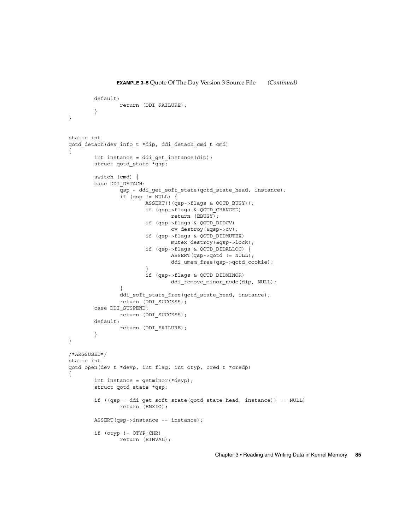```
default:
               return (DDI_FAILURE);
        }
}
static int
qotd_detach(dev_info_t *dip, ddi_detach_cmd_t cmd)
{
        int instance = ddi_get_instance(dip);
        struct qotd_state *qsp;
        switch (cmd) {
        case DDI_DETACH:
                qsp = ddi_get_soft_state(qotd_state_head, instance);
                if (qsp := NULL) {
                        ASSERT(!(qsp->flags & QOTD_BUSY));
                        if (qsp->flags & QOTD_CHANGED)
                                return (EBUSY);
                        if (qsp->flags & QOTD_DIDCV)
                                cv_destroy(&qsp->cv);
                        if (qsp->flags & QOTD_DIDMUTEX)
                               mutex destroy(&qsp->lock);
                        if (qsp->flags & QOTD_DIDALLOC) {
                                ASSERT(qsp->qotd != NULL);
                                ddi_umem_free(qsp->qotd_cookie);
                         }
                        if (qsp->flags & QOTD_DIDMINOR)
                                ddi_remove_minor_node(dip, NULL);
                }
                ddi soft state free(qotd state head, instance);
                return (DDI_SUCCESS);
        case DDI_SUSPEND:
                return (DDI_SUCCESS);
        default:
                return (DDI_FAILURE);
        }
}
/*ARGSUSED*/
static int
qotd_open(dev_t *devp, int flag, int otyp, cred_t *credp)
{
        int instance = getminor(*devp);
        struct qotd state *qsp;
        if ((qsp = ddi_get_soft_state(qotd_state_head, instance)) == NULL)
                return (ENXIO);
        ASSERT(qsp->instance == instance);
        if (otyp != OTYP_CHR)
                return (EINVAL);
```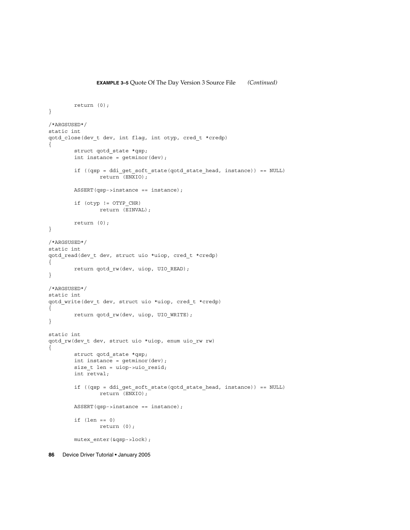```
return (0);
}
/*ARGSUSED*/
static int
qotd_close(dev_t dev, int flag, int otyp, cred_t *credp)
{
        struct qotd_state *qsp;
        int instance = getminor(dev);
        if ((qsp = ddi get soft state(qotd state head, instance)) == NULL)
                return (ENXIO);
       ASSERT(qsp->instance == instance);
        if (otyp != OTYP_CHR)
               return (EINVAL);
       return (0);
}
/*ARGSUSED*/
static int
qotd_read(dev_t dev, struct uio *uiop, cred_t *credp)
{
       return qotd_rw(dev, uiop, UIO_READ);
}
/*ARGSUSED*/
static int
qotd_write(dev_t dev, struct uio *uiop, cred_t *credp)
{
        return qotd rw(dev, uiop, UIO WRITE);
}
static int
qotd_rw(dev_t dev, struct uio *uiop, enum uio_rw rw)
{
       struct qotd state *qsp;
        int instance = getminor(dev);
        size t len = uiop->uio resid;
        int retval;
        if ((qsp = ddi get soft state(qotd state head, instance)) == NULL)
                return (ENXIO);
        ASSERT(qsp->instance == instance);
        if (len == 0)
               return (0);
        mutex_enter(&qsp->lock);
```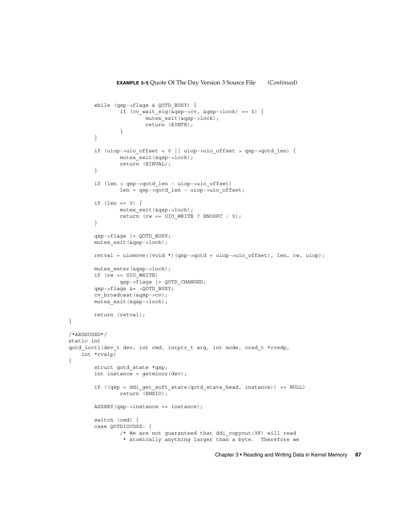```
while (qsp->flags & QOTD_BUSY) {
                if (cv wait sig(&qsp->cv, &qsp->lock) == 0) {
                       mutex_exit(&qsp->lock);
                        return (EINTR);
                }
        }
        if (uiop->uio_offset < 0 || uiop->uio_offset > qsp->qotd_len) {
                mutex_exit(&qsp->lock);
                return (EINVAL);
        }
        if (len > qsp->qotd_len - uiop->uio_offset)
                len = qsp->qotd_len - uiop->uio_offset;
        if (len == 0) {
                mutex_exit(&qsp->lock);
                return (rw == UIO WRITE ? ENOSPC : 0);
        }
        qsp->flags |= QOTD_BUSY;
       mutex exit(\alphaqsp->lock);
       retval = uiomove((void *)(qsp->qotd + uiop->uio offset), len, rw, uiop);
       mutex_enter(&qsp->lock);
        if (rw == UIO_WRITE)
               qsp->flags |= QOTD_CHANGED;
        qsp->flags &= ~QOTD_BUSY;
       cv_broadcast(&qsp->cv);
       mutex_exit(&qsp->lock);
       return (retval);
/*ARGSUSED*/
static int
qotd ioctl(dev t dev, int cmd, intptr t arg, int mode, cred t *credp,
   int *rvalp)
        struct qotd state *qsp;
        int instance = getminor(dev);
        if ((qsp = ddi get soft state(qotd state head, instance)) == NULL)
                return (ENXIO);
       ASSERT(qsp-)instance == instance);switch (cmd) {
        case QOTDIOCGSZ: {
                /* We are not guaranteed that ddi_copyout(9F) will read
                 * atomically anything larger than a byte. Therefore we
```
}

{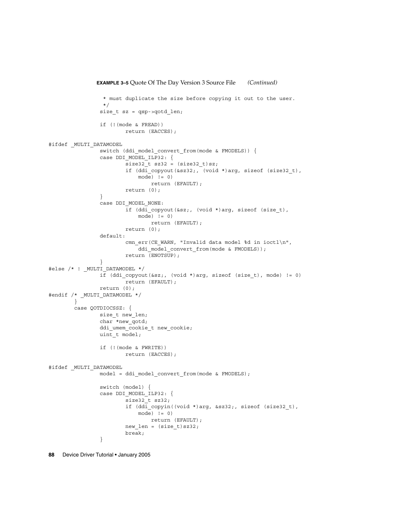```
EXAMPLE 3–5 Quote Of The Day Version 3 Source File (Continued)
                 * must duplicate the size before copying it out to the user.
                 */
                size_t sz = qsp->qotd_len;
                if (!(mode & FREAD))
                       return (EACCES);
#ifdef _MULTI_DATAMODEL
                switch (ddi_model_convert_from(mode & FMODELS)) {
               case DDI MODEL ILP32: {
                        size32 t sz32 = (size32t)sz;
                        if (ddi_copyout(&sz32;, (void *)arg, sizeof (size32_t),
                           mode) != 0)return (EFAULT);
                        return (0);
                }
                case DDI_MODEL_NONE:
                        if (ddi_copyout(&sz;, (void *)arg, sizeof (size_t),
                            mode) != 0)
                               return (EFAULT);
                       return (0);
                default:
                        cmn_err(CE_WARN, "Invalid data model %d in ioctl\n",
                            ddi model convert from(mode & FMODELS));
                       return (ENOTSUP);
                }
#else /* ! _MULTI_DATAMODEL */
               if (ddi copyout(&sz;, (void *)arg, sizeof (size t), mode) != 0)
                       return (EFAULT);
               return (0);
#endif /* _MULTI_DATAMODEL */
       }
       case QOTDIOCSSZ: {
               size t new len;
               char *new_qotd;
               ddi_umem_cookie_t new_cookie;
               uint_t model;
               if (!(mode & FWRITE))
                       return (EACCES);
#ifdef _MULTI_DATAMODEL
               model = ddi_model_convert_from(mode & FMODELS);
                switch (model) {
                case DDI_MODEL_ILP32: {
                        size32_t sz32;
                        if (ddi_copyin((void *)arg, &sz32;, sizeof (size32_t),
                            mode) != 0)return (EFAULT);
                        new_len = (size_t)sz32;
                        break;
                }
```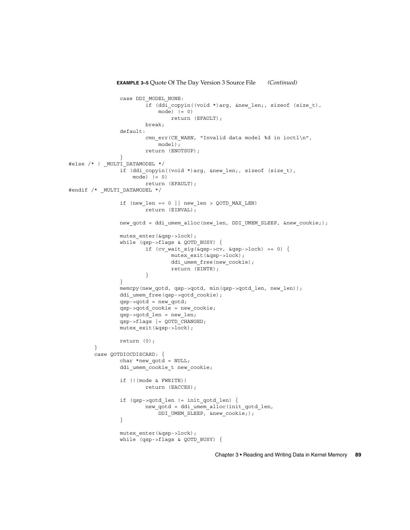```
EXAMPLE 3–5 Quote Of The Day Version 3 Source File (Continued)
                case DDI_MODEL_NONE:
                        if (ddi copyin((void *)arg, &new len;, sizeof (size t),
                            mode) != 0)return (EFAULT);
                        break;
                default:
                        cmn_err(CE_WARN, "Invalid data model %d in ioctl\n",
                            model);
                        return (ENOTSUP);
                }
#else /* ! MULTI DATAMODEL */
                if (ddi copyin((void *)arg, &new len;, sizeof (size t),
                    \text{mode}) != 0)
                        return (EFAULT);
#endif /* _MULTI_DATAMODEL */
                if (new len == 0 || new len > QOTD MAX LEN)
                        return (EINVAL);
                new gotd = ddi umem alloc(new len, DDI UMEM SLEEP, &new cookie;);
                mutex_enter(&qsp->lock);
                while (gsp{-}sflags \& QOTD BUSY) {
                        if (cv wait sig(\&qsp{-}zcv, \&qsp{-}lock) == 0) {
                                mutex_exit(&qsp->lock);
                                ddi_umem_free(new_cookie);
                                return (EINTR);
                        }
                }
                memcpy(new qotd, qsp->qotd, min(qsp->qotd len, new len));
                ddi umem free(qsp->qotd cookie);
                qsp->qotd = new_qotd;
                qsp->qotd_cookie = new_cookie;
                qsp->qotd len = new len;
                qsp->flags | = QOTD CHANGED;
                mutex_exit(&qsp->lock);
                return (0);
        }
        case QOTDIOCDISCARD: {
                char *new qotd = NULL;
                ddi umem cookie t new cookie;
                if (!(mode & FWRITE))
                        return (EACCES);
                if (qsp->qotd_len != init_qotd_len) {
                        new_qotd = ddi_umem_alloc(init_qotd_len,
                            DDI_UMEM_SLEEP, &new_cookie;);
                }
                mutex_enter(&qsp->lock);
                while (qsp->flags & QOTD BUSY) {
```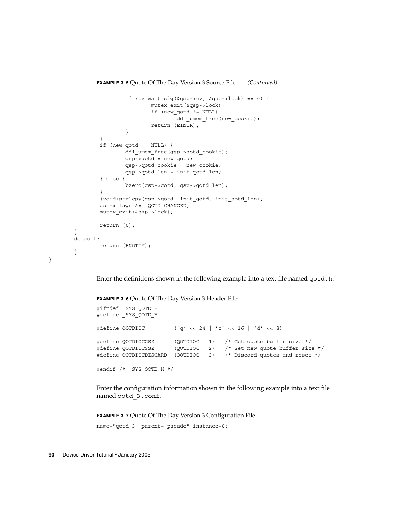```
EXAMPLE 3–5 Quote Of The Day Version 3 Source File (Continued)
                if (cv\_wait\_sig(\&qsp->cv, \&qsp->lock) == 0) {
                        mutex_exit(&qsp->lock);
                        if (new_qotd != NULL)
                                ddi_umem_free(new_cookie);
                        return (EINTR);
                }
        }
        if (new_qotd != NULL) {
                ddi umem free(qsp->qotd cookie);
                qsp->qotd = new_qotd;
                qsp->qotd_cookie = new_cookie;
                qsp->qotd_len = init_qotd_len;
        } else {
                bzero(qsp->qotd, qsp->qotd_len);
        }
        (void)strlcpy(qsp->qotd, init_qotd, init_qotd_len);
        qsp->flags &= ~QOTD_CHANGED;
        mutex_exit(&qsp->lock);
        return (0);
}
default:
        return (ENOTTY);
}
```
Enter the definitions shown in the following example into a text file named qotd.h.

**EXAMPLE 3–6** Quote Of The Day Version 3 Header File

```
#ifndef _SYS_QOTD_H
#define _SYS_QOTD_H
#define QOTDIOC ( 'q' << 24 | 't' << 16 | 'd' << 8)#define QOTDIOCGSZ (QOTDIOC | 1) /* Get quote buffer size */
#define QOTDIOCSSZ (QOTDIOC | 2) /* Set new quote buffer size */
#define QOTDIOCDISCARD (QOTDIOC | 3) /* Discard quotes and reset */
```
#endif /\* \_SYS\_QOTD\_H \*/

Enter the configuration information shown in the following example into a text file named qotd\_3.conf.

**EXAMPLE 3–7** Quote Of The Day Version 3 Configuration File

```
name="qotd_3" parent="pseudo" instance=0;
```
**90** Device Driver Tutorial • January 2005

}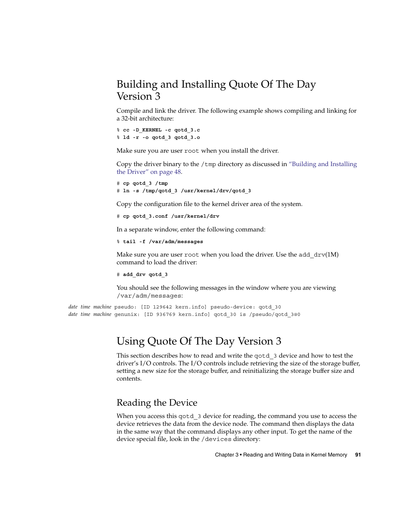# <span id="page-90-0"></span>Building and Installing Quote Of The Day Version 3

Compile and link the driver. The following example shows compiling and linking for a 32-bit architecture:

```
% cc -D_KERNEL -c qotd_3.c
% ld -r -o qotd_3 qotd_3.o
```
Make sure you are user root when you install the driver.

Copy the driver binary to the  $/$ tmp directory as discussed in ["Building and Installing](#page-47-0) [the Driver"](#page-47-0) on page 48.

```
# cp qotd_3 /tmp
# ln -s /tmp/qotd_3 /usr/kernel/drv/qotd_3
```
Copy the configuration file to the kernel driver area of the system.

```
# cp qotd_3.conf /usr/kernel/drv
```
In a separate window, enter the following command:

```
% tail -f /var/adm/messages
```
Make sure you are user root when you load the driver. Use the add  $\text{drv}(1\text{M})$ command to load the driver:

```
# add_drv qotd_3
```
You should see the following messages in the window where you are viewing /var/adm/messages:

*date time machine* pseudo: [ID 129642 kern.info] pseudo-device: qotd\_30 *date time machine* genunix: [ID 936769 kern.info] qotd\_30 is /pseudo/qotd\_3@0

# Using Quote Of The Day Version 3

This section describes how to read and write the qotd\_3 device and how to test the driver's I/O controls. The I/O controls include retrieving the size of the storage buffer, setting a new size for the storage buffer, and reinitializing the storage buffer size and contents.

# Reading the Device

When you access this qotd 3 device for reading, the command you use to access the device retrieves the data from the device node. The command then displays the data in the same way that the command displays any other input. To get the name of the device special file, look in the /devices directory: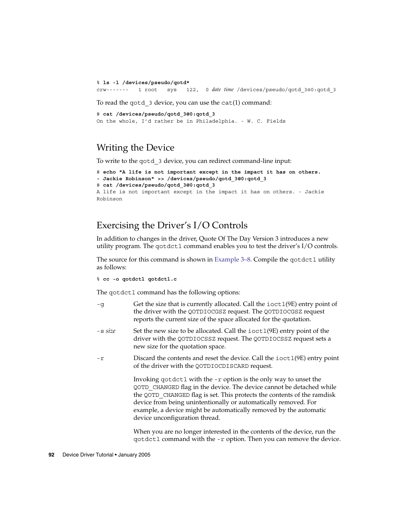<span id="page-91-0"></span>% **ls -l /devices/pseudo/qotd\*** crw------- 1 root sys 122, 0 *date time* /devices/pseudo/qotd\_3@0:qotd\_3

To read the qotd\_3 device, you can use the cat(1) command:

```
# cat /devices/pseudo/qotd_3@0:qotd_3
On the whole, I'd rather be in Philadelphia. - W. C. Fields
```
# Writing the Device

To write to the qotd\_3 device, you can redirect command-line input:

```
# echo "A life is not important except in the impact it has on others.
- Jackie Robinson" >> /devices/pseudo/qotd_3@0:qotd_3
# cat /devices/pseudo/qotd_3@0:qotd_3
A life is not important except in the impact it has on others. - Jackie
Robinson
```
# Exercising the Driver's I/O Controls

In addition to changes in the driver, Quote Of The Day Version 3 introduces a new utility program. The qotdctl command enables you to test the driver's I/O controls.

The source for this command is shown in [Example 3–8.](#page-92-0) Compile the qotdctl utility as follows:

```
% cc -o qotdctl qotdctl.c
```
The qotdctl command has the following options:

- -g Get the size that is currently allocated. Call the ioctl(9E) entry point of the driver with the QOTDIOCGSZ request. The QOTDIOCGSZ request reports the current size of the space allocated for the quotation.
- -s *size* Set the new size to be allocated. Call the ioctl(9E) entry point of the driver with the QOTDIOCSSZ request. The QOTDIOCSSZ request sets a new size for the quotation space.
- -r Discard the contents and reset the device. Call the ioctl(9E) entry point of the driver with the QOTDIOCDISCARD request.

Invoking qotdctl with the -r option is the only way to unset the QOTD\_CHANGED flag in the device. The device cannot be detached while the QOTD\_CHANGED flag is set. This protects the contents of the ramdisk device from being unintentionally or automatically removed. For example, a device might be automatically removed by the automatic device unconfiguration thread.

When you are no longer interested in the contents of the device, run the qotdctl command with the -r option. Then you can remove the device.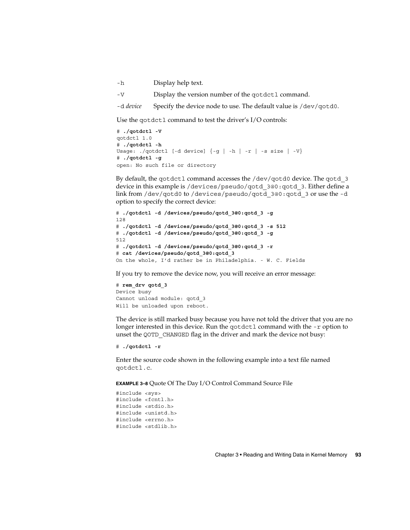<span id="page-92-0"></span>-h Display help text.

-V Display the version number of the qotdctl command.

-d *device* Specify the device node to use. The default value is /dev/qotd0.

Use the qotdctl command to test the driver's I/O controls:

```
# ./qotdctl -V
qotdctl 1.0
# ./qotdctl -h
Usage: ./qotdctl [-d device] {-g | -h | -r | -s size | -V}
# ./qotdctl -g
open: No such file or directory
```
By default, the qotdctl command accesses the /dev/qotd0 device. The qotd 3 device in this example is /devices/pseudo/qotd\_3@0:qotd\_3. Either define a link from /dev/qotd0 to /devices/pseudo/qotd\_3@0:qotd\_3 or use the -d option to specify the correct device:

```
# ./qotdctl -d /devices/pseudo/qotd_3@0:qotd_3 -g
128
# ./qotdctl -d /devices/pseudo/qotd_3@0:qotd_3 -s 512
# ./qotdctl -d /devices/pseudo/qotd_3@0:qotd_3 -g
512
# ./qotdctl -d /devices/pseudo/qotd_3@0:qotd_3 -r
# cat /devices/pseudo/qotd_3@0:qotd_3
On the whole, I'd rather be in Philadelphia. - W. C. Fields
```
If you try to remove the device now, you will receive an error message:

# **rem\_drv qotd\_3** Device busy Cannot unload module: qotd\_3 Will be unloaded upon reboot.

The device is still marked busy because you have not told the driver that you are no longer interested in this device. Run the qotdctl command with the -r option to unset the QOTD\_CHANGED flag in the driver and mark the device not busy:

```
# ./qotdctl -r
```
Enter the source code shown in the following example into a text file named qotdctl.c.

**EXAMPLE 3–8** Quote Of The Day I/O Control Command Source File

```
#include <sys>
#include <fcntl.h>
#include <stdio.h>
#include <unistd.h>
#include <errno.h>
#include <stdlib.h>
```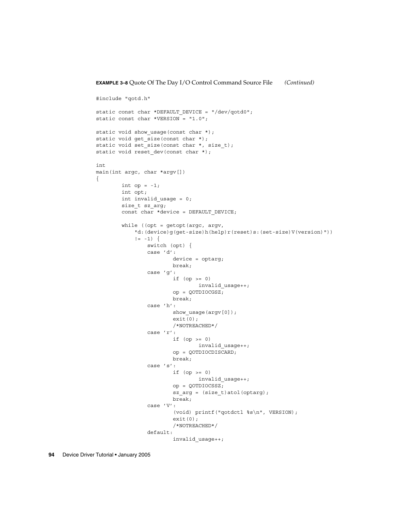```
#include "qotd.h"
static const char *DEFAULT DEVICE = "/dev/qotd0";
static const char *VERSION = "1.0";
static void show_usage(const char *);
static void get_size(const char *);
static void set_size(const char *, size_t);
static void reset dev(const char *);
int
main(int argc, char *argv[])
{
       int op = -1;int opt;
       int invalid_usage = 0;
        size_t sz_arg;
       const char *device = DEFAULT DEVICE;
        while ((opt = getopt(argc, argv,
            "d:(device)g(get-size)h(help)r(reset)s:(set-size)V(version)"))
            != -1) {
               switch (opt) {
               case 'd':
                        device = optarg;
                        break;
                case 'g':
                        if (op >= 0)invalid_usage++;
                        op = QOTDIOCGSZ;
                       break;
                case 'h':
                       show_usage(argv[0]);
                        exit(0);
                       /*NOTREACHED*/
                case 'r':
                       if (op >= 0)invalid_usage++;
                       op = QOTDIOCDISCARD;
                       break;
                case 's':
                       if (op >= 0)
                               invalid_usage++;
                        op = QOTDIOCSSZ;
                        sz arg = (size t)atol(optarg);break;
                case 'V':
                        (void) printf("qotdctl %s\n", VERSION);
                        exit(0);/*NOTREACHED*/
                default:
                        invalid_usage++;
```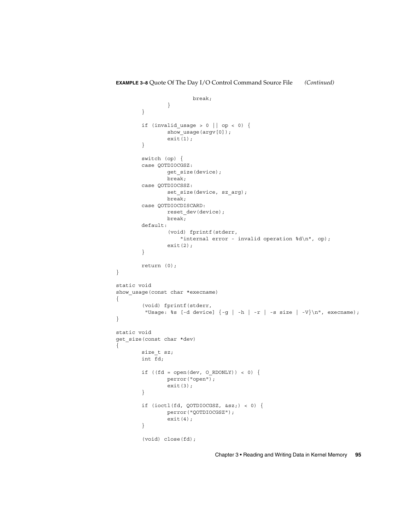```
break;
                }
        }
        if (invalid_usage > 0 || op < 0) {
                show_usage(argv[0]);
                exit(1);
        }
        switch (op) {
        case QOTDIOCGSZ:
               get_size(device);
               break;
        case QOTDIOCSSZ:
                set size(device, sz arg);
                break;
        case QOTDIOCDISCARD:
                reset dev(device);
                break;
        default:
                (void) fprintf(stderr,
                    "internal error - invalid operation %d\n", op);
                exit(2);}
        return (0);
}
static void
show_usage(const char *execname)
{
        (void) fprintf(stderr,
         "Usage: s = [-d \ device] [-g] -h | -r | -s \ size | -V \n\rightharpoonup, \ execname);}
static void
get_size(const char *dev)
{
        size_t sz;
        int fd;
        if ((fd = open(dev, O_RDOMLY)) < 0) {
                perror("open");
                exit(3);
        }
        if (ioctl(fd, QOTDIOCGSZ, &sz;) < 0) {
                perror("QOTDIOCGSZ");
                exit(4);}
        (void) close(fd);
```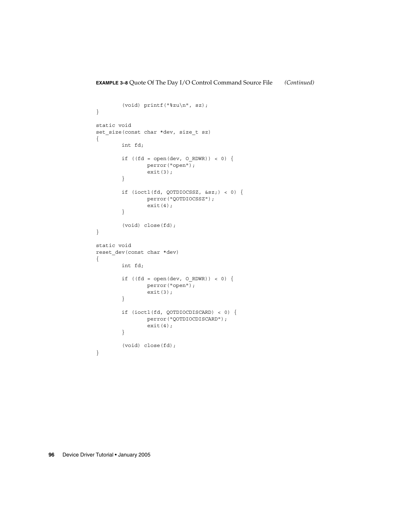```
(void) printf("%zu\n", sz);
}
static void
set_size(const char *dev, size_t sz)
{
       int fd;
        if ((fd = open(dev, 0_RDWR) < 0) {
               perror("open");
               ext(3);}
        if (ioctl(fd, QOTDIOCSSZ, &sz;) < 0) {
               perror("QOTDIOCSSZ");
               exit(4);
        }
        (void) close(fd);
}
static void
reset_dev(const char *dev)
{
       int fd;
        if ((fd = open(dev, O_RDWR)) < 0) {
               perror("open");
               exit(3);
        }
        if (ioctl(fd, QOTDIOCDISCARD) < 0) {
               perror("QOTDIOCDISCARD");
               ext(4);}
        (void) close(fd);
}
```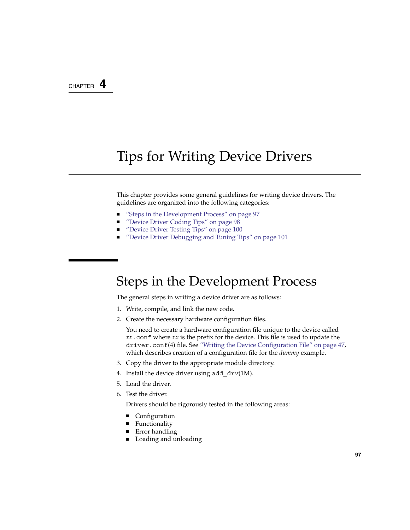# <span id="page-96-0"></span>CHAPTER **4**

# Tips for Writing Device Drivers

This chapter provides some general guidelines for writing device drivers. The guidelines are organized into the following categories:

- "Steps in the Development Process" on page 97
- ["Device Driver Coding Tips"](#page-97-0) on page 98
- ["Device Driver Testing Tips"](#page-99-0) on page 100
- ["Device Driver Debugging and Tuning Tips"](#page-100-0) on page 101

# Steps in the Development Process

The general steps in writing a device driver are as follows:

- 1. Write, compile, and link the new code.
- 2. Create the necessary hardware configuration files.

You need to create a hardware configuration file unique to the device called *xx*.conf where *xx* is the prefix for the device. This file is used to update the driver.conf(4) file. See ["Writing the Device Configuration File"](#page-46-0) on page 47, which describes creation of a configuration file for the *dummy* example.

- 3. Copy the driver to the appropriate module directory.
- 4. Install the device driver using add  $\text{drv}(1\text{M})$ .
- 5. Load the driver.
- 6. Test the driver.

Drivers should be rigorously tested in the following areas:

- Configuration
- Functionality
- Error handling
- Loading and unloading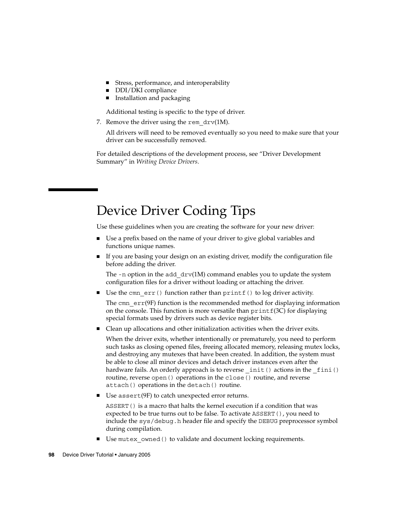- <span id="page-97-0"></span>■ Stress, performance, and interoperability
- DDI/DKI compliance
- Installation and packaging

Additional testing is specific to the type of driver.

7. Remove the driver using the rem  $\text{drv}(1\text{M})$ .

All drivers will need to be removed eventually so you need to make sure that your driver can be successfully removed.

For detailed descriptions of the development process, see "Driver Development Summary" in *Writing Device Drivers*.

# Device Driver Coding Tips

Use these guidelines when you are creating the software for your new driver:

- Use a prefix based on the name of your driver to give global variables and functions unique names.
- If you are basing your design on an existing driver, modify the configuration file before adding the driver.

The  $-$ n option in the add  $\text{drv}(1\text{M})$  command enables you to update the system configuration files for a driver without loading or attaching the driver.

■ Use the cmn  $err()$  function rather than  $print()$  to log driver activity.

The cmn  $err(9F)$  function is the recommended method for displaying information on the console. This function is more versatile than  $\text{printf}(3C)$  for displaying special formats used by drivers such as device register bits.

■ Clean up allocations and other initialization activities when the driver exits.

When the driver exits, whether intentionally or prematurely, you need to perform such tasks as closing opened files, freeing allocated memory, releasing mutex locks, and destroying any mutexes that have been created. In addition, the system must be able to close all minor devices and detach driver instances even after the hardware fails. An orderly approach is to reverse init() actions in the fini() routine, reverse open() operations in the close() routine, and reverse attach() operations in the detach() routine.

Use assert $(9F)$  to catch unexpected error returns.

ASSERT() is a macro that halts the kernel execution if a condition that was expected to be true turns out to be false. To activate ASSERT (), you need to include the sys/debug.h header file and specify the DEBUG preprocessor symbol during compilation.

Use mutex owned () to validate and document locking requirements.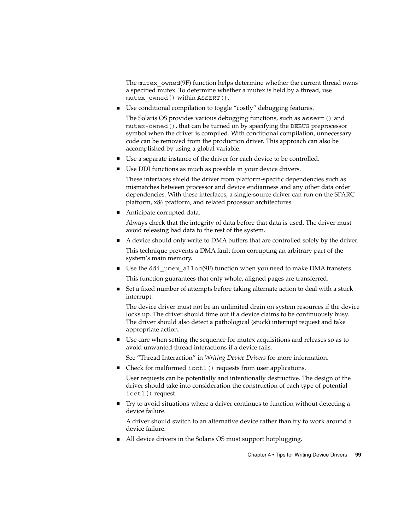<span id="page-98-0"></span>The mutex owned(9F) function helps determine whether the current thread owns a specified mutex. To determine whether a mutex is held by a thread, use mutex\_owned() within ASSERT().

■ Use conditional compilation to toggle "costly" debugging features.

The Solaris OS provides various debugging functions, such as assert() and mutex-owned(), that can be turned on by specifying the DEBUG preprocessor symbol when the driver is compiled. With conditional compilation, unnecessary code can be removed from the production driver. This approach can also be accomplished by using a global variable.

- Use a separate instance of the driver for each device to be controlled.
- Use DDI functions as much as possible in your device drivers.

These interfaces shield the driver from platform-specific dependencies such as mismatches between processor and device endianness and any other data order dependencies. With these interfaces, a single-source driver can run on the SPARC platform, x86 pfatform, and related processor architectures.

■ Anticipate corrupted data.

Always check that the integrity of data before that data is used. The driver must avoid releasing bad data to the rest of the system.

■ A device should only write to DMA buffers that are controlled solely by the driver.

This technique prevents a DMA fault from corrupting an arbitrary part of the system's main memory.

■ Use the ddi\_umem\_alloc(9F) function when you need to make DMA transfers.

This function guarantees that only whole, aligned pages are transferred.

■ Set a fixed number of attempts before taking alternate action to deal with a stuck interrupt.

The device driver must not be an unlimited drain on system resources if the device locks up. The driver should time out if a device claims to be continuously busy. The driver should also detect a pathological (stuck) interrupt request and take appropriate action.

■ Use care when setting the sequence for mutex acquisitions and releases so as to avoid unwanted thread interactions if a device fails.

See "Thread Interaction" in *Writing Device Drivers* for more information.

■ Check for malformed ioctl() requests from user applications.

User requests can be potentially and intentionally destructive. The design of the driver should take into consideration the construction of each type of potential ioctl() request.

■ Try to avoid situations where a driver continues to function without detecting a device failure.

A driver should switch to an alternative device rather than try to work around a device failure.

■ All device drivers in the Solaris OS must support hotplugging.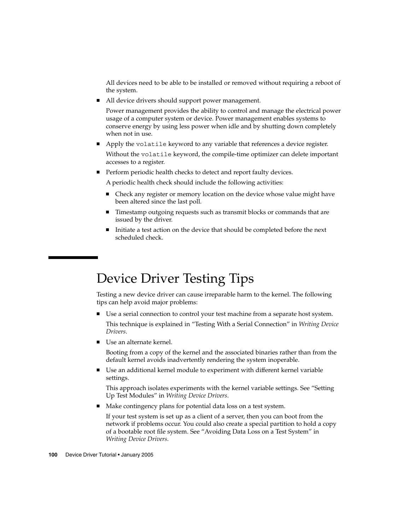<span id="page-99-0"></span>All devices need to be able to be installed or removed without requiring a reboot of the system.

All device drivers should support power management.

Power management provides the ability to control and manage the electrical power usage of a computer system or device. Power management enables systems to conserve energy by using less power when idle and by shutting down completely when not in use.

■ Apply the volatile keyword to any variable that references a device register.

Without the volatile keyword, the compile-time optimizer can delete important accesses to a register.

■ Perform periodic health checks to detect and report faulty devices.

A periodic health check should include the following activities:

- Check any register or memory location on the device whose value might have been altered since the last poll.
- Timestamp outgoing requests such as transmit blocks or commands that are issued by the driver.
- Initiate a test action on the device that should be completed before the next scheduled check.

# Device Driver Testing Tips

Testing a new device driver can cause irreparable harm to the kernel. The following tips can help avoid major problems:

- Use a serial connection to control your test machine from a separate host system. This technique is explained in "Testing With a Serial Connection" in *Writing Device Drivers*.
- Use an alternate kernel.

Booting from a copy of the kernel and the associated binaries rather than from the default kernel avoids inadvertently rendering the system inoperable.

■ Use an additional kernel module to experiment with different kernel variable settings.

This approach isolates experiments with the kernel variable settings. See "Setting Up Test Modules" in *Writing Device Drivers*.

■ Make contingency plans for potential data loss on a test system.

If your test system is set up as a client of a server, then you can boot from the network if problems occur. You could also create a special partition to hold a copy of a bootable root file system. See "Avoiding Data Loss on a Test System" in *Writing Device Drivers*.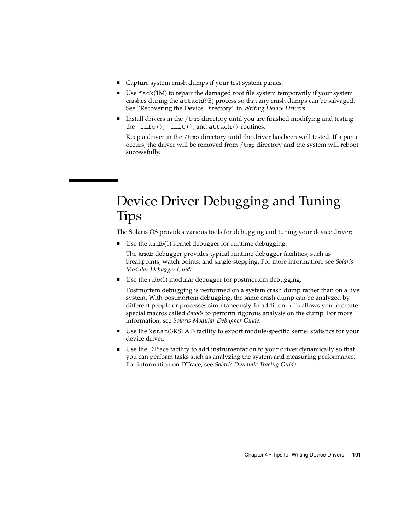- <span id="page-100-0"></span>■ Capture system crash dumps if your test system panics.
- $\blacksquare$  Use  $f$ sck(1M) to repair the damaged root file system temporarily if your system crashes during the attach(9E) process so that any crash dumps can be salvaged. See "Recovering the Device Directory" in *Writing Device Drivers*.
- Install drivers in the  $/\text{tmp}$  directory until you are finished modifying and testing the  $info()$ ,  $init()$ , and  $attach()$  routines.

Keep a driver in the /tmp directory until the driver has been well tested. If a panic occurs, the driver will be removed from /tmp directory and the system will reboot successfully.

# Device Driver Debugging and Tuning Tips

The Solaris OS provides various tools for debugging and tuning your device driver:

■ Use the kmdb(1) kernel debugger for runtime debugging.

The kmdb debugger provides typical runtime debugger facilities, such as breakpoints, watch points, and single-stepping. For more information, see *Solaris Modular Debugger Guide*.

■ Use the mdb(1) modular debugger for postmortem debugging.

Postmortem debugging is performed on a system crash dump rather than on a live system. With postmortem debugging, the same crash dump can be analyzed by different people or processes simultaneously. In addition, mdb allows you to create special macros called *dmods* to perform rigorous analysis on the dump. For more information, see *Solaris Modular Debugger Guide*.

- Use the kstat(3KSTAT) facility to export module-specific kernel statistics for your device driver.
- Use the DTrace facility to add instrumentation to your driver dynamically so that you can perform tasks such as analyzing the system and measuring performance. For information on DTrace, see *Solaris Dynamic Tracing Guide*.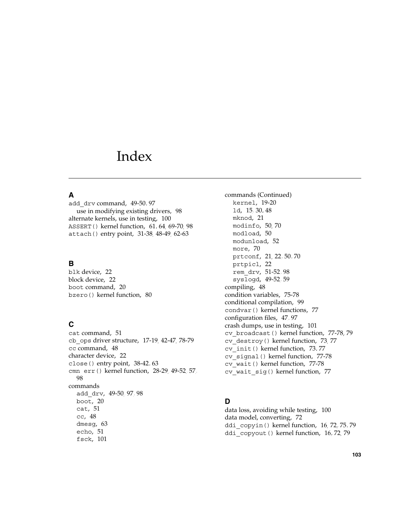# Index

# **A**

add\_drv command, [49-50,](#page-48-0) [97](#page-96-0) use in modifying existing drivers, [98](#page-97-0) alternate kernels, use in testing, [100](#page-99-0) ASSERT() kernel function, [61,](#page-60-0) [64,](#page-63-0) [69-70,](#page-68-0) [98](#page-97-0) attach() entry point, [31-38,](#page-30-0) [48-49,](#page-47-0) [62-63](#page-61-0)

#### **B**

blk device, [22](#page-21-0) block device, [22](#page-21-0) boot command, [20](#page-19-0) bzero() kernel function, [80](#page-79-0)

## **C**

cat command, [51](#page-50-0) cb\_ops driver structure, [17-19,](#page-16-0) [42-47,](#page-41-0) [78-79](#page-77-0) cc command, [48](#page-47-0) character device, [22](#page-21-0) close() entry point, [38-42,](#page-37-0) [63](#page-62-0) cmn\_err() kernel function, [28-29,](#page-27-0) [49-52,](#page-48-0) [57,](#page-56-0) [98](#page-97-0) commands add\_drv, [49-50,](#page-48-0) [97,](#page-96-0) [98](#page-97-0) boot, [20](#page-19-0) cat, [51](#page-50-0) cc, [48](#page-47-0) dmesg, [63](#page-62-0) echo, [51](#page-50-0) fsck, [101](#page-100-0)

commands (Continued) kernel, [19-20](#page-18-0) ld, [15,](#page-14-0) [30,](#page-29-0) [48](#page-47-0) mknod, [21](#page-20-0) modinfo, [50,](#page-49-0) [70](#page-69-0) modload, [50](#page-49-0) modunload, [52](#page-51-0) more, [70](#page-69-0) prtconf, [21,](#page-20-0) [22,](#page-21-0) [50,](#page-49-0) [70](#page-69-0) prtpicl, [22](#page-21-0) rem\_drv, [51-52,](#page-50-0) [98](#page-97-0) syslogd, [49-52,](#page-48-0) [59](#page-58-0) compiling, [48](#page-47-0) condition variables, [75-78](#page-74-0) conditional compilation, [99](#page-98-0) condvar() kernel functions, [77](#page-76-0) configuration files, [47,](#page-46-0) [97](#page-96-0) crash dumps, use in testing, [101](#page-100-0) cv\_broadcast() kernel function, [77-78,](#page-76-0) [79](#page-78-0) cv\_destroy() kernel function, [73,](#page-72-0) [77](#page-76-0) cv\_init() kernel function, [73,](#page-72-0) [77](#page-76-0) cv\_signal() kernel function, [77-78](#page-76-0) cv\_wait() kernel function, [77-78](#page-76-0) cv\_wait\_sig() kernel function, [77](#page-76-0)

#### **D**

data loss, avoiding while testing, [100](#page-99-0) data model, converting, [72](#page-71-0) ddi\_copyin() kernel function, [16,](#page-15-0) [72,](#page-71-0) [75,](#page-74-0) [79](#page-78-0) ddi\_copyout() kernel function, [16,](#page-15-0) [72,](#page-71-0) [79](#page-78-0)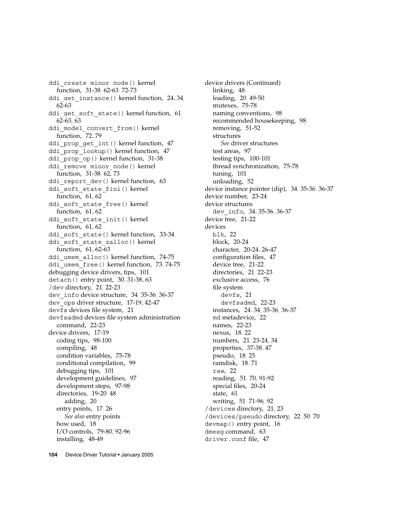ddi create minor node() kernel function, [31-38,](#page-30-0) [62-63,](#page-61-0) [72-73](#page-71-0) ddi get instance() kernel function, [24,](#page-23-0) [34,](#page-33-0) [62-63](#page-61-0) ddi get soft state() kernel function, [61,](#page-60-0) [62-63,](#page-61-0) [63](#page-62-0) ddi model convert from() kernel function, [72,](#page-71-0)79 ddi\_prop\_get\_int() kernel function, [47](#page-46-0) ddi\_prop\_lookup() kernel function, [47](#page-46-0) ddi prop op() kernel function, [31-38](#page-30-0) ddi remove minor node() kernel function, [31-38,](#page-30-0) [62,](#page-61-0) [73](#page-72-0) ddi report dev() kernel function, [63](#page-62-0) ddi soft state fini() kernel function, [61,](#page-60-0) [62](#page-61-0) ddi soft state free() kernel function, [61,](#page-60-0) [62](#page-61-0) ddi\_soft\_state\_init() kernel function, [61,](#page-60-0) [62](#page-61-0) ddi soft state() kernel function, [33-34](#page-32-0) ddi soft state zalloc() kernel function, [61,](#page-60-0) [62-63](#page-61-0) ddi umem alloc() kernel function, [74-75](#page-73-0) ddi umem free() kernel function, [73,](#page-72-0) [74-75](#page-73-0) debugging device drivers, tips, [101](#page-100-0) detach() entry point, [30,](#page-29-0) [31-38,](#page-30-0) [63](#page-62-0) /dev directory, [21,](#page-20-0) [22-23](#page-21-0) dev info device structure, [34,](#page-33-0) [35-36,](#page-34-0) [36-37](#page-35-0) dev\_ops driver structure, [17-19,](#page-16-0) [42-47](#page-41-0) devfs devices file system, [21](#page-20-0) devfsadmd devices file system administration command, [22-23](#page-21-0) device drivers, [17-19](#page-16-0) coding tips, [98-100](#page-97-0) compiling, [48](#page-47-0) condition variables, [75-78](#page-74-0) conditional compilation, [99](#page-98-0) debugging tips, [101](#page-100-0) development guidelines, [97](#page-96-0) development steps, [97-98](#page-96-0) directories, [19-20,](#page-18-0) [48](#page-47-0) adding, [20](#page-19-0) entry points, [17,](#page-16-0) [26](#page-25-0) *See also* entry points how used, [18](#page-17-0) I/O controls, [79-80,](#page-78-0) [92-96](#page-91-0) installing, [48-49](#page-47-0)

device drivers (Continued) linking, [48](#page-47-0) loading, [20,](#page-19-0) [49-50](#page-48-0) mutexes, [75-78](#page-74-0) naming conventions, [98](#page-97-0) recommended housekeeping, [98](#page-97-0) removing, [51-52](#page-50-0) structures *See* driver structures test areas, [97](#page-96-0) testing tips, [100-101](#page-99-0) thread synchronization, [75-78](#page-74-0) tuning, [101](#page-100-0) unloading, [52](#page-51-0) device instance pointer (dip), [34,](#page-33-0) [35-36,](#page-34-0) [36-37](#page-35-0) device number, [23-24](#page-22-0) device structures dev\_info, [34,](#page-33-0) [35-36,](#page-34-0) [36-37](#page-35-0) device tree, [21-22](#page-20-0) devices blk, [22](#page-21-0) block, [20-24](#page-19-0) character, [20-24,](#page-19-0) [26-47](#page-25-0) configuration files, [47](#page-46-0) device tree, [21-22](#page-20-0) directories, [21,](#page-20-0) [22-23](#page-21-0) exclusive access, [76](#page-75-0) file system devfs, [21](#page-20-0) devfsadmd, [22-23](#page-21-0) instances, [24,](#page-23-0) [34,](#page-33-0) [35-36,](#page-34-0) [36-37](#page-35-0) md metadevice, [22](#page-21-0) names, [22-23](#page-21-0) nexus, [18,](#page-17-0) [22](#page-21-0) numbers, [21,](#page-20-0) [23-24,](#page-22-0) [34](#page-33-0) properties, [37-38,](#page-36-0) [47](#page-46-0) pseudo, [18,](#page-17-0) [25](#page-24-0) ramdisk, [18,](#page-17-0) [71](#page-70-0) raw, [22](#page-21-0) reading, [51,](#page-50-0) [70,](#page-69-0) [91-92](#page-90-0) special files, [20-24](#page-19-0) state, [61](#page-60-0) writing, [51,](#page-50-0) [71-96,](#page-70-0) [92](#page-91-0) /devices directory, [21,](#page-20-0) [23](#page-22-0) /devices/pseudo directory, [22,](#page-21-0) [50,](#page-49-0) [70](#page-69-0) devmap() entry point, [16](#page-15-0) dmesg command, [63](#page-62-0) driver.conf file, [47](#page-46-0)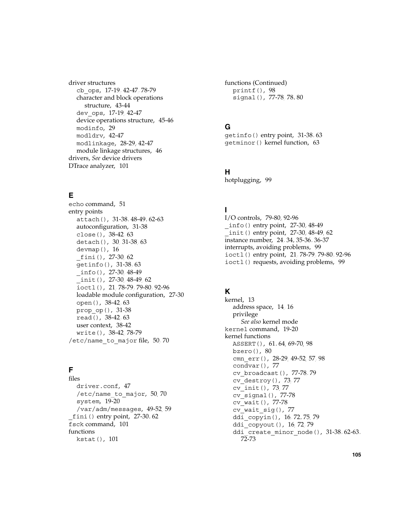driver structures cb\_ops, [17-19,](#page-16-0) [42-47,](#page-41-0) [78-79](#page-77-0) character and block operations structure, [43-44](#page-42-0) dev\_ops, [17-19,](#page-16-0) [42-47](#page-41-0) device operations structure, [45-46](#page-44-0) modinfo, [29](#page-28-0) modldrv, [42-47](#page-41-0) modlinkage, [28-29,](#page-27-0) [42-47](#page-41-0) module linkage structures, [46](#page-45-0) drivers, *See* device drivers DTrace analyzer, [101](#page-100-0)

# **E**

echo command, [51](#page-50-0) entry points attach(), [31-38,](#page-30-0) [48-49,](#page-47-0) [62-63](#page-61-0) autoconfiguration, [31-38](#page-30-0) close(), [38-42,](#page-37-0) [63](#page-62-0) detach(), [30,](#page-29-0) [31-38,](#page-30-0) [63](#page-62-0) devmap(), [16](#page-15-0) \_fini(), [27-30,](#page-26-0) [62](#page-61-0) getinfo(), [31-38,](#page-30-0) [63](#page-62-0)  $_$ info(), [27-30,](#page-26-0) [48-49](#page-47-0) \_init(), [27-30,](#page-26-0) [48-49,](#page-47-0) [62](#page-61-0) ioctl(), [21,](#page-20-0) [78-79,](#page-77-0) [79-80,](#page-78-0) [92-96](#page-91-0) loadable module configuration, [27-30](#page-26-0) open(), [38-42,](#page-37-0) [63](#page-62-0) prop\_op(), [31-38](#page-30-0) read(), [38-42,](#page-37-0) [63](#page-62-0) user context, [38-42](#page-37-0) write(), [38-42,](#page-37-0) [78-79](#page-77-0) /etc/name to major file,  $50, 70$  $50, 70$ 

# **F**

files driver.conf, [47](#page-46-0) /etc/name\_to\_major, [50,](#page-49-0) [70](#page-69-0) system, [19-20](#page-18-0) /var/adm/messages, [49-52,](#page-48-0) [59](#page-58-0) \_fini() entry point, [27-30,](#page-26-0) [62](#page-61-0) fsck command, [101](#page-100-0) functions kstat(), [101](#page-100-0)

functions (Continued) printf(), [98](#page-97-0) signal(), [77-78,](#page-76-0) [78,](#page-77-0) [80](#page-79-0)

### **G**

getinfo() entry point, [31-38,](#page-30-0) [63](#page-62-0) getminor() kernel function, [63](#page-62-0)

### **H**

hotplugging, [99](#page-98-0)

### **I**

I/O controls, [79-80,](#page-78-0) [92-96](#page-91-0) \_info() entry point, [27-30,](#page-26-0) [48-49](#page-47-0) \_init() entry point, [27-30,](#page-26-0) [48-49,](#page-47-0) [62](#page-61-0) instance number, [24,](#page-23-0) [34,](#page-33-0) [35-36,](#page-34-0) [36-37](#page-35-0) interrupts, avoiding problems, [99](#page-98-0) ioctl() entry point, [21,](#page-20-0) [78-79,](#page-77-0) [79-80,](#page-78-0) [92-96](#page-91-0) ioctl() requests, avoiding problems, [99](#page-98-0)

#### **K**

kernel, [13](#page-12-0) address space, [14,](#page-13-0) [16](#page-15-0) privilege *See also* kernel mode kernel command, [19-20](#page-18-0) kernel functions ASSERT(), [61,](#page-60-0) [64,](#page-63-0) [69-70,](#page-68-0) [98](#page-97-0) bzero(), [80](#page-79-0) cmn err(), [28-29,](#page-27-0) [49-52,](#page-48-0) [57,](#page-56-0) [98](#page-97-0) condvar(), [77](#page-76-0) cv\_broadcast(), [77-78,](#page-76-0) [79](#page-78-0) cv\_destroy(), [73,](#page-72-0) [77](#page-76-0) cv\_init(), [73,](#page-72-0) [77](#page-76-0) cv\_signal(), [77-78](#page-76-0) cv\_wait(), [77-78](#page-76-0) cv\_wait\_sig(), [77](#page-76-0) ddi\_copyin(), [16,](#page-15-0) [72,](#page-71-0) [75,](#page-74-0) [79](#page-78-0) ddi\_copyout(), [16,](#page-15-0) [72,](#page-71-0) [79](#page-78-0) ddi create minor node(), [31-38,](#page-30-0) [62-63,](#page-61-0) [72-73](#page-71-0)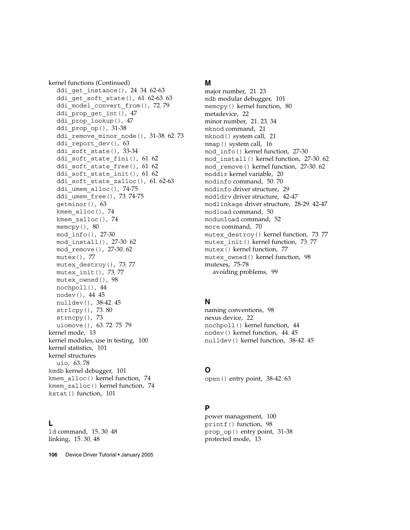kernel functions (Continued) ddi get instance(), [24,](#page-23-0) [34,](#page-33-0) [62-63](#page-61-0) ddi qet soft state(),  $61, 62-63, 63$  $61, 62-63, 63$  $61, 62-63, 63$ ddi model convert from(), [72,](#page-71-0) [79](#page-78-0) ddi prop get int(), [47](#page-46-0) ddi\_prop\_lookup(), [47](#page-46-0) ddi\_prop\_op(), [31-38](#page-30-0) ddi remove minor node(), [31-38,](#page-30-0) [62,](#page-61-0) [73](#page-72-0) ddi\_report\_dev(), [63](#page-62-0) ddi soft state(), [33-34](#page-32-0) ddi soft state fini(),  $61, 62$  $61, 62$ ddi soft state free(),  $61, 62$  $61, 62$ ddi soft state init(),  $61, 62$  $61, 62$ ddi soft state zalloc $($ ),  $61, 62-63$  $61, 62-63$ ddi umem alloc $()$ , [74-75](#page-73-0) ddi umem free(), [73,](#page-72-0) [74-75](#page-73-0) getminor(), [63](#page-62-0) kmem\_alloc(), [74](#page-73-0) kmem\_zalloc(), [74](#page-73-0) memcpy(), [80](#page-79-0) mod\_info(), [27-30](#page-26-0) mod\_install(), [27-30,](#page-26-0) [62](#page-61-0) mod\_remove(), [27-30,](#page-26-0) [62](#page-61-0) mutex(), [77](#page-76-0) mutex\_destroy(), [73,](#page-72-0) [77](#page-76-0) mutex\_init(), [73,](#page-72-0) [77](#page-76-0) mutex\_owned(), [98](#page-97-0) nochpoll(), [44](#page-43-0) nodev(), [44,](#page-43-0) [45](#page-44-0) nulldev(), [38-42,](#page-37-0) [45](#page-44-0) strlcpy(), [73,](#page-72-0) [80](#page-79-0) strncpy(), [73](#page-72-0) uiomove(), [63,](#page-62-0) [72,](#page-71-0) [75,](#page-74-0) [79](#page-78-0) kernel mode, [13](#page-12-0) kernel modules, use in testing, [100](#page-99-0) kernel statistics, [101](#page-100-0) kernel structures uio, [63,](#page-62-0) [78](#page-77-0) kmdb kernel debugger, [101](#page-100-0) kmem\_alloc() kernel function, [74](#page-73-0) kmem\_zalloc() kernel function, [74](#page-73-0) kstat() function, [101](#page-100-0)

#### **L**

ld command, [15,](#page-14-0) [30,](#page-29-0) [48](#page-47-0) linking, [15,](#page-14-0) [30,](#page-29-0) [48](#page-47-0)

**106** Device Driver Tutorial • January 2005

#### **M**

major number, [21,](#page-20-0) [23](#page-22-0) mdb modular debugger, [101](#page-100-0) memcpy() kernel function, [80](#page-79-0) metadevice, [22](#page-21-0) minor number, [21,](#page-20-0) [23,](#page-22-0) [34](#page-33-0) mknod command, [21](#page-20-0) mknod() system call, [21](#page-20-0) mmap() system call, [16](#page-15-0) mod\_info() kernel function, [27-30](#page-26-0) mod\_install() kernel function, [27-30,](#page-26-0) [62](#page-61-0) mod\_remove() kernel function, [27-30,](#page-26-0) [62](#page-61-0) moddir kernel variable, [20](#page-19-0) modinfo command, [50,](#page-49-0) [70](#page-69-0) modinfo driver structure, [29](#page-28-0) modldrv driver structure, [42-47](#page-41-0) modlinkage driver structure, [28-29,](#page-27-0) [42-47](#page-41-0) modload command, [50](#page-49-0) modunload command, [52](#page-51-0) more command, [70](#page-69-0) mutex\_destroy() kernel function, [73,](#page-72-0) [77](#page-76-0) mutex\_init() kernel function, [73,](#page-72-0) [77](#page-76-0) mutex() kernel function, [77](#page-76-0) mutex\_owned() kernel function, [98](#page-97-0) mutexes, [75-78](#page-74-0) avoiding problems, [99](#page-98-0)

#### **N**

naming conventions, [98](#page-97-0) nexus device, [22](#page-21-0) nochpoll() kernel function, [44](#page-43-0) nodev() kernel function, [44,](#page-43-0) [45](#page-44-0) nulldev() kernel function, [38-42,](#page-37-0) [45](#page-44-0)

#### **O**

open() entry point, [38-42,](#page-37-0) [63](#page-62-0)

#### **P**

power management, [100](#page-99-0) printf() function, [98](#page-97-0) prop\_op() entry point, [31-38](#page-30-0) protected mode, [13](#page-12-0)